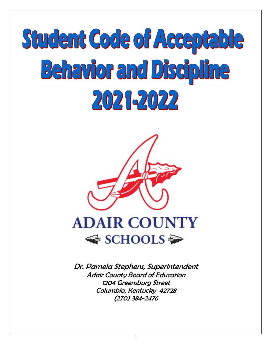



Dr. Pamela Stephens, Superintendent Adair County Board of Education 1204 Greensburg Street Columbia, Kentucky 42728 (270) 384-2476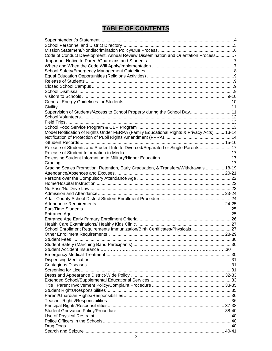# **TABLE OF CONTENTS**

| Code of Conduct Development, Annual Review Dissemination and Orientation Process7          |  |
|--------------------------------------------------------------------------------------------|--|
|                                                                                            |  |
|                                                                                            |  |
|                                                                                            |  |
|                                                                                            |  |
|                                                                                            |  |
|                                                                                            |  |
|                                                                                            |  |
|                                                                                            |  |
|                                                                                            |  |
|                                                                                            |  |
| Supervision of Students/Access to School Property during the School Day11                  |  |
|                                                                                            |  |
|                                                                                            |  |
|                                                                                            |  |
| Model Notification of Rights Under FERPA (Family Educational Rights & Privacy Acts)  13-14 |  |
|                                                                                            |  |
|                                                                                            |  |
| Release of Students and Student Info to Divorced/Separated or Single Parents17             |  |
|                                                                                            |  |
|                                                                                            |  |
|                                                                                            |  |
|                                                                                            |  |
| Grading Scales Promotion, Retention, Early Graduation, & Transfers/Withdrawals 18-19       |  |
|                                                                                            |  |
|                                                                                            |  |
|                                                                                            |  |
|                                                                                            |  |
|                                                                                            |  |
|                                                                                            |  |
|                                                                                            |  |
|                                                                                            |  |
|                                                                                            |  |
|                                                                                            |  |
|                                                                                            |  |
| School Enrollment Requirements Immunization/Birth Certificates/Physicals27                 |  |
|                                                                                            |  |
|                                                                                            |  |
|                                                                                            |  |
|                                                                                            |  |
|                                                                                            |  |
|                                                                                            |  |
|                                                                                            |  |
|                                                                                            |  |
|                                                                                            |  |
|                                                                                            |  |
|                                                                                            |  |
|                                                                                            |  |
|                                                                                            |  |
|                                                                                            |  |
|                                                                                            |  |
|                                                                                            |  |
|                                                                                            |  |
|                                                                                            |  |
|                                                                                            |  |
|                                                                                            |  |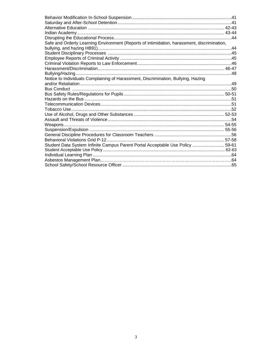| Safe and Orderly Learning Environment (Reports of intimidation, harassment, discrimination, |
|---------------------------------------------------------------------------------------------|
|                                                                                             |
|                                                                                             |
|                                                                                             |
|                                                                                             |
|                                                                                             |
|                                                                                             |
|                                                                                             |
|                                                                                             |
|                                                                                             |
|                                                                                             |
|                                                                                             |
| Notice to Individuals Complaining of Harassment, Discrimination, Bullying, Hazing           |
|                                                                                             |
|                                                                                             |
|                                                                                             |
|                                                                                             |
|                                                                                             |
|                                                                                             |
|                                                                                             |
|                                                                                             |
|                                                                                             |
|                                                                                             |
|                                                                                             |
|                                                                                             |
| Student Data System Infinite Campus Parent Portal Acceptable Use Policy  59-61              |
|                                                                                             |
|                                                                                             |
|                                                                                             |
|                                                                                             |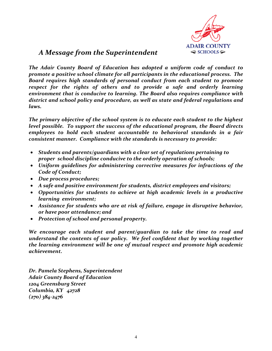

# *A Message from the Superintendent*

*The Adair County Board of Education has adopted a uniform code of conduct to promote a positive school climate for all participants in the educational process. The Board requires high standards of personal conduct from each student to promote respect for the rights of others and to provide a safe and orderly learning environment that is conducive to learning. The Board also requires compliance with district and school policy and procedure, as well as state and federal regulations and laws.*

*The primary objective of the school system is to educate each student to the highest level possible. To support the success of the educational program, the Board directs employees to hold each student accountable to behavioral standards in a fair consistent manner. Compliance with the standards is necessary to provide:*

- *Students and parents/guardians with a clear set of regulations pertaining to proper school discipline conducive to the orderly operation of schools;*
- *Uniform guidelines for administering corrective measures for infractions of the Code of Conduct;*
- *Due process procedures;*
- *A safe and positive environment for students, district employees and visitors;*
- *Opportunities for students to achieve at high academic levels in a productive learning environment;*
- *Assistance for students who are at risk of failure, engage in disruptive behavior, or have poor attendance; and*
- *Protection of school and personal property.*

*We encourage each student and parent/guardian to take the time to read and understand the contents of our policy. We feel confident that by working together the learning environment will be one of mutual respect and promote high academic achievement.*

*Dr. Pamela Stephens, Superintendent Adair County Board of Education 1204 Greensburg Street Columbia, KY 42728 (270) 384-2476*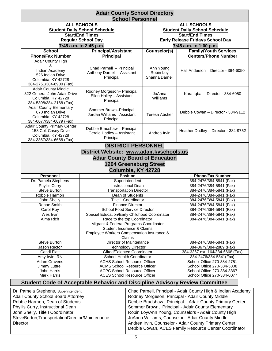| <b>Adair County School Directory</b>                                                                          |                                                                                                                                                                                       |                                          |                                                          |  |  |  |  |  |
|---------------------------------------------------------------------------------------------------------------|---------------------------------------------------------------------------------------------------------------------------------------------------------------------------------------|------------------------------------------|----------------------------------------------------------|--|--|--|--|--|
| <b>School Personnel</b><br><b>ALL SCHOOLS</b>                                                                 |                                                                                                                                                                                       |                                          |                                                          |  |  |  |  |  |
|                                                                                                               |                                                                                                                                                                                       |                                          | <b>ALL SCHOOLS</b>                                       |  |  |  |  |  |
|                                                                                                               | <b>Student Daily School Schedule</b>                                                                                                                                                  | <b>Student Daily School Schedule</b>     |                                                          |  |  |  |  |  |
|                                                                                                               | <b>Start/End Times</b>                                                                                                                                                                | <b>Start/End Times</b>                   |                                                          |  |  |  |  |  |
|                                                                                                               | <b>Regular School Day</b>                                                                                                                                                             | <b>Early Release Fridays School Day</b>  |                                                          |  |  |  |  |  |
|                                                                                                               | 7:45 a.m. to 2:45 p.m.                                                                                                                                                                |                                          | 7:45 a.m. to 1:00 p.m.                                   |  |  |  |  |  |
| <b>School</b>                                                                                                 | <b>Principal/Assistant</b>                                                                                                                                                            | Counselor(s)                             | <b>Family/Youth Services</b>                             |  |  |  |  |  |
| <b>Phone/Fax Number</b>                                                                                       | <b>Principal</b>                                                                                                                                                                      |                                          | <b>Centers/Phone Number</b>                              |  |  |  |  |  |
| Adair County High<br>&<br>Indian Academy<br>526 Indian Drive<br>Columbia, KY 42728<br>384-2751/384-6900 (Fax) | Chad Parnell - Principal<br>Anthony Darnell - Assistant<br>Principal                                                                                                                  | Ann Young<br>Robin Loy<br>Shanna Darnell | Hali Anderson - Director - 384-6050                      |  |  |  |  |  |
| <b>Adair County Middle</b><br>322 General John Adair Drive<br>Columbia, KY 42728<br>384-5308/384-2168 (Fax)   | Rodney Morgeson- Principal<br>Ellen Holley - Assistant<br>Principal                                                                                                                   | JoAnna<br>Williams                       | Kara Iqbal - Director - 384-6050                         |  |  |  |  |  |
| <b>Adair County Elementary</b><br>870 Indian Drive<br>Columbia, KY 42728<br>384-0077/384-0079 (Fax)           | Sommer Brown-Principal<br>Jordan Williams- Assistant<br>Principal                                                                                                                     | Debbie Cowan - Director - 384-9112       |                                                          |  |  |  |  |  |
| <b>Adair County Primary Center</b><br>158 Col. Casey Drive<br>Columbia, KY 42728<br>384-3367/384-6668 (Fax)   | Debbie Bradshaw - Principal<br>Gerald Hadley - Assistant<br>Principal                                                                                                                 | Heather Dudley - Director - 384-9752     |                                                          |  |  |  |  |  |
|                                                                                                               | <b>DISTRICT PERSONNEL</b>                                                                                                                                                             |                                          |                                                          |  |  |  |  |  |
|                                                                                                               | District Website: www.adair.kyschools.us                                                                                                                                              |                                          |                                                          |  |  |  |  |  |
|                                                                                                               | <b>Adair County Board of Education</b>                                                                                                                                                |                                          |                                                          |  |  |  |  |  |
|                                                                                                               |                                                                                                                                                                                       |                                          |                                                          |  |  |  |  |  |
|                                                                                                               | <b>1204 Greensburg Street</b>                                                                                                                                                         |                                          |                                                          |  |  |  |  |  |
|                                                                                                               | Columbia, KY 42728                                                                                                                                                                    |                                          |                                                          |  |  |  |  |  |
| <b>Personnel</b>                                                                                              | <b>Position</b>                                                                                                                                                                       |                                          | <b>Phone/Fax Number</b>                                  |  |  |  |  |  |
| Dr. Pamela Stephens                                                                                           | Superintendent                                                                                                                                                                        |                                          | 384-2476/384-5841 (Fax)                                  |  |  |  |  |  |
| Phyllis Curry<br>Steve Burton                                                                                 | Instructional Dean<br><b>Transportation Director</b>                                                                                                                                  |                                          | 384-2476/384-5841 (Fax)<br>384-2476/384-5841 (Fax)       |  |  |  |  |  |
| Robbie Harmon                                                                                                 | Dean of Students                                                                                                                                                                      |                                          | 384-2476/384-5841 (Fax)                                  |  |  |  |  |  |
| John Shelly                                                                                                   | Title 1 Coordinator                                                                                                                                                                   |                                          | 384-2476/384-5841 (Fax)                                  |  |  |  |  |  |
| Renae Smith                                                                                                   | <b>Finance Director</b>                                                                                                                                                               |                                          | 384-2476/384-5841 (Fax)                                  |  |  |  |  |  |
| Carol Roy                                                                                                     | School Food Service Director                                                                                                                                                          |                                          | 384-2476/384-5841 (Fax)                                  |  |  |  |  |  |
| Wes Irvin                                                                                                     | Special Education/Early Childhood Coordinator                                                                                                                                         |                                          | 384-2476/384-5841 (Fax)                                  |  |  |  |  |  |
| Alma Rich                                                                                                     | 384-2476/384-5841 (Fax)<br>Race to the top Coordinator<br>Migrant & Federal Programs Coordinator<br>Student Insurance & Claims<br>Employee Workers Compensation Insurance &<br>Claims |                                          |                                                          |  |  |  |  |  |
| Steve Burton                                                                                                  | Director of Maintenance                                                                                                                                                               |                                          | 384-2476/384-5841 (Fax)                                  |  |  |  |  |  |
| Jason Rector                                                                                                  | <b>Technology Director</b>                                                                                                                                                            |                                          | 384-3679/384-2889 (Fax)                                  |  |  |  |  |  |
| Candi Flatt                                                                                                   | Gifted/Talented Coordinator                                                                                                                                                           |                                          | 384-3367 ext. 164/384-6668 (Fax)                         |  |  |  |  |  |
| Amy Irvin, RN                                                                                                 | School Health Coordinator                                                                                                                                                             |                                          | 384-2476/384-5841(Fax)                                   |  |  |  |  |  |
| <b>Adam Cravens</b><br>Jimmy Luttrell                                                                         | <b>ACHS School Resource Officer</b><br><b>ACMS School Resource Officer</b>                                                                                                            |                                          | School Office 270-384-2751<br>School Office 270-384-5308 |  |  |  |  |  |
| John Harris                                                                                                   | <b>ACPC School Resource Officer</b>                                                                                                                                                   | School Office 270-384-3367               |                                                          |  |  |  |  |  |
| Mark Harris                                                                                                   | <b>ACES School Resource Officer</b>                                                                                                                                                   |                                          | School Office 270-384-0077                               |  |  |  |  |  |
|                                                                                                               |                                                                                                                                                                                       |                                          |                                                          |  |  |  |  |  |

# **Student Code of Acceptable Behavior and Discipline Advisory Review Committee**

Dr. Pamela Stephens, Superintendent Adair County School Board Attorney Robbie Harmon, Dean of Students Phyllis Curry, Instructional Dean John Shelly, Title I Coordinator SteveBurton,TransportationDirector/Maintenance **Director** Chad Parnell, Principal - Adair County High & Indian Academy Rodney Morgeson, Principal - Adair County Middle Debbie Bradshaw , Principal – Adair County Primary Center Sommer Brown, Principal - Adair County Elementary Robin Loy/Ann Young, Counselors - Adair County High JoAnna Williams, Counselor - Adair County Middle Andrea Irvin, Counselor - Adair County Primary Center Debbie Cowan, ACES Family Resource Center Coordinator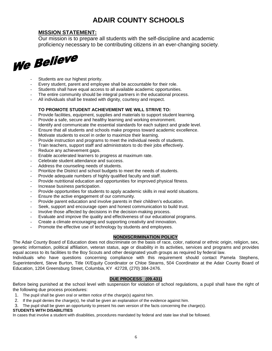# **ADAIR COUNTY SCHOOLS**<br>MISSION STATEMENT:

Our mission is to prepare all students with the self-discipline and academic proficiency necessary to be contributing citizens in an ever-changing society.



- Students are our highest priority.
- Every student, parent and employee shall be accountable for their role.
- Students shall have equal access to all available academic opportunities.
- The entire community should be integral partners in the educational process.
- All individuals shall be treated with dignity, courtesy and respect.

# **TO PROMOTE STUDENT ACHIEVEMENT WE WILL STRIVE TO:**

- Provide facilities, equipment, supplies and materials to support student learning.
- Provide a safe, secure and healthy learning and working environment.
- Identify and communicate the essential standards for each subject and grade level.
- Ensure that all students and schools make progress toward academic excellence.
- Motivate students to excel in order to maximize their learning.
- Provide instruction and programs to meet the individual needs of students.
- Train teachers, support staff and administrators to do their jobs effectively.
- Reduce any achievement gaps.
- Enable accelerated learners to progress at maximum rate.
- Celebrate student attendance and success.
- Address the counseling needs of students.
- Prioritize the District and school budgets to meet the needs of students.
- Provide adequate numbers of highly qualified faculty and staff.
- Provide nutritional education and opportunities for improved physical fitness.
- Increase business participation.
- Provide opportunities for students to apply academic skills in real world situations.
- Ensure the active engagement of our community.
- Provide parent education and involve parents in their children's education.
- Seek, support and encourage open and honest communication to build trust.
- Involve those affected by decisions in the decision-making process.
- Evaluate and improve the quality and effectiveness of our educational programs.
- Create a climate encouraging and supporting creativity and innovation.
- Promote the effective use of technology by students and employees.

# **NONDISCRIMINATION POLICY**

The Adair County Board of Education does not discriminate on the basis of race, color, national or ethnic origin, religion, sex, genetic information, political affiliation, veteran status, age or disability in its activities, services and programs and provides equal access to its facilities to the Boy Scouts and other designated youth groups as required by federal law.

Individuals who have questions concerning compliance with this requirement should contact Pamela Stephens, Superintendent, Steve Burton, Title IX/Equity Coordinator or Chloe Stearns, 504 Coordinator at the Adair County Board of Education, 1204 Greensburg Street, Columbia, KY 42728, (270) 384-2476.

# **DUE PROCESS (09.431)**

Before being punished at the school level with suspension for violation of school regulations, a pupil shall have the right of the following due process procedures:

- 1. The pupil shall be given oral or written notice of the charge(s) against him.
- 2. If the pupil denies the charge(s), he shall be given an explanation of the evidence against him.
- 3. The pupil shall be given an opportunity to present his own version of the facts concerning the charge(s).

# **STUDENTS WITH DISABILITIES**

In cases that involve a student with disabilities, procedures mandated by federal and state law shall be followed.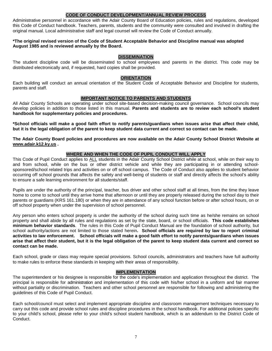# **CODE OF CONDUCT DEVELOPMENT/ANNUAL REVIEW PROCESS**

Administrative personnel in accordance with the Adair County Board of Education policies, rules and regulations, developed this Code of Conduct handbook. Teachers, parents, students and the community were consulted and involved in drafting the original manual. Local administrative staff and legal counsel will review the Code of Conduct annually.

#### **\*The original revised version of the Code of Student Acceptable Behavior and Discipline manual was adopted August 1985 and is reviewed annually by the Board.**

#### **DISSEMINATION**

The student discipline code will be disseminated to school employees and parents in the district. This code may be distributed electronically and, if requested, hard copies shall be provided.

#### **ORIENTATION**

Each building will conduct an annual orientation of the Student Code of Acceptable Behavior and Discipline for students, parents and staff.

#### **IMPORTANT NOTICE TO PARENTS AND STUDENTS**

All Adair County Schools are operating under school site-based decision-making council governance. School councils may develop policies in addition to those listed in this manual. **Parents and students are to review each school's student handbook for supplementary policies and procedures.** 

**\*School officials will make a good faith effort to notify parents/guardians when issues arise that affect their child, but it is the legal obligation of the parent to keep student data current and correct so contact can be made.**

**The Adair County Board policies and procedures are now available on the Adair County School District Website at [www.adair.k12.ky.us](http://www.____________/) .** 

#### **WHERE AND WHEN THE CODE OF PUPIL CONDUCT WILL APPLY**

This Code of Pupil Conduct applies to ALL students in the Adair County School District while at school, while on their way to and from school, while on the bus or other district vehicle and while they are participating in or attending schoolsponsored/school related trips and activities on or off school campus. The Code of Conduct also applies to student behavior occurring off school grounds that affects the safety and well-being of students or staff and directly affects the school's ability to ensure a safe learning environment for all students/staff.

Pupils are under the authority of the principal, teacher, bus driver and other school staff at all times, from the time they leave home to come to school until they arrive home that afternoon or until they are properly released during the school day to their parents or guardians (KRS 161.180) or when they are in attendance of any school function before or after school hours, on or off school property when under the supervision of school personnel.

Any person who enters school property is under the authority of the school during such time as he/she remains on school property and shall abide by all rules and regulations as set by the state, board, or school officials. **This code establishes minimum behavior standards**. The rules in this Code of Pupil Conduct Manual are the foundation of school authority, but school authority/actions are not limited to those stated herein**. School officials are required by law to report criminal activities to law enforcement. School officials will make a good faith effort to notify parents/guardians when issues arise that affect their student, but it is the legal obligation of the parent to keep student data current and correct so contact can be made.**

Each school, grade or class may require special provisions. School councils, administrators and teachers have full authority to make rules to enforce these standards in keeping with their areas of responsibility.

#### **IMPLEMENTATION**

The superintendent or his designee is responsible for the code's implementation and application throughout the district. The principal is responsible for administration and implementation of this code with his/her school in a uniform and fair manner without partiality or discrimination. Teachers and other school personnel are responsible for following and administering the guidelines of this Code of Pupil Conduct.

Each school/council must select and implement appropriate discipline and classroom management techniques necessary to carry out this code and provide school rules and discipline procedures in the school handbook. For additional policies specific to your child's school, please refer to your child's school student handbook, which is an addendum to the District Code of Conduct.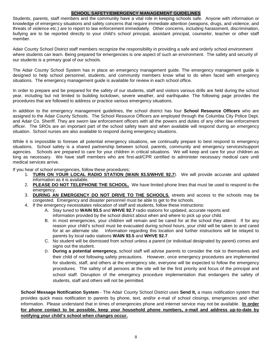# **SCHOOL SAFETY/EMERGENCY MANAGEMENT GUIDELINES**

Students, parents, staff members and the community have a vital role in keeping schools safe. Anyone with information or knowledge of emergency situations and safety concerns that require immediate attention (weapons, drugs, and violence, and threats of violence etc.) are to report to law enforcement immediately. Other concerns, including harassment, discrimination, bullying are to be reported directly to your child's school principal, assistant principal, counselor, teacher or other staff member.

Adair County School District staff members recognize the responsibility in providing a safe and orderly school environment where students can learn. Being prepared for emergencies is one aspect of such an environment. The safety and security of our students is a primary goal of our schools.

The Adair County School System has in place an emergency management guide. The emergency management guide is designed to help school personnel, students, and community members know what to do when faced with emergency situations. The emergency management guide is available for review in each school office.

In order to prepare and be prepared for the safety of our students, staff and visitors various drills are held during the school year, including but not limited to building lockdown, severe weather, and earthquake. The following page provides the procedures that are followed to address or practice various emergency situations.

In addition to the emergency management guidelines, the school district has four **School Resource Officers** who are assigned to the Adair County Schools. The School Resource Officers are employed through the Columbia City Police Dept. and Adair Co. Sheriff. They are sworn law enforcement officers with all the powers and duties of any other law enforcement officer. The SROs are an important part of the school safety team and when available will respond during an emergency situation. School nurses are also available to respond during emergency situations.

While it is impossible to foresee all potential emergency situations, we continually prepare to best respond to emergency situations. School safety is a shared partnership between school, parents, community and emergency services/support agencies. Schools are prepared to care for your children in critical situations. We will keep and care for your children as long as necessary. We have staff members who are first-aid/CPR certified to administer necessary medical care until medical services arrive.

If you hear of school emergencies, follow these procedures:

- 1. **TURN ON YOUR LOCAL RADIO STATION (WAIN 93.5/WHVE 92.7**). We will provide accurate and updated information as it is available.
- 2. **PLEASE DO NOT TELEPHONE THE SCHOOL.** We have limited phone lines that must be used to respond to the emergency.
- 3. **DURING AN EMERGENCY DO NOT DRIVE TO THE SCHOOLS**, streets and access to the schools may be congested. Emergency and disaster personnel must be able to get to the schools.
- 4. If the emergency necessitates relocation of staff and students, follow these instructions:
	- A. Stay tuned to **WAIN 93.5** and **WHVE 92.7** radio stations for updated, accurate reports and information provided by the school district about when and where to pick up your child.
		- B. In most emergencies, your children will remain and be cared for at the school they attend. If for any reason your child's school must be evacuated during school hours, your child will be taken to and cared for at an alternate site. Information regarding this location and further instructions will be relayed to parents by local radio stations **WAIN 93.5** and **WHVE 92.7**.
		- C. No student will be dismissed from school unless a parent (or individual designated by parent) comes and signs out the student.
		- D. **During a potential emergency,** school staff will advise parents to consider the risk to themselves and their child of not following safety precautions. However, once emergency procedures are implemented for students, staff, and others at the emergency site, everyone will be expected to follow the emergency procedures. The safety of all persons at the site will be the first priority and focus of the principal and school staff. Disruption of the emergency procedure implementation that endangers the safety of students, staff and others will not be permitted.

**School Message Notification System** - The Adair County School District uses **Send It,** a mass notification system that provides quick mass notification to parents by phone, text, and/or e-mail of school closings, emergencies and other information. Please understand that in times of emergencies phone and internet service may not be available. **In order for phone contact to be possible, keep your household phone numbers, e-mail and address up-to-date by notifying your child's school when changes occur.**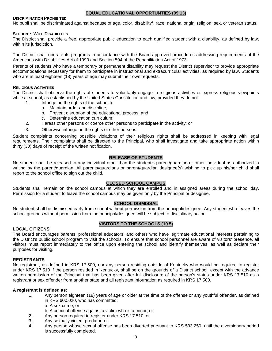# **EQUAL EDUCATIONAL OPPORTUNTIES (09.13)**

# **DISCRIMINATION PROHIBITED**

No pupil shall be discriminated against because of age, color, disability<sup>1</sup>, race, national origin, religion, sex, or veteran status.

#### **STUDENTS WITH DISABILITIES**

The District shall provide a free, appropriate public education to each qualified student with a disability, as defined by law, within its jurisdiction.

The District shall operate its programs in accordance with the Board-approved procedures addressing requirements of the Americans with Disabilities Act of 1990 and Section 504 of the Rehabilitation Act of 1973.

Parents of students who have a temporary or permanent disability may request the District supervisor to provide appropriate accommodations necessary for them to participate in instructional and extracurricular activities, as required by law. Students who are at least eighteen (18) years of age may submit their own requests.

#### **RELIGIOUS ACTIVITIES**

The District shall observe the rights of students to voluntarily engage in religious activities or express religious viewpoints while at school, as established by the United States Constitution and law, provided they do not:

- 1. Infringe on the rights of the school to:
	- a. Maintain order and discipline;
	- b. Prevent disruption of the educational process; and
	- c. Determine education curriculum;
- 2. Harass other persons or coerce other persons to participate in the activity; or
- 3. Otherwise infringe on the rights of other persons.

Student complaints concerning possible violations of their religious rights shall be addressed in keeping with legal requirements. Their complaints shall be directed to the Principal, who shall investigate and take appropriate action within thirty (30) days of receipt of the written notification.

#### **RELEASE OF STUDENTS**

No student shall be released to any individual other than the student's parent/guardian or other individual as authorized in writing by the parent/guardian. All parents/guardians or parent/guardian designee(s) wishing to pick up his/her child shall report to the school office to sign out the child.

#### **CLOSED SCHOOL CAMPUS**

Students shall remain on the school campus at which they are enrolled and in assigned areas during the school day. Permission for a student to leave the school campus may be given only by the Principal or designee.

#### **SCHOOL DISMISSAL**

No student shall be dismissed early from school without permission from the principal/designee. Any student who leaves the school grounds without permission from the principal/designee will be subject to disciplinary action.

# **VISITORS TO THE SCHOOLS (10.5)**

# **LOCAL CITIZENS**

The Board encourages parents, professional educators, and others who have legitimate educational interests pertaining to the District's public school program to visit the schools. To ensure that school personnel are aware of visitors' presence, all visitors must report immediately to the office upon entering the school and identify themselves, as well as declare their purposes for visiting.

#### **REGISTRANTS**

No registrant, as defined in KRS 17.500, nor any person residing outside of Kentucky who would be required to register under KRS 17.510 if the person resided in Kentucky, shall be on the grounds of a District school, except with the advance written permission of the Principal that has been given after full disclosure of the person's status under KRS 17.510 as a registrant or sex offender from another state and all registrant information as required in KRS 17.500.

# **A registrant is defined as:**

- 1. Any person eighteen (18) years of age or older at the time of the offense or any youthful offender, as defined in KRS 600.020, who has committed:
	- a. A sex crime; or
	- b. A criminal offense against a victim who is a minor; or
- 2. Any person required to register under KRS 17.510; or
- 3. Any sexually violent predator; or
- 4. Any person whose sexual offense has been diverted pursuant to KRS 533.250, until the diversionary period is successfully completed.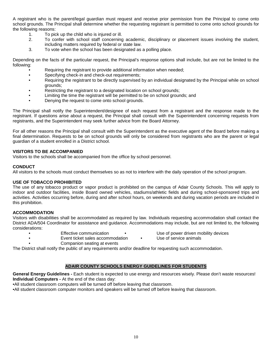A registrant who is the parent/legal guardian must request and receive prior permission from the Principal to come onto school grounds. The Principal shall determine whether the requesting registrant is permitted to come onto school grounds for the following reasons:

- 1. To pick up the child who is injured or ill.<br>2. To confer with school staff concerning
- 2. To confer with school staff concerning academic, disciplinary or placement issues involving the student, including matters required by federal or state law.
- 3. To vote when the school has been designated as a polling place.

Depending on the facts of the particular request, the Principal's response options shall include, but are not be limited to the following:

- Requiring the registrant to provide additional information when needed;
- Specifying check-in and check-out requirements;
- Requiring the registrant to be directly supervised by an individual designated by the Principal while on school grounds;
- Restricting the registrant to a designated location on school grounds;
- Limiting the time the registrant will be permitted to be on school grounds; and
- Denying the request to come onto school grounds.

The Principal shall notify the Superintendent/designee of each request from a registrant and the response made to the registrant. If questions arise about a request, the Principal shall consult with the Superintendent concerning requests from registrants, and the Superintendent may seek further advice from the Board Attorney.

For all other reasons the Principal shall consult with the Superintendent as the executive agent of the Board before making a final determination. Requests to be on school grounds will only be considered from registrants who are the parent or legal guardian of a student enrolled in a District school.

#### **VISITORS TO BE ACCOMPANIED**

Visitors to the schools shall be accompanied from the office by school personnel.

#### **CONDUCT**

All visitors to the schools must conduct themselves so as not to interfere with the daily operation of the school program.

#### **USE OF TOBACCO PROHIBITED**

The use of any tobacco product or vapor product is prohibited on the campus of Adair County Schools. This will apply to indoor and outdoor facilities, inside Board owned vehicles, stadiums/athletic fields and during school-sponsored trips and activities. Activities occurring before, during and after school hours, on weekends and during vacation periods are included in this prohibition.

#### **ACCOMMODATION**

Visitors with disabilities shall be accommodated as required by law. Individuals requesting accommodation shall contact the District ADA/504 Coordinator for assistance and guidance. Accommodations may include, but are not limited to, the following considerations:

- **Effective communication Use of power driven mobility devices**
- **Event ticket sales accommodation** Use of service animals
- -
- Companion seating at events

The District shall notify the public of any requirements and/or deadline for requesting such accommodation.

# **ADAIR COUNTY SCHOOLS ENERGY GUIDELINES FOR STUDENTS**

**General Energy Guidelines -** Each student is expected to use energy and resources wisely. Please don't waste resources! **Individual Computers -** At the end of the class day:

•All student classroom computers will be turned off before leaving that classroom.

•All student classroom computer monitors and speakers will be turned off before leaving that classroom.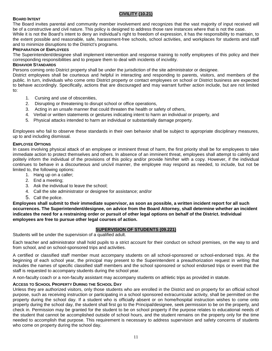# **CIVILITY (10.21)**

#### **BOARD INTENT**

The Board invites parental and community member involvement and recognizes that the vast majority of input received will be of a constructive and civil nature. This policy is designed to address those rare instances where that is not the case.

While it is not the Board's intent to deny an individual's right to freedom of expression, it has the responsibility to maintain, to the extent possible and reasonable, safe, harassment-free schools, school activities, and workplaces for students and staff and to minimize disruptions to the District's programs.

#### **PREPARATION OF EMPLOYEES**

The Superintendent/designee shall implement intervention and response training to notify employees of this policy and their corresponding responsibilities and to prepare them to deal with incidents of incivility.

#### **BEHAVIOR STANDARDS**

Persons coming onto District property shall be under the jurisdiction of the site administrator or designee.

District employees shall be courteous and helpful in interacting and responding to parents, visitors, and members of the public. In turn, individuals who come onto District property or contact employees on school or District business are expected to behave accordingly. Specifically, actions that are discouraged and may warrant further action include, but are not limited to:

- 1. Cursing and use of obscenities,
- 2. Disrupting or threatening to disrupt school or office operations,
- 3. Acting in an unsafe manner that could threaten the health or safety of others,
- 4. Verbal or written statements or gestures indicating intent to harm an individual or property, and
- 5. Physical attacks intended to harm an individual or substantially damage property.

Employees who fail to observe these standards in their own behavior shall be subject to appropriate disciplinary measures, up to and including dismissal.

#### **EMPLOYEE OPTIONS**

In cases involving physical attack of an employee or imminent threat of harm, the first priority shall be for employees to take immediate action to protect themselves and others. In absence of an imminent threat, employees shall attempt to calmly and politely inform the individual of the provisions of this policy and/or provide him/her with a copy. However, if the individual continues to behave in a discourteous and uncivil manner, the employee may respond as needed, to include, but not be limited to, the following options:

- 1. Hang up on a caller;
- 2. End a meeting;
- 3. Ask the individual to leave the school;
- 4. Call the site administrator or designee for assistance; and/or
- 5. Call the police.

**Employees shall submit to their immediate supervisor, as soon as possible, a written incident report for all such occurrences. The Superintendent/designee, on advice from the Board Attorney, shall determine whether an incident indicates the need for a restraining order or pursuit of other legal options on behalf of the District. Individual employees are free to pursue other legal courses of action.**

# **SUPERVISION OF STUDENTS (09.221)**

Students will be under the supervision of a qualified adult.

Each teacher and administrator shall hold pupils to a strict account for their conduct on school premises, on the way to and from school, and on school-sponsored trips and activities.

A certified or classified staff member must accompany students on all school-sponsored or school-endorsed trips. At the beginning of each school year, the principal may present to the Superintendent a preauthorization request in writing that includes the names of specific classified staff members and the school sponsored or school endorsed trips or event that the staff is requested to accompany students during the school year.

A non-faculty coach or a non-faculty assistant may accompany students on athletic trips as provided in statute.

#### **ACCESS TO SCHOOL PROPERTY DURING THE SCHOOL DAY**

Unless they are authorized visitors, only those students who are enrolled in the District and on property for an official school purpose, such as receiving instruction or participating in a school sponsored extracurricular activity, shall be permitted on the property during the school day. If a student who is officially absent or on home/hospital instruction wishes to come onto property during the school day, the student shall first go to the Principal/designee, seek permission to be on the property, and check in. Permission may be granted for the student to be on school property if the purpose relates to educational needs of the student that cannot be accomplished outside of school hours, and the student remains on the property only for the time needed to accomplish that purpose. This requirement is necessary to address supervision and safety concerns of students who come on property during the school day.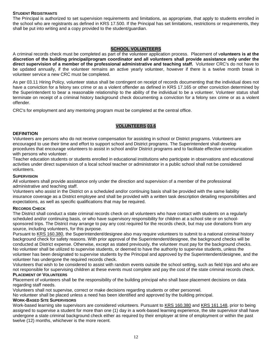#### **STUDENT REGISTRANTS**

The Principal is authorized to set supervision requirements and limitations, as appropriate, that apply to students enrolled in the school who are registrants as defined in KRS 17.500. If the Principal has set limitations, restrictions or requirements, they shall be put into writing and a copy provided to the student/guardian.

# **SCHOOL VOLUNTEERS**

A criminal records check must be completed as part of the volunteer application process. Placement of v**olunteers is at the discretion of the building principal/program coordinator and all volunteers shall provide assistance only under the direct supervision of a member of the professional administrative and teaching staff.** Volunteer CRC's do not have to be updated annually, if the volunteer remains an active yearly volunteer, however if there is a twelve month break in volunteer service a new CRC must be completed.

As per 03.11 Hiring Policy, volunteer status shall be contingent on receipt of records documenting that the individual does not have a conviction for a felony sex crime or as a violent offender as defined in KRS 17.165 or other conviction determined by the Superintendent to bear a reasonable relationship to the ability of the individual to be a volunteer. Volunteer status shall terminate on receipt of a criminal history background check documenting a conviction for a felony sex crime or as a violent offender.

CRC's for employment and any mentoring program must be completed at the central office.

#### **VOLUNTEERS 03.6**

#### **DEFINITION**

Volunteers are persons who do not receive compensation for assisting in school or District programs. Volunteers are encouraged to use their time and effort to support school and District programs. The Superintendent shall develop procedures that encourage volunteers to assist in school and/or District programs and to facilitate effective communication with persons who volunteer.

Teacher education students or students enrolled in educational institutions who participate in observations and educational activities under direct supervision of a local school teacher or administrator in a public school shall not be considered volunteers.

#### **SUPERVISION**

All volunteers shall provide assistance only under the direction and supervision of a member of the professional administrative and teaching staff.

Volunteers who assist in the District on a scheduled and/or continuing basis shall be provided with the same liability insurance coverage as a District employee and shall be provided with a written task description detailing responsibilities and expectations, as well as specific qualifications that may be required.

#### **RECORDS CHECK**

The District shall conduct a state criminal records check on all volunteers who have contact with students on a regularly scheduled and/or continuing basis, or who have supervisory responsibility for children at a school site or on schoolsponsored trips. The District may arrange to pay any cost required for the records check, but may use donations from any source, including volunteers, for this purpose.

Pursuant to KRS 160.380, the Superintendent/designee also may require volunteers to submit to a national criminal history background check for safety reasons. With prior approval of the Superintendent/designee, the background checks will be conducted at District expense. Otherwise, except as stated previously, the volunteer must pay for the background checks. No volunteer shall be utilized to supervise students, or deemed to have the authority to supervise students, unless the volunteer has been designated to supervise students by the Principal and approved by the Superintendent/designee, and the volunteer has undergone the required records check.

Volunteers that wish to be considered to assist with random events outside the school setting, such as field trips and who are not responsible for supervising children at these events must complete and pay the cost of the state criminal records check. **PLACEMENT OF VOLUNTEERS**

Placement of volunteers shall be the responsibility of the building principal who shall base placement decisions on data regarding staff needs.

Volunteers shall not supervise, correct or make decisions regarding students or other personnel.

No volunteer shall be placed unless a need has been identified and approved by the building principal.

# **WORK-BASED SITE SUPERVISORS**

Work-based learning site supervisors are considered volunteers. Pursuant to KRS 160.380 and KRS 161.148, prior to being assigned to supervise a student for more than one (1) day in a work-based learning experience, the site supervisor shall have undergone a state criminal background check either as required by their employer at time of employment or within the past twelve (12) months, whichever is the more recent.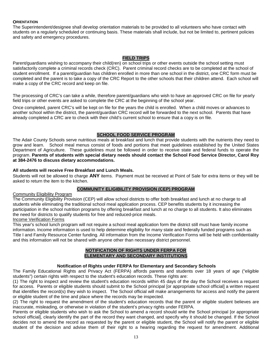# **ORIENTATION**

The Superintendent/designee shall develop orientation materials to be provided to all volunteers who have contact with students on a regularly scheduled or continuing basis. These materials shall include, but not be limited to, pertinent policies and safety and emergency procedures.

# **FIELD TRIPS**

Parent/guardians wishing to accompany their child(ren) on school trips or other events outside the school setting must satisfactorily complete a criminal records check (CRC). Parent criminal record checks are to be completed at the school of student enrollment. If a parent/guardian has children enrolled in more than one school in the district, one CRC form must be completed and the parent is to take a copy of the CRC Report to the other schools that their children attend. Each school will make a copy of the CRC record and keep on file.

The processing of CRC's can take a while, therefore parent/guardians who wish to have an approved CRC on file for yearly field trips or other events are asked to complete the CRC at the beginning of the school year.

Once completed, parent CRC's will be kept on file for the years the child is enrolled. When a child moves or advances to another school within the district, the parent/guardian CRC record will be forwarded to the next school. Parents that have already completed a CRC are to check with their child's current school to ensure that a copy is on file.

#### **SCHOOL FOOD SERVICE PROGRAM**

The Adair County Schools serve nutritious meals at breakfast and lunch that provide students with the nutrients they need to grow and learn. School meal menus consist of foods and portions that meet guidelines established by the United States Department of Agriculture. These guidelines must be followed in order to receive state and federal funds to operate the program. **Parents of students with special dietary needs should contact the School Food Service Director, Carol Roy at 384-2476 to discuss dietary accommodations.**

#### **All students will receive Free Breakfast and Lunch Meals.**

Students will not be allowed to charge **ANY** items. Payment must be received at Point of Sale for extra items or they will be asked to return the item to the kitchen.

# **COMMUNITY ELIGIBILITY PROVISION (CEP) PROGRAM**

#### Community Eligibility Program

The Community Eligibility Provision (CEP) will allow school districts to offer both breakfast and lunch at no charge to all students while eliminating the traditional school meal application process. CEP benefits students by it increasing the participation in the school nutrition programs by offering breakfast and lunch at no charge to all students. It also eliminates the need for districts to qualify students for free and reduced-price meals.

# Income Verification Forms

This year's school lunch program will not require a school meal application form the district still must have family income information. Income information is used to help determine eligibility for many state and federally funded programs such as Title I and Family Resource Center funding. All information from the Income Verification Forms will be held with confidentiality and this information will not be shared with anyone other than necessary district personnel.

#### **NOTIFICATION OF RIGHTS UNDER FERPA FOR ELEMENTARY AND SECONDARY INSTITUTIONS**

# **Notification of Rights under FERPA for Elementary and Secondary Schools**

The Family Educational Rights and Privacy Act (FERPA) affords parents and students over 18 years of age ("eligible students") certain rights with respect to the student's education records. These rights are:

(1) The right to inspect and review the student's education records within 45 days of the day the School receives a request for access. Parents or eligible students should submit to the School principal [or appropriate school official] a written request that identifies the record(s) they wish to inspect. The School official will make arrangements for access and notify the parent or eligible student of the time and place where the records may be inspected.

(2) The right to request the amendment of the student's education records that the parent or eligible student believes are inaccurate, misleading, or otherwise in violation of the student's privacy rights under FERPA.

Parents or eligible students who wish to ask the School to amend a record should write the School principal [or appropriate school official], clearly identify the part of the record they want changed, and specify why it should be changed. If the School decides not to amend the record as requested by the parent or eligible student, the School will notify the parent or eligible student of the decision and advise them of their right to a hearing regarding the request for amendment. Additional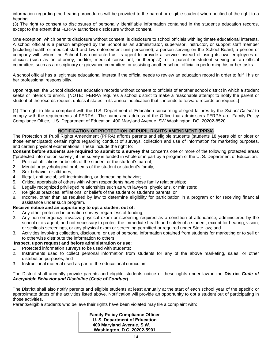information regarding the hearing procedures will be provided to the parent or eligible student when notified of the right to a hearing.

(3) The right to consent to disclosures of personally identifiable information contained in the student's education records, except to the extent that FERPA authorizes disclosure without consent.

One exception, which permits disclosure without consent, is disclosure to school officials with legitimate educational interests. A school official is a person employed by the School as an administrator, supervisor, instructor, or support staff member (including health or medical staff and law enforcement unit personnel); a person serving on the School Board; a person or company with whom the School has contracted as its agent to provide a service instead of using its own employees or officials (such as an attorney, auditor, medical consultant, or therapist); or a parent or student serving on an official committee, such as a disciplinary or grievance committee, or assisting another school official in performing his or her tasks.

A school official has a legitimate educational interest if the official needs to review an education record in order to fulfill his or her professional responsibility.

Upon request, the School discloses education records without consent to officials of another school district in which a student seeks or intends to enroll. [NOTE: FERPA requires a school district to make a reasonable attempt to notify the parent or student of the records request unless it states in its annual notification that it intends to forward records on request.]

(4) The right to file a complaint with the U.S. Department of Education concerning alleged failures by the *School District* to comply with the requirements of FERPA. The name and address of the Office that administers FERPA are: Family Policy Compliance Office, U.S. Department of Education, 400 Maryland Avenue, SW Washington, DC 20202-8520.

# **NOTIFICATION OF PROTECTION OF PUPIL RIGHTS AMENDMENT (PPRA)**

The Protection of Pupil Rights Amendment (PPRA) affords parents and eligible students (students 18 years old or older or those emancipated) certain rights regarding conduct of surveys, collection and use of information for marketing purposes, and certain physical examinations. These include the right to:

**Consent before students are required to submit to a survey** that concerns one or more of the following protected areas ("protected information survey") if the survey is funded in whole or in part by a program of the U. S. Department of Education:

- 1. Political affiliations or beliefs of the student or the student's parent;
- 2. Mental or psychological problems of the student or student's family;
- 3. Sex behavior or attitudes;
- 4. Illegal, anti-social, self-incriminating, or demeaning behavior;
- 5. Critical appraisals of others with whom respondents have close family relationships;
- 6. Legally recognized privileged relationships such as with lawyers, physicians, or ministers;
- 7. Religious practices, affiliations, or beliefs of the student or student's parents; or
- 8. Income, other than as required by law to determine eligibility for participation in a program or for receiving financial assistance under such program.

# **Receive notice and an opportunity to opt a student out of:**

- 1. Any other protected information survey, regardless of funding;
- 2. Any non-emergency, invasive physical exam or screening required as a condition of attendance, administered by the school or its agent, and not necessary to protect the immediate health and safety of a student, except for hearing, vision, or scoliosis screenings, or any physical exam or screening permitted or required under State law; and
- 3. Activities involving collection, disclosure, or use of personal information obtained from students for marketing or to sell or to otherwise distribute the information to others.

# **Inspect, upon request and before administration or use:**

- 1. Protected information surveys to be used with students;
- 2. Instruments used to collect personal information from students for any of the above marketing, sales, or other distribution purposes; and
- 3. Instructional material used as part of the educational curriculum.

The District shall annually provide parents and eligible students notice of these rights under law in the **District** *Code of Acceptable Behavior and Discipline* **(***Code of Conduct***).**

The District shall also notify parents and eligible students at least annually at the start of each school year of the specific or approximate dates of the activities listed above. Notification will provide an opportunity to opt a student out of participating in those activities.

Parents/eligible students who believe their rights have been violated may file a complaint with:

**Family Policy Compliance Officer U. S. Department of Education 400 Maryland Avenue, S.W. Washington, D.C. 20202-5901**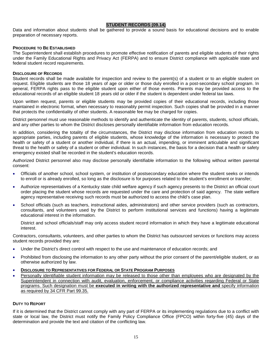# **STUDENT RECORDS (09.14)**

Data and information about students shall be gathered to provide a sound basis for educational decisions and to enable preparation of necessary reports.

#### **PROCEDURE TO BE ESTABLISHED**

The Superintendent shall establish procedures to promote effective notification of parents and eligible students of their rights under the Family Educational Rights and Privacy Act (FERPA) and to ensure District compliance with applicable state and federal student record requirements.

#### **DISCLOSURE OF RECORDS**

Student records shall be made available for inspection and review to the parent(s) of a student or to an eligible student on request. Eligible students are those 18 years of age or older or those duly enrolled in a post-secondary school program. In general, FERPA rights pass to the eligible student upon either of those events. Parents may be provided access to the educational records of an eligible student 18 years old or older if the student is dependent under federal tax laws.

Upon written request, parents or eligible students may be provided copies of their educational records, including those maintained in electronic format, when necessary to reasonably permit inspection. Such copies shall be provided in a manner that protects the confidentiality of other students. A reasonable fee may be charged for copies.

District personnel must use reasonable methods to identify and authenticate the identity of parents, students, school officials, and any other parties to whom the District discloses personally identifiable information from education records.

In addition, considering the totality of the circumstances, the District may disclose information from education records to appropriate parties, including parents of eligible students, whose knowledge of the information is necessary to protect the health or safety of a student or another individual, if there is an actual, impending, or imminent articulable and significant threat to the health or safety of a student or other individual. In such instances, the basis for a decision that a health or safety emergency existed shall be recorded in the student's education records.

Authorized District personnel also may disclose personally identifiable information to the following without written parental consent:

- Officials of another school, school system, or institution of postsecondary education where the student seeks or intends to enroll or is already enrolled, so long as the disclosure is for purposes related to the student's enrollment or transfer;
- Authorize representatives of a Kentucky state child welfare agency if such agency presents to the District an official court order placing the student whose records are requested under the care and protection of said agency. The state welfare agency representative receiving such records must be authorized to access the child's case plan.
- School officials (such as teachers, instructional aides, administrators) and other service providers (such as contractors, consultants, and volunteers used by the District to perform institutional services and functions) having a legitimate educational interest in the information.

District and school officials/staff may only access student record information in which they have a legitimate educational interest.

Contractors, consultants, volunteers, and other parties to whom the District has outsourced services or functions may access student records provided they are:

- Under the District's direct control with respect to the use and maintenance of education records; and
- Prohibited from disclosing the information to any other party without the prior consent of the parent/eligible student, or as otherwise authorized by law.
- **DISCLOSURE TO REPRESENTATIVES FOR FEDERAL OR STATE PROGRAM PURPOSES**
- Personally identifiable student information may be released to those other than employees who are designated by the Superintendent in connection with audit, evaluation, enforcement, or compliance activities regarding Federal or State programs. Such designation must be **executed in writing with the authorized representative and** specify information as required by 34 CFR Part 99.35.

#### **DUTY TO REPORT**

If it is determined that the District cannot comply with any part of FERPA or its implementing regulations due to a conflict with state or local law, the District must notify the Family Policy Compliance Office (FPCO) within forty-five (45) days of the determination and provide the text and citation of the conflicting law.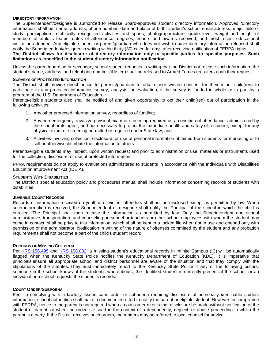#### **DIRECTORY INFORMATION**

The Superintendent/designee is authorized to release Board-approved student directory information. Approved "directory information" shall be: name, address, phone number, date and place of birth, student's school email address, major field of study, participation in officially recognized activities and sports, photograph/picture, grade level, weight and height of members of athletic teams, dates of attendance, degrees, honors and awards received, and most recent educational institution attended. Any eligible student or parent/guardian who does not wish to have directory information released shall notify the Superintendent/designee in writing within thirty (30) calendar days after receiving notification of FERPA rights.

**The District allows for disclosure of directory information only to specific parties for specific purposes. Such limitations** are **specified in the student directory information notification.**

Unless the parent/guardian or secondary school student requests in writing that the District not release such information, the student's name, address, and telephone number (if listed) shall be released to Armed Forces recruiters upon their request.

#### **SURVEYS OF PROTECTED INFORMATION**

The District shall provide direct notice to parents/guardian to obtain prior written consent for their minor child(ren) to participate in any protected information survey, analysis, or evaluation, if the survey is funded in whole or in part by a program of the U.S. Department of Education.

Parents/eligible students also shall be notified of and given opportunity to opt their child(ren) out of participation in the following activities:

- 1. Any other protected information survey, regardless of funding;
- 2. Any non-emergency, invasive physical exam or screening required as a condition of attendance, administered by the school or its agent, and not necessary to protect the immediate health and safety of a student, except for any physical exam or screening permitted or required under State law; and
- 3. Activities involving collection, disclosure, or use of personal information obtained from students for marketing or to sell or otherwise distribute the information to others.

Parents/eligible students may inspect, upon written request and prior to administration or use, materials or instruments used for the collection, disclosure, or use of protected information.

PPRA requirements do not apply to evaluations administered to students in accordance with the Individuals with Disabilities Education Improvement Act (IDEIA).

#### **STUDENTS WITH DISABILITIES**

The District's special education policy and procedures manual shall include information concerning records of students with disabilities.

#### **JUVENILE COURT RECORDS**

Records or information received on youthful or violent offenders shall not be disclosed except as permitted by law. When such information is received, the Superintendent or designee shall notify the Principal of the school in which the child is enrolled. The Principal shall then release the information as permitted by law. Only the Superintendent and school administrative, transportation, and counseling personnel or teachers or other school employees with whom the student may come in contact, shall be privy to this information, which shall be kept in a locked file when not in use and opened only with permission of the administrator. Notification in writing of the nature of offenses committed by the student and any probation requirements shall not become a part of the child's student record.

#### **RECORDS OF MISSING CHILDREN**

Per [KRS 156.495](https://apps.legislature.ky.gov/law/statutes/statute.aspx?id=3206) and [KRS 158.032,](https://apps.legislature.ky.gov/law/statutes/statute.aspx?id=3424) a missing student's educational records in Infinite Campus (IC) will be automatically flagged when the Kentucky State Police notifies the Kentucky Department of Education (KDE). It is imperative that principals ensure all appropriate school and district personnel are aware of the situation and that they comply with the stipulations of the statutes. They must immediately report to the Kentucky State Police if any of the following occurs: someone in the school knows of the student's whereabouts; the identified student is currently present at the school; or an individual or a school requests the student's records.

#### **COURT ORDER/SUBPOENA**

Prior to complying with a lawfully issued court order or subpoena requiring disclosure of personally identifiable student information, school authorities shall make a documented effort to notify the parent or eligible student. However, in compliance with FERPA, notice to the parent is not required when a court order directs that disclosure be made without notification of the student or parent, or when the order is issued in the context of a dependency, neglect, or abuse proceeding in which the parent is a party. If the District receives such orders, the matters may be referred to local counsel for advice.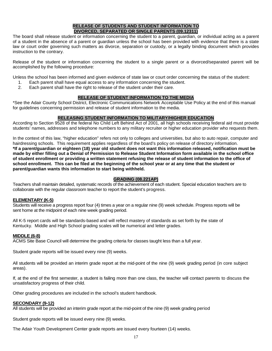# **RELEASE OF STUDENTS AND STUDENT INFORMATION TO DIVORCED, SEPARATED OR SINGLE PARENTS (09.12311)**

The board shall release student or information concerning the student to a parent, guardian, or individual acting as a parent of a student in the absence of a parent or guardian unless the school has been provided with evidence that there is a state law or court order governing such matters as divorce, separation or custody, or a legally binding document which provides instruction to the contrary.

Release of the student or information concerning the student to a single parent or a divorced/separated parent will be accomplished by the following procedure:

Unless the school has been informed and given evidence of state law or court order concerning the status of the student:

- 1. Each parent shall have equal access to any information concerning the student.
- 2. Each parent shall have the right to release of the student under their care.

# **RELEASE OF STUDENT INFORMATION TO THE MEDIA**

\*See the Adair County School District, Electronic Communications Network Acceptable Use Policy at the end of this manual for guidelines concerning permission and release of student information to the media.

# **RELEASING STUDENT INFORMATION TO MILITARY/HIGHER EDUCATION**

According to Section 9528 of the federal No Child Left Behind Act of 2001, all high schools receiving federal aid must provide students' names, addresses and telephone numbers to any military recruiter or higher education provider who requests them.

In the context of this law, "higher education" refers not only to colleges and universities, but also to auto repair, computer and hairdressing schools. This requirement applies regardless of the board's policy on release of directory information. **\*If a parent/guardian or eighteen (18) year old student does not want this information released, notification must be made by either filling out a Denial of Permission to Release Student Information form available in the school office of student enrollment or providing a written statement refusing the release of student information to the office of school enrollment. This can be filed at the beginning of the school year or at any time that the student or parent/guardian wants this information to start being withheld.**

# **GRADING (08.221AP)**

Teachers shall maintain detailed, systematic records of the achievement of each student. Special education teachers are to collaborate with the regular classroom teacher to report the student's progress.

# **ELEMENTARY (K-5)**

Students will receive a progress report four (4) times a year on a regular nine (9) week schedule. Progress reports will be sent home at the midpoint of each nine week grading period.

All K-5 report cards will be standards-based and will reflect mastery of standards as set forth by the state of Kentucky. Middle and High School grading scales will be numerical and letter grades.

#### **MIDDLE (6-8)**

ACMS Site Base Council will determine the grading criteria for classes taught less than a full year.

Student grade reports will be issued every nine (9) weeks.

All students will be provided an interim grade report at the mid-point of the nine (9) week grading period (in core subject areas).

If, at the end of the first semester, a student is failing more than one class, the teacher will contact parents to discuss the unsatisfactory progress of their child.

Other grading procedures are included in the school's student handbook.

#### **SECONDARY (9-12)**

All students will be provided an interim grade report at the mid-point of the nine (9) week grading period

Student grade reports will be issued every nine (9) weeks.

The Adair Youth Development Center grade reports are issued every fourteen (14) weeks.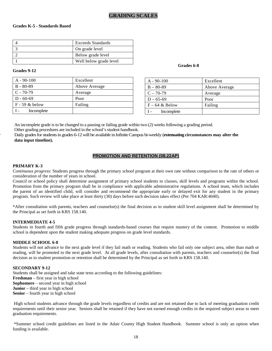#### **Grades K-5 - Standards Based**

| Exceeds Standards      |
|------------------------|
| On grade level         |
| Below grade level      |
| Well below grade level |

# **Grades 9-12 Grades 6-8**

| $A - 90 - 100$   | Excellent     |
|------------------|---------------|
| $B - 80 - 89$    | Above Average |
| $C - 70-79$      | Average       |
| $D - 60 - 69$    | Poor          |
| $F - 59$ & below | Failing       |
| Incomplete       |               |

| $A - 90 - 100$    | Excellent     |
|-------------------|---------------|
| $B - 80 - 89$     | Above Average |
| $C - 70-79$       | Average       |
| $D - 65-69$       | Poor          |
| $F - 64 \&$ Below | Failing       |
| Incomplete        |               |

An incomplete grade is to be changed to a passing or failing grade within two (2) weeks following a grading period. Other grading procedures are included in the school's student handbook.

Daily grades for students in grades 6-12 will be available in Infinite Campus bi-weekly (**extenuating circumstances may alter the data input timeline).**

# **PROMOTION AND RETENTION (08.22AP)**

#### **PRIMARY K-3**

.

*Continuous progress*: Students progress through the primary school program at their own rate without comparison to the rate of others or consideration of the number of years in school.

Council or school policy shall determine assignment of primary school students to classes, skill levels and programs within the school. Promotion from the primary program shall be in compliance with applicable administrative regulations. A school team, which includes the parent of an identified child, will consider and recommend the appropriate early or delayed exit for any student in the primary program. Such review will take place at least thirty (30) days before such decision takes effect (Per 704 KAR:4040).

\*After consultation with parents, teachers and counselor(s) the final decision as to student skill level assignment shall be determined by the Principal as set forth in KRS 158.140.

#### **INTERMEDIATE 4-5**

Students in fourth and fifth grade progress through standards-based courses that require mastery of the content. Promotion to middle school is dependent upon the student making adequate progress on grade level standards.

#### **MIDDLE SCHOOL 6-8**

Students will not advance to the next grade level if they fail math or reading. Students who fail only one subject area, other than math or reading, will be promoted to the next grade level. At all grade levels, after consultation with parents, teachers and counselor(s) the final decision as to student promotion or retention shall be determined by the Principal as set forth in KRS 158.140.

#### **SECONDARY 9-12**

Students shall be assigned and take state tests according to the following guidelines: **Freshman** – first year in high school **Sophomore** – second year in high school **Junior** – third year in high school **Senior** – fourth year in high school

High school students advance through the grade levels regardless of credits and are not retained due to lack of meeting graduation credit requirements until their senior year. Seniors shall be retained if they have not earned enough credits in the required subject areas to meet graduation requirements.

\*Summer school credit guidelines are listed in the Adair County High Student Handbook. Summer school is only an option when funding is available.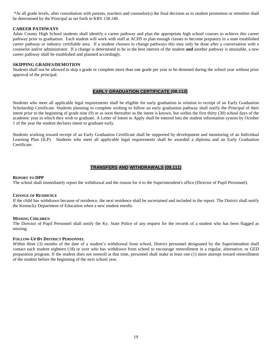\*At all grade levels, after consultation with parents, teachers and counselor(s) the final decision as to student promotion or retention shall be determined by the Principal as set forth in KRS 158.140.

#### **CAREER PATHWAYS**

Adair County High School students shall identify a career pathway and plan the appropriate high school courses to achieve this career pathway prior to graduation. Each student will work with staff at ACHS to plan enough classes to become prepatory in a state established career pathway or industry certifiable area. If a student chooses to change pathways this may only be done after a conversation with a counselor and/or administrator. If a change is determined to be in the best interest of the student **and** another pathway is attainable, a new career pathway shall be established and planned accordingly.

#### **SKIPPING GRADES/DEMOTION**

Students shall not be allowed to skip a grade or complete more than one grade per year or be demoted during the school year without prior approval of the principal.

#### **EARLY GRADUATION CERTIFICATE (08.113)**

Students who meet all applicable legal requirements shall be eligible for early graduation in relation to receipt of an Early Graduation Scholarship Certificate. Students planning to complete wishing to follow an early graduation pathway shall notify the Principal of their intent prior to the beginning of grade nine (9) or as soon thereafter as the intent is known, but within the first thirty (30) school days of the academic year in which they wish to graduate. A Letter of Intent to Apply shall be entered into the student information system by October 1 of the year the student declares intent to graduate early.

Students working toward receipt of an Early Graduation Certificate shall be supported by development and monitoring of an Individual Learning Plan (ILP). Students who meet all applicable legal requirements shall be awarded a diploma and an Early Graduation Certificate.

# **TRANSFERS AND WITHDRAWALS (09.111)**

#### **REPORT TO DPP**

The school shall immediately report the withdrawal and the reason for it to the Superintendent's office (Director of Pupil Personnel).

#### **CHANGE OF RESIDENCE**

If the child has withdrawn because of residence, the next residence shall be ascertained and included in the report. The District shall notify the Kentucky Department of Education when a new student enrolls.

#### **MISSING CHILDREN**

The Director of Pupil Personnel shall notify the Ky. State Police of any request for the records of a student who has been flagged as missing.

#### **FOLLOW-UP BY DISTRICT PERSONNEL**

Within three (3) months of the date of a student's withdrawal from school, District personnel designated by the Superintendent shall contact each student eighteen (18) or over who has withdrawn from school to encourage reenrollment in a regular, alternative, or GED preparation program. If the student does not reenroll at that time, personnel shall make at least one (1) more attempt toward reenrollment of the student before the beginning of the next school year.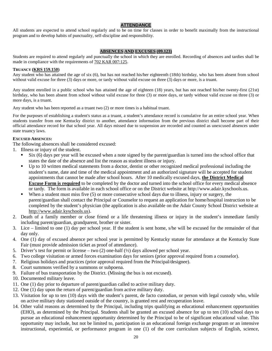# **ATTENDANCE**

All students are expected to attend school regularly and to be on time for classes in order to benefit maximally from the instructional program and to develop habits of punctuality, self-discipline and responsibility.

# **ABSENCES AND EXCUSES (09.123)**

Students are required to attend regularly and punctually the school in which they are enrolled. Recording of absences and tardies shall be made in compliance with the requirements of 702 KAR 007:125.

#### **TRUANCY (KRS 159.150)**

Any student who has attained the age of six (6), but has not reached his/her eighteenth (18th) birthday, who has been absent from school without valid excuse for three (3) days or more, or tardy without valid excuse on three (3) days or more, is a truant.

Any student enrolled in a public school who has attained the age of eighteen (18) years, but has not reached his/her twenty-first (21st) birthday, who has been absent from school without valid excuse for three (3) or more days, or tardy without valid excuse on three (3) or more days, is a truant.

Any student who has been reported as a truant two (2) or more times is a habitual truant.

For the purposes of establishing a student's status as a truant, a student's attendance record is cumulative for an entire school year. When students transfer from one Kentucky district to another, attendance information from the previous district shall become part of their official attendance record for that school year. All days missed due to suspension are recorded and counted as unexcused absences under state truancy laws.

#### **EXCUSED ABSENCES:**

The following absences shall be considered excused:

- 1. Illness or injury of the student.
	- Six (6) days per year will be excused when a note signed by the parent/guardian is turned into the school office that states the date of the absence and list the reason as student illness or injury.
	- Up to 10 written medical statements from a doctor, dentist or other recognized medical professional including the student's name, date and time of the medical appointment and an authorized signature will be accepted for student appointments that cannot be made after school hours. After 10 medically excused days, **the District Medical Excuse Form is required** to be completed by the doctor and turned into the school office for every medical absence or tardy. The form is available in each school office or on the District website at http://www.adair.kyschools.us.
	- When a student must miss five (5) or more consecutive school days due to illness, injury or surgery, the parent/guardian shall contact the Principal or Counselor to request an application for home/hospital instruction to be completed by the student's physician (the application is also available on the Adair County School District website at [http://www.adair.kyschools.us\)](http://www.adair.kyschools.us/).
- 2. Death of a family member or close friend or a life threatening illness or injury in the student's immediate family including parent/guardian, grandparent, brother or sister.
- 3. Lice limited to one (1) day per school year. If the student is sent home, s/he will be excused for the remainder of that day only.
- 4. One (1) day of excused absence per school year is permitted by Kentucky statute for attendance at the Kentucky State Fair (must provide admission ticket as proof of attendance).
- 5. Driver's test for permit or license two  $(2)$  one-half  $(\frac{1}{2})$  days allowed per school year.
- 6. Two college visitation or armed forces examination days for seniors (prior approval required from a counselor).
- 7. Religious holidays and practices (prior approval required from the Principal/designee).
- 8. Court summons verified by a summons or subpoena.
- 9. Failure of bus transportation by the District. (Missing the bus is not excused).
- 10. Documented military leave.
- 11. One (1) day prior to departure of parent/guardian called to active military duty.
- 12. One (1) day upon the return of parent/guardian from active military duty.
- 13. Visitation for up to ten (10) days with the student's parent, de facto custodian, or person with legal custody who, while on active military duty stationed outside of the country, is granted rest and recuperation leave.
- 14. Other valid reasons as determined by the Principal, including trips qualifying as educational enhancement opportunities (EHO), as determined by the Principal. Students shall be granted an excused absence for up to ten (10) school days to pursue an educational enhancement opportunity determined by the Principal to be of significant educational value. This opportunity may include, but not be limited to, participation in an educational foreign exchange program or an intensive instructional, experiential, or performance program in one (1) of the core curriculum subjects of English, science,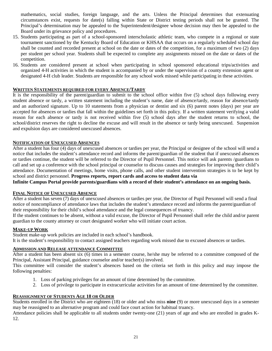mathematics, social studies, foreign language, and the arts. Unless the Principal determines that extenuating circumstances exist, requests for date(s) falling within State or District testing periods shall not be granted. The Principal's determination may be appealed to the Superintendent/designee whose decision may then be appealed to the Board under its grievance policy and procedures.

- 15. Students participating as part of a school-sponsored interscholastic athletic team, who compete in a regional or state tournament sanctioned by the Kentucky Board of Education or KHSAA that occurs on a regularly scheduled school day shall be counted and recorded present at school on the date or dates of the competition, for a maximum of two (2) days per student per school year. Students shall be expected to complete any assignments missed on the date or dates of the competition.
- 16. Students are considered present at school when participating in school sponsored educational trips/activities and organized 4-H activities in which the student is accompanied by or under the supervision of a county extension agent or designated 4-H club leader. Students are responsible for any school work missed while participating in these activities.

# **WRITTEN STATEMENTS REQUIRED FOR EVERY ABSENCE/TARDY**

It is the responsibility of the parent/guardian to submit to the school office within five (5) school days following every student absence or tardy, a written statement including the student's name, date of absence/tardy, reason for absence/tardy and an authorized signature. Up to 10 statements from a physician or dentist and six (6) parent notes (days) per year are accepted for absences or tardies that fall within the guidelines set forth in this policy. If a written statement verifying a valid reason for each absence or tardy is not received within five (5) school days after the student returns to school, the school/district reserves the right to decline the excuse and will result in the absence or tardy being unexcused. Suspension and expulsion days are considered unexcused absences.

# **NOTIFICATION OF UNEXCUSED ABSENCES**

After a student has four (4) days of unexcused absences or tardies per year, the Principal or designee of the school will send a notice that includes the student's attendance record and informs the parent/guardian of the student that if unexcused absences or tardies continue, the student will be referred to the Director of Pupil Personnel. This notice will ask parents /guardians to call and set up a conference with the school principal or counselor to discuss causes and strategies for improving their child's attendance. Documentation of meetings, home visits, phone calls, and other student intervention strategies is to be kept by school and district personnel. **Progress reports, report cards and access to student data via** 

**Infinite Campus Portal provide parents/guardians with a record of their student's attendance on an ongoing basis.**

# **FINAL NOTICE OF UNEXCUSED ABSENCE**

After a student has seven (7) days of unexcused absences or tardies per year, the Director of Pupil Personnel will send a final notice of noncompliance of attendance laws that includes the student's attendance record and informs the parent/guardian of their responsibility for their child's school attendance and the legal consequences of truancy.

If the student continues to be absent, without a valid excuse, the Director of Pupil Personnel shall refer the child and/or parent guardian to the county attorney or court designated worker who will initiate court action.

# **MAKE-UP WORK**

Student make-up work policies are included in each school's handbook. It is the student's responsibility to contact assigned teachers regarding work missed due to excused absences or tardies.

# **ADMISSION AND RELEASE ATTENDANCE COMMITTEE**

After a student has been absent six (6) times in a semester course, he/she may be referred to a committee composed of the Principal, Assistant Principal, guidance counselor and/or teacher(s) involved.

This committee will consider the student's absences based on the criteria set forth in this policy and may impose the following penalties:

- 1. Loss of parking privileges for an amount of time determined by the committee.
- 2. Loss of privilege to participate in extracurricular activities for an amount of time determined by the committee.

# **REASSIGNMENT OF STUDENTS AGE 18 OR OLDER**

Students enrolled in the District who are eighteen (18) or older and who miss **nine** (9) or more unexcused days in a semester may be reassigned to an alternative program and could face court action for habitual truancy.

Attendance policies shall be applicable to all students under twenty-one (21) years of age and who are enrolled in grades K-12.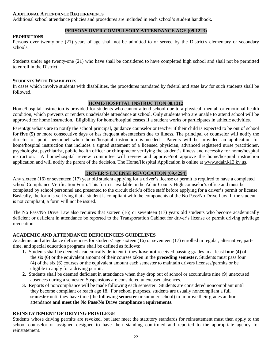# **ADDITIONAL ATTENDANCE REQUIREMENTS**

Additional school attendance policies and procedures are included in each school's student handbook.

# **PERSONS OVER COMPULSORY ATTENDANCE AGE (09.1223)**

#### **PROHIBITIONS**

Persons over twenty-one (21) years of age shall not be admitted to or served by the District's elementary or secondary schools.

Students under age twenty-one (21) who have shall be considered to have completed high school and shall not be permitted to enroll in the District.

#### **STUDENTS WITH DISABILITIES**

In cases which involve students with disabilities, the procedures mandated by federal and state law for such students shall be followed.

# **HOME/HOSPITAL INSTRUCTION 08.1312**

Home/hospital instruction is provided for students who cannot attend school due to a physical, mental, or emotional health condition, which prevents or renders unadvisable attendance at school. Only students who are unable to attend school will be approved for home instruction. Eligibility for home/hospital ceases if a student works or participates in athletic activities.

Parent/guardians are to notify the school principal, guidance counselor or teacher if their child is expected to be out of school for **five (5)** or more consecutive days or has frequent absenteeism due to illness. The principal or counselor will notify the director of pupil personnel when home/hospital instruction is needed. Parents will be provided an application for home/hospital instruction that includes a signed statement of a licensed physician, advanced registered nurse practitioner, psychologist, psychiatrist, public health officer or chiropractor verifying the student's illness and necessity for home/hospital instruction. A home/hospital review committee will review and approve/not approve the home/hospital instruction application and will notify the parent of the decision. The Home/Hospital Application is online at [www.adair.k12.ky.us.](http://www.adair.k12.ky.us/)

# **DRIVER'S LICENSE REVOCATION (09.4294)**

Any sixteen (16) or seventeen (17) year old student applying for a driver's license or permit is required to have a completed school Compliance Verification Form. This form is available in the Adair County High counselor's office and must be completed by school personnel and presented to the circuit clerk's office staff before applying for a driver's permit or license. Basically, the form is verifying that a student is compliant with the components of the No Pass/No Drive Law. If the student is not compliant, a form will not be issued.

The No Pass/No Drive Law also requires that sixteen (16) or seventeen (17) years old students who become academically deficient or deficient in attendance be reported to the Transportation Cabinet for driver's license or permit driving privilege revocation.

# **ACADEMIC AND ATTENDANCE DEFICIENCIES GUIDELINES**

Academic and attendance deficiencies for students' age sixteen (16) or seventeen (17) enrolled in regular, alternative, parttime, and special education programs shall be defined as follows:

- **1.** Students shall be deemed academically deficient if they **have not** received passing grades in at least **four (4)** of the **six (6)** or the equivalent amount of their courses taken in the **preceding semester**. Students must pass four (4) of the six (6) courses or the equivalent amount each semester to maintain drivers licenses/permits or be eligible to apply for a driving permit.
- **2.** Students shall be deemed deficient in attendance when they drop out of school or accumulate nine (9) unexcused absences during a semester. Suspensions are considered unexcused absences.
- **3.** Reports of noncompliance will be made following each semester. Students are considered noncompliant until they become compliant or reach age 18. For school purposes, students are usually noncompliant a full **semester** until they have time (the following **semester** or summer school) to improve their grades and/or attendance **and meet the No Pass/No Drive compliance requirements.**

# **REINSTATEMENT OF DRIVING PRIVILEGE**

Students whose driving permits are revoked, but later meet the statutory standards for reinstatement must then apply to the school counselor or assigned designee to have their standing confirmed and reported to the appropriate agency for reinstatement.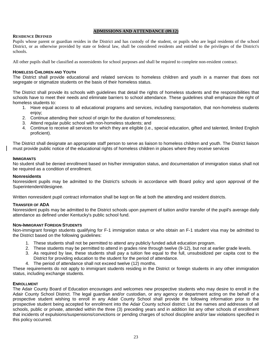#### **ADMISSIONS AND ATTENDANCE (09.12)**

#### **RESIDENCE DEFINED**

Pupils whose parent or guardian resides in the District and has custody of the student, or pupils who are legal residents of the school District, or as otherwise provided by state or federal law, shall be considered residents and entitled to the privileges of the District's schools.

All other pupils shall be classified as nonresidents for school purposes and shall be required to complete non-resident contract.

#### **HOMELESS CHILDREN AND YOUTH**

The District shall provide educational and related services to homeless children and youth in a manner that does not segregate or stigmatize students on the basis of their homeless status.

The District shall provide its schools with guidelines that detail the rights of homeless students and the responsibilities that schools have to meet their needs and eliminate barriers to school attendance. These guidelines shall emphasize the right of homeless students to:

- 1. Have equal access to all educational programs and services, including transportation, that non-homeless students enjoy;
- 2. Continue attending their school of origin for the duration of homelessness;
- 3. Attend regular public school with non-homeless students; and
- 4. Continue to receive all services for which they are eligible (i.e., special education, gifted and talented, limited English proficient).

The District shall designate an appropriate staff person to serve as liaison to homeless children and youth. The District liaison must provide public notice of the educational rights of homeless children in places where they receive services

#### **IMMIGRANTS**

No student shall be denied enrollment based on his/her immigration status, and documentation of immigration status shall not be required as a condition of enrollment.

#### **Nonresidents**

Nonresident pupils may be admitted to the District's schools in accordance with Board policy and upon approval of the Superintendent/designee.

Written nonresident pupil contract information shall be kept on file at both the attending and resident districts.

#### **TRANSFER OF ADA**

Nonresident pupils may be admitted to the District schools upon payment of tuition and/or transfer of the pupil's average daily attendance as defined under Kentucky's public school fund.

#### **NON-IMMIGRANT FOREIGN STUDENTS**

Non-immigrant foreign students qualifying for F-1 immigration status or who obtain an F-1 student visa may be admitted to the District based on the following guidelines:

- 1. These students shall not be permitted to attend any publicly funded adult education program.
- 2. These students may be permitted to attend in grades nine through twelve (9-12), but not at earlier grade levels.
- 3. As required by law, these students shall pay a tuition fee equal to the full, unsubsidized per capita cost to the District for providing education to the student for the period of attendance.
- 4. The period of attendance shall not exceed twelve (12) months.

These requirements do not apply to immigrant students residing in the District or foreign students in any other immigration status, including exchange students.

#### **ENROLLMENT**

The Adair County Board of Education encourages and welcomes new prospective students who may desire to enroll in the Adair County School District. The legal guardian and/or custodian, or any agency or department acting on the behalf of a prospective student wishing to enroll in any Adair County School shall provide the following information prior to the prospective student being accepted for enrollment into the Adair County school district: List the names and addresses of all schools, public or private, attended within the three (3) preceding years and in addition list any other schools of enrollment that incidents of expulsions/suspensions/convictions or pending charges of school discipline and/or law violations specified in this policy occurred.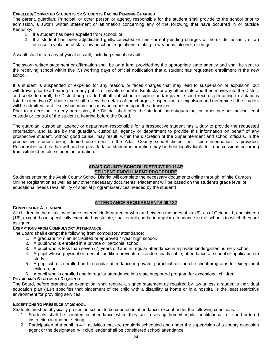# **EXPELLED/CONVICTED STUDENTS OR STUDENTS FACING PENDING CHARGES**

The parent, guardian, Principal, or other person or agency responsible for the student shall provide to the school prior to admission, a sworn written statement or affirmation concerning any of the following that have occurred in or outside Kentucky:

- 1. If a student has been expelled from school; or
- 2. If a student has been adjudicated guilty/convicted or has current pending charges of, homicide, assault, or an offense in violation of state law or school regulations relating to weapons, alcohol, or drugs.

Assault shall mean any physical assault, including sexual assault.

The sworn written statement or affirmation shall be on a form provided by the appropriate state agency and shall be sent to the receiving school within five (5) working days of official notification that a student has requested enrollment in the new school.

If a student is suspended or expelled for any reason, or faces charges that may lead to suspension or expulsion, but withdraws prior to a hearing from any public or private school in Kentucky or any other state and then moves into the District and seeks to enroll, the District be provided all official school discipline and/or juvenile court records pertaining to violations listed in item two (2) above and shall review the details of the charges, suspension, or expulsion and determine if the student will be admitted, and if so, what conditions may be imposed upon the admission.

Prior to a decision to deny admission, the District shall offer the student, parent/guardian, or other persons having legal custody or control of the student a hearing before the Board.

The guardian, custodian, agency or department responsible for a prospective student has a duty to provide the requested information, and failure by the guardian, custodian, agency or department to provide this information on behalf of any prospective student, without good cause, may result, within the discretion of the Superintendent and school officials, in the prospective student being denied enrollment in the Adair County school district until such information is provided. Responsible parties that withhold or provide false student information may be held legally liable for repercussions occurring from withheld or false student information.

# **ADAIR COUNTY SCHOOL DISTRICT 09.11AP STUDENT ENROLLMENT PROCEDURE**

Students entering the Adair County School District will complete the necessary documents online through Infinite Campus Online Registration as well as any other necessary documents. Placement will be based on the student's grade level or educational needs (availability of special programs/services needed by the student).

# **ATTENDANCE REQUIREMENTS 09.122**

# **COMPULSORY ATTENDANCE**

All children in the district who have entered kindergarten or who are between the ages of six (6), as of October 1, and sixteen (16), except those specifically exempted by statute, shall enroll and be in regular attendance in the schools to which they are assigned.

# **EXEMPTIONS FROM COMPULSORY ATTENDANCE**

The Board shall exempt the following from compulsory attendance:

- 1. A graduate from an accredited or approved 4-year high school,
- 2. A pupil who is enrolled in a private or parochial school,
- 3. A pupil who is less than seven (7) years old and in regular attendance in a private kindergarten nursery school,
- 4. A pupil whose physical or mental condition prevents or renders inadvisable, attendance at school or application to study,
- 5. A pupil who is enrolled and in regular attendance in private, parochial, or church school programs for exceptional children, or
- 6. A pupil who is enrolled and in regular attendance in a state supported program for exceptional children.

# **PHYSICIAN'S STATEMENT REQUIRED**

The Board, before granting an exemption, shall require a signed statement as required by law unless a student's individual education plan (IEP) specifies that placement of the child with a disability at home or in a hospital is the least restrictive environment for providing services.

# **EXCEPTIONS TO PRESENCE AT SCHOOL**

Students must be physically present in school to be counted in attendance, except under the following conditions:

- 1. Students shall be counted in attendance when they are receiving home/hospital, institutional, or court-ordered instruction in another setting.
- 2. Participation of a pupil in 4-H activities that are regularly scheduled and under the supervision of a county extension agent or the designated 4-H club leader shall be considered school attendance.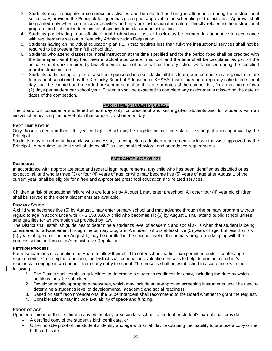- 3. Students may participate in co-curricular activities and be counted as being in attendance during the instructional school day, provided the Principal/designee has given prior approval to the scheduling of the activities. Approval shall be granted only when co-curricular activities and trips are instructional in nature, directly related to the instructional program, and scheduled to minimize absences from classroom instruction.
- 4. Students participating in an off-site virtual high school class or block may be counted in attendance in accordance with requirements set out in Kentucky Administration Regulation.
- 5. Students having an individual education plan (IEP) that requires less than full-time instructional services shall not be required to be present for a full school day.
- 6. Students who attend classes for moral instruction at the time specified and for the period fixed shall be credited with the time spent as if they had been in actual attendance in school, and the time shall be calculated as part of the actual school work required by law. Students shall not be penalized for any school work missed during the specified moral instruction time.
- 7. Students participating as part of a school-sponsored interscholastic athletic team, who compete in a regional or state tournament sanctioned by the Kentucky Board of Education or KHSAA, that occurs on a regularly scheduled school day shall be counted and recorded present at school on the date or dates of the competition, for a maximum of two (2) days per student per school year. Students shall be expected to complete any assignments missed on the date or dates of the competition.

# **PART-TIME STUDENTS 09.1221**

The Board will consider a shortened school day only for preschool and kindergarten students and for students with an individual education plan or 504 plan that supports a shortened day.

# **PART-TIME STATUS**

Only those students in their fifth year of high school may be eligible for part-time status, contingent upon approval by the Principal.

Students may attend only those classes necessary to complete graduation requirements unless otherwise approved by the Principal. A part-time student shall abide by all District/school behavioral and attendance requirements.

# **ENTRANCE AGE 09.121**

#### **PRESCHOOL**

In accordance with appropriate state and federal legal requirements, any child who has been identified as disabled or as exceptional, and who is three (3) or four (4) years of age, or who may become five (5) years of age after August 1 of the current year, shall be eligible for a free and appropriate preschool education and related services.

Children at risk of educational failure who are four (4) by August 1 may enter preschool. All other four (4) year old children shall be served to the extent placements are available.

# **PRIMARY SCHOOL**

A child who becomes five (5) by August 1 may enter primary school and may advance through the primary program without regard to age in accordance with KRS 158.030. A child who becomes six (6) by August 1 shall attend public school unless s/he qualifies for an exemption as provided by law.

The District shall establish guidelines to determine a student's level of academic and social skills when that student is being considered for advancement through the primary program. A student, who is at least five (5) years of age, but less than six (6) years of age on or before August 1, may be enrolled in the second level of the primary program in keeping with the process set out in Kentucky Administrative Regulation.

# **PETITION PROCESS**

Parents/guardians may petition the Board to allow their child to enter school earlier than permitted under statutory age requirements. On receipt of a petition, the District shall conduct an evaluation process to help determine a student's readiness to engage in and benefit from early entry to school. The process shall be established in accordance with the following:

- 1. The District shall establish guidelines to determine a student's readiness for entry, including the date by which petitions must be submitted.
- 2. Developmentally appropriate measures, which may include state-approved screening instruments, shall be used to determine a student's level of developmental, academic and social readiness.
- 3. Based on staff recommendations, the Superintendent shall recommend to the Board whether to grant the request.
- 4. Considerations may include availability of space and funding.

# **PROOF OF AGE**

Upon enrollment for the first time in any elementary or secondary school, a student or student's parent shall provide:

- A certified copy of the student's birth certificate, or
- Other reliable proof of the student's identity and age with an affidavit explaining the inability to produce a copy of the birth certificate.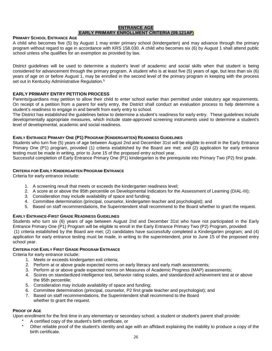#### **ENTRANCE AGE EARLY PRIMARY ENROLLMENT CRITERIA (09.121AP)**

#### **PRIMARY SCHOOL ENTRANCE AGE**

A child who becomes five (5) by August 1 may enter primary school (kindergarten) and may advance through the primary program without regard to age in accordance with KRS 158.030. A child who becomes six (6) by August 1 shall attend public school unless s/he qualifies for an exemption as provided by law.

District guidelines will be used to determine a student's level of academic and social skills when that student is being considered for advancement through the primary program. A student who is at least five (5) years of age, but less than six (6) years of age on or before August 1, may be enrolled in the second level of the primary program in keeping with the process set out in Kentucky Administrative Regulation.<sup>5</sup>

#### **EARLY PRIMARY ENTRY PETITION PROCESS**

Parents/guardians may petition to allow their child to enter school earlier than permitted under statutory age requirements. On receipt of a petition from a parent for early entry, the District shall conduct an evaluation process to help determine a student's readiness to engage in and benefit from early entry to school.

The District has established the guidelines below to determine a student's readiness for early entry. These guidelines include developmentally appropriate measures, which include state-approved screening instruments used to determine a student's level of developmental, academic and social readiness.

#### **EARLY ENTRANCE PRIMARY ONE (P1) PROGRAM (KINDERGARTEN) READINESS GUIDELINES**

Students who turn five (5) years of age between August 2nd and December 31st will be eligible to enroll in the Early Entrance Primary One (P1) program, provided (1) criteria established by the Board are met; and (2) application for early entrance testing must be made in writing, prior to June 15 of the proposed entry school year.

Successful completion of Early Entrance Primary One (P1) kindergarten is the prerequisite into Primary Two (P2) first grade.

#### **CRITERIA FOR EARLY KINDERGARTEN PROGRAM ENTRANCE**

Criteria for early entrance include:

- 1. A screening result that meets or exceeds the kindergarten readiness level;
- 2. A score at or above the 95th percentile on Developmental Indicators for the Assessment of Learning (DIAL-III);
- 3. Consideration may include availability of space and funding;
- 4. Committee determination (principal, counselor, kindergarten teacher and psychologist); and
- 5. Based on staff recommendations, the Superintendent shall recommend to the Board whether to grant the request.

#### **EARLY ENTRANCE-FIRST GRADE READINESS GUIDELINES**

Students who turn six (6) years of age between August 2nd and December 31st who have not participated in the Early Entrance Primary One (P1) Program will be eligible to enroll in the Early Entrance Primary Two (P2) Program, provided: (1) criteria established by the Board are met; (2) candidates have successfully completed a Kindergarten program; and (4) application for early entrance testing must be made, in writing to the superintendent, prior to June 15 of the proposed entry school year.

#### **CRITERIA FOR EARLY FIRST GRADE PROGRAM ENTRANCE**

Criteria for early entrance include:

- 1. Meets or exceeds kindergarten exit criteria;
- 2. Perform at or above grade expected norms on early literacy and early math assessments;
- 3. Perform at or above grade expected norms on Measures of Academic Progress (MAP) assessments;
- 4. Scores on standardized intelligence test, behavior rating scales, and standardized achievement test at or above the 95th percentile;
- 5. Consideration may include availability of space and funding;
- 6. Committee determination (principal, counselor, P2 first grade teacher and psychologist); and
- 7. Based on staff recommendations, the Superintendent shall recommend to the Board whether to grant the request.

#### **PROOF OF AGE**

Upon enrollment for the first time in any elementary or secondary school, a student or student's parent shall provide:

- A certified copy of the student's birth certificate, or
- Other reliable proof of the student's identity and age with an affidavit explaining the inability to produce a copy of the birth certificate.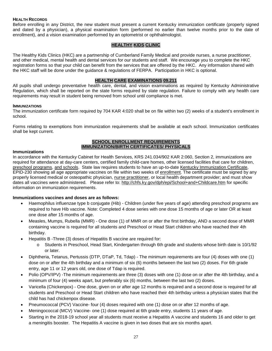# **HEALTH RECORDS**

Before enrolling in any District, the new student must present a current Kentucky immunization certificate (properly signed and dated by a physician), a physical examination form (performed no earlier than twelve months prior to the date of enrollment), and a vision examination performed by an optometrist or ophthalmologist.

# **HEALTHY KIDS CLINIC**

The Healthy Kids Clinics (HKC) are a partnership of Cumberland Family Medical and provide nurses, a nurse practitioner, and other medical, mental health and dental services for our students and staff. We encourage you to complete the HKC registration forms so that your child can benefit from the services that are offered by the HKC. Any information shared with the HKC staff will be done under the guidance & regulations of FERPA. Participation in HKC is optional.

# **HEALTH CARE EXAMINATIONS 09.211**

All pupils shall undergo preventative health care, dental, and vision examinations as required by Kentucky Administrative Regulation, which shall be reported on the state forms required by state regulation. Failure to comply with any health care requirements may result in student being removed from school until compliance is met.

#### **IMMUNIZATIONS**

The immunization certificate form required by 704 KAR 4:020 shall be on file within two (2) weeks of a student's enrollment in school.

Forms relating to exemptions from immunization requirements shall be available at each school. Immunization certificates shall be kept current.

# **SCHOOL ENROLLMENT REQUIREMENTS IMMUNIZATION/BIRTH CERTIFICATES/ PHYSICALS**

#### **Immunizations**

In accordance with the Kentucky Cabinet for Health Services, KRS 241.034/902 KAR 2:060, Section 2, immunizations are required for attendance at day-care centers, certified family child-care homes, other licensed facilities that care for children, [preschool programs,](http://www.jefferson.k12.ky.us/Schools/Health_Descriptions.html) and schools. State law requires students to have an up-to-date [Kentucky Immunization Certificate,](http://education.ky.gov/districts/SHS/Documents/ImmunizationCertificateRev082010.pdf) EPID-230 showing all age appropriate vaccines on file within two weeks of [enrollment.](http://www.jefferson.k12.ky.us/Schools/Health_Descriptions.html) The certificate must be signed by any properly licensed medical or osteopathic physician, [nurse practitioner,](http://www.jefferson.k12.ky.us/Schools/Health_Descriptions.html) or local health department provider; and must show dates all vaccines were administered. Please refer to:<http://chfs.ky.gov/dph/epi/School+and+Childcare.htm> for specific information on immunization requirements.

# **Immunizations vaccines and doses are as follows:**

- Haemophilus influenzae type b conjugate (Hib) Children (under five years of age) attending preschool programs are required to have Hib vaccine. Note: Completed 4 dose series with one dose 15 months of age or later OR at least one dose after 15 months of age.
- Measles, Mumps, Rubella (MMR) One dose (1) of MMR on or after the first birthday, AND a second dose of MMR containing vaccine is required for all students and Preschool or Head Start children who have reached their 4th birthday.
- Hepatitis B -Three (3) doses of Hepatitis B vaccine are required for:
	- o Students in Preschool, Head Start, Kindergarten through 6th grade and students whose birth date is 10/1/92 or later.
- Diphtheria, Tetanus, Pertussis (DTP, DTaP, Td, Tdap) The minimum requirements are four (4) doses with one (1) dose on or after the 4th birthday and a minimum of six (6) months between the last two (2) doses. For 6th grade entry, age 11 or 12 years old, one dose of Tdap is required.
- Polio (OPV/IPV) -The minimum requirements are three (3) doses with one (1) dose on or after the 4th birthday, and a minimum of four (4) weeks apart, but preferably six (6) months, between the last two (2) doses.
- Varicella (Chickenpox) One dose, given on or after age 12 months is required and a second dose is required for all students and Preschool or Head Start children who have reached their 4th birthday unless a physician states that the child has had chickenpox disease.
- Pneumococcal (PCV) Vaccine- four (4) doses required with one (1) dose on or after 12 months of age.
- Meningococcal (MCV) Vaccine- one (1) dose required at 6th grade entry, students 11 years of age.
- Starting in the 2018-19 school year all students must receive a Hepatitis A vaccine and students 16 and older to get a meningitis booster. The Hepatitis A vaccine is given in two doses that are six months apart.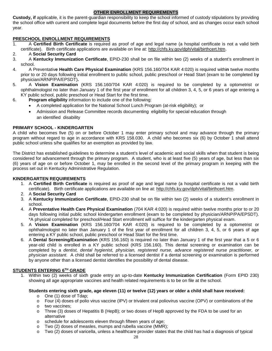# **OTHER ENROLLMENT REQUIREMENTS**

**Custody, if** applicable, it is the parent-guardian responsibility to keep the school informed of custody stipulations by providing the school office with current and complete legal documents before the first day of school, and as changes occur each school year.

# **PRESCHOOL ENROLLMENT REQUIREMENTS**<br>1. A Certified Birth Certificate is required

- 1. A **Certified Birth Certificate** is required as proof of age and legal name (a hospital certificate is not a valid birth certificate). Birth certificate applications are available on line at: [http://chfs.ky.gov/dph/vital/birthcert.htm.](http://chfs.ky.gov/dph/vital/birthcert.htm)
- 2. A **Social Security Card**
- 3. A **[Kentucky Immunization Certificate](http://education.ky.gov/districts/SHS/Documents/ImmunizationCertificateRev082010.pdf)**, EPID-230 shall be on file within two (2) weeks of a student's enrollment in school.
- 4. A Preventativ**e Health Care Physical Examination** (KRS 156.160/704 KAR 4:020) is required withi**n** twelve months prior to or 20 days following initial enrollment to public school, public preschool or Head Start (exam to be completed b**y**  physician/ARNP/PA/EPSDT)**.**
- 5. A **Vision Examination** (KRS 156.160/704 KAR 4:020) is required to be completed by a optometrist or ophthalmologist no later than January 1 of the first year of enrollment for all children 3, 4, 5, or 6 years of age entering a KY public school, public preschool or Head Start for the first time.
- 6. **Program eligibility** information to include one of the following:
	- A completed application for the National School Lunch Program (at-risk eligibility); or
	- Admission and Release Committee records documenting eligibility for special education through an identified disability

# **PRIMARY SCHOOL - KINDERGARTEN**

A child who becomes five (5) on or before October 1 may enter primary school and may advance through the primary program without regard to age in accordance with KRS 158.030. A child who becomes six (6) by October 1 shall attend public school unless s/he qualifies for an exemption as provided by law.

The District has established guidelines to determine a student's level of academic and social skills when that student is being considered for advancement through the primary program. A student, who is at least five (5) years of age, but less than six (6) years of age on or before October 1, may be enrolled in the second level of the primary program in keeping with the process set out in Kentucky Administrative Regulation.

# **KINDERGARTEN REQUIREMENTS**

- 1. A **Certified Birth Certificate** is required as proof of age and legal name (a hospital certificate is not a valid birth certificate). Birth certificate applications are available on line at: [http://chfs.ky.gov/dph/vital/birthcert.htm.](http://chfs.ky.gov/dph/vital/birthcert.htm)
- 2. A **Social Security Card**
- 3. A **[Kentucky Immunization Certificate](http://education.ky.gov/districts/SHS/Documents/ImmunizationCertificateRev082010.pdf)**, EPID-230 shall be on file within two (2) weeks of a student's enrollment in school.
- 4. A **Preventative Health Care Physical Examination** (704 KAR 4:020) is required within twelve months prior to or 20 days following initial public school kindergarten enrollment (exam to be completed by physician/ARNP/PA/EPSDT). \*A physical completed for preschool/Head Start enrollment will suffice for the kindergarten physical exam.
- 5. A **Vision Examination** (KRS 156.160/704 KAR 4:020) is required to be completed by a optometrist or ophthalmologist no later than January 1 of the first year of enrollment for all children 3, 4, 5, or 6 years of age entering a KY public school, public preschool or Head Start for the first time.
- 6. A **Dental Screening/Examination** (KRS 156.160) is required no later than January 1 of the first year that a 5 or 6 year-old child is enrolled in a KY public school (KRS 156.160). This dental screening or examination can be completed by a *dentist, dental hygienist, physician, registered nurse, advance registered nurse practitioner, or physician assistant*. A child shall be referred to a licensed dentist if a dental screening or examination is performed by anyone other than a licensed dentist identifies the possibility of dental disease.

# **STUDENTS ENTERING 6TH GRADE**

1. Within two (2) weeks of sixth grade entry an up-to-date **Kentucky Immunization Certification** (Form EPID 230) showing all age appropriate vaccines and health related requirements is to be on file at the school.

# **Students entering sixth grade, age eleven (11) or twelve (12) years or older a child shall have received:**

- o One (1) dose of Tdap;
- o Four (4) doses of polio virus vaccine (IPV) or trivalent oral poliovirus vaccine (OPV) or combinations of the other two vaccines:
- two vaccines;
- o Three (3) doses of Hepatitis B (HepB); or two doses of HepB approved by the FDA to be used for an alternative
- o schedule for adolescents eleven through fifteen years of age;
- o Two (2) doses of measles, mumps and rubella vaccine (MMR);
- o Two (2) doses of varicella, unless a healthcare provider states that the child has had a diagnosis of typical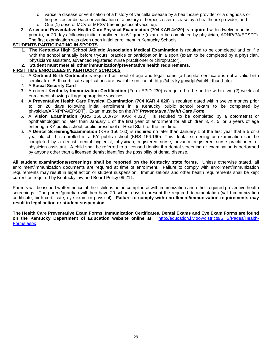- o varicella disease or verification of a history of varicella disease by a healthcare provider or a diagnosis or herpes zoster disease or verification of a history of herpes zoster disease by a healthcare provider; and
- o One (1) dose of MCV or MPSV (meningococcal vaccine).
- 2. **A second Preventative Health Care Physical Examination (704 KAR 4:020) is required** within twelve months prior to, or 20 days following initial enrollment in 6<sup>th</sup> grade (exam to be completed by physician, ARNP/PA/EPSDT). The first examination was given upon initial enrollment in Kentucky Schools.

# **STUDENTS PARTICIPATING IN SPORTS**

- 1. **The Kentucky High School Athletic Association Medical Examination** is required to be completed and on file with the school annually before tryouts, practice or participation in a sport (exam to be completed by a physician, physician's assistant, advanced registered nurse practitioner or chiropractor).
- **2. Student must meet all other immunization/preventative health requirements.**

# **FIRST TIME ENROLLEES IN KENTUCKY SCHOOLS**

- 1. A **Certified Birth Certificate** is required as proof of age and legal name (a hospital certificate is not a valid birth certificate). Birth certificate applications are available on line at: [http://chfs.ky.gov/dph/vital/birthcert.htm.](http://chfs.ky.gov/dph/vital/birthcert.htm)
- 2. A **Social Security Card**
- 3. A current **Kentucky Immunization Certification** (Form EPID 230) is required to be on file within two (2) weeks of enrollment showing all age appropriate vaccines.
- 4. A **Preventative Health Care Physical Examination (704 KAR 4:020)** is required dated within twelve months prior to, or 20 days following initial enrollment in a Kentucky public school (exam to be completed by physician/ARNP/PA/EPSDT). Exam must be on the *KY Preventative Health Care Form*.
- 5. A **Vision Examination** (KRS 156.160/704 KAR 4:020) is required to be completed by a optometrist or ophthalmologist no later than January 1 of the first year of enrollment for all children 3, 4, 5, or 6 years of age entering a KY public school, public preschool or Head Start for the first time.
- 6. A **Dental Screening/Examination** (KRS 156.160) is required no later than January 1 of the first year that a 5 or 6 year-old child is enrolled in a KY public school (KRS 156.160). This dental screening or examination can be completed by a dentist, dental hygienist, physician, registered nurse, advance registered nurse practitioner, or physician assistant. A child shall be referred to a licensed dentist if a dental screening or examination is performed by anyone other than a licensed dentist identifies the possibility of dental disease.

**All student examinations/screenings shall be reported on the Kentucky state forms.** Unless otherwise stated, all enrollment/immunization documents are required at time of enrollment. Failure to comply with enrollment/immunization requirements may result in legal action or student suspension. Immunizations and other health requirements shall be kept current as required by Kentucky law and Board Policy 09.211.

Parents will be issued written notice, if their child is not in compliance with immunization and other required preventive health screenings. The parent/guardian will then have 20 school days to present the required documentation (valid immunization certificate, birth certificate, eye exam or physical). **Failure to comply with enrollment/immunization requirements may result in legal action or student suspension.** 

**The Health Care Preventative Exam Forms, Immunization Certificates, Dental Exams and Eye Exam Forms are found on the Kentucky Department of Education website online at:** [http://education.ky.gov/districts/SHS/Pages/Health-](http://education.ky.gov/districts/SHS/Pages/Health-Forms.aspx)[Forms.aspx](http://education.ky.gov/districts/SHS/Pages/Health-Forms.aspx)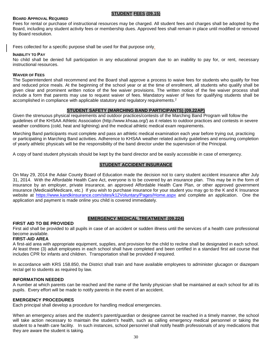#### **BOARD APPROVAL REQUIRED**

#### **STUDENT FEES (09.15)**

Fees for rental or purchase of instructional resources may be charged. All student fees and charges shall be adopted by the Board, including any student activity fees or membership dues. Approved fees shall remain in place until modified or removed by Board resolution.

Fees collected for a specific purpose shall be used for that purpose only.

#### **INABILITY TO PAY**

No child shall be denied full participation in any educational program due to an inability to pay for, or rent, necessary instructional resources.

#### **WAIVER OF FEES**

The Superintendent shall recommend and the Board shall approve a process to waive fees for students who qualify for free and reduced price meals. At the beginning of the school year or at the time of enrollment, all students who qualify shall be given clear and prominent written notice of the fee waiver provisions. The written notice of the fee waiver process shall include a form that parents may use to request waiver of fees. Mandatory waiver of fees for qualifying students shall be accomplished in compliance with applicable statutory and regulatory requirements.<sup>2</sup>

#### **STUDENT SAFETY (MARCHING BAND PARTICIPANTS) (09.22AP)**

Given the strenuous physical requirements and outdoor practices/contests of the Marching Band Program will follow the guidelines of the KHSAA Athletic Association (http://www.khsaa.org/) as it relates to outdoor practices and contests in severe weather conditions (cold, heat and lightning) and the medical athletic medical exam requirements.

Marching Band participants must complete and pass an athletic medical examination each year before trying out, practicing or participating in Marching Band activities. Adherence to KHSAA weather related activity guidelines and ensuring completion of yearly athletic physicals will be the responsibility of the band director under the supervision of the Principal.

A copy of band student physicals should be kept by the band director and be easily accessible in case of emergency.

#### **STUDENT ACCIDENT INSURANCE**

On May 29, 2014 the Adair County Board of Education made the decision not to carry student accident insurance after July 31, 2014. With the Affordable Health Care Act, everyone is to be covered by an insurance plan. This may be in the form of insurance by an employer, private insurance, an approved Affordable Health Care Plan, or other approved government insurance (Medicaid/Medicare, etc.) If you wish to purchase insurance for your student you may go to the K and K Insurance website at <https://www.kandkinsurance.com/sites/k12Voluntary/Pages/Home.aspx> and complete an application. One the application and payment is made online you child is covered immediately.

# **EMERGENCY MEDICAL TREATMENT (09.224)**

#### **FIRST AID TO BE PROVIDED**

First aid shall be provided to all pupils in case of an accident or sudden illness until the services of a health care professional become available.

#### **FIRST-AID AREA**

A first-aid area with appropriate equipment, supplies, and provision for the child to recline shall be designated in each school. At least three (3) adult employees in each school shall have completed and been certified in a standard first aid course that includes CPR for infants and children. Transportation shall be provided if required.

In accordance with KRS 158.850, the District shall train and have available employees to administer glucagon or diazepam rectal gel to students as required by law.

#### **INFORMATION NEEDED**

A number at which parents can be reached and the name of the family physician shall be maintained at each school for all its pupils. Every effort will be made to notify parents in the event of an accident.

# **EMERGENCY PROCEDURES**

Each principal shall develop a procedure for handling medical emergencies.

When an emergency arises and the student's parent/guardian or designee cannot be reached in a timely manner, the school will take action necessary to maintain the student's health, such as calling emergency medical personnel or taking the student to a health care facility. In such instances, school personnel shall notify health professionals of any medications that they are aware the student is taking.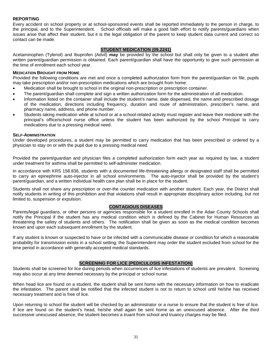#### **REPORTING**

Every accident on school property or at school-sponsored events shall be reported immediately to the person in charge, to the principal, and to the Superintendent. School officials will make a good faith effort to notify parents/guardians when issues arise that affect their student, but it is the legal obligation of the parent to keep student data current and correct so contact can be made.

# **STUDENT MEDICATION (09.2241)**

Acetaminophen (Tylenol) and Ibuprofen (Advil) **may** be provided by the school but shall only be given to a student after written parent/guardian permission is obtained. Each parent/guardian shall have the opportunity to give such permission at the time of enrollment each school year.

#### **MEDICATION BROUGHT FROM HOME**

Provided the following conditions are met and once a completed authorization form from the parent/guardian on file, pupils may take prescription and/or non-prescription medications which are brought from home:

- Medication shall be brought to school in the original non-prescription or prescription container.
- The parent/guardian shall complete and sign a written authorization form for the administration of all medication.
- Information listed on the container shall include the student's name, date dispensed, the name and prescribed dosage of the medication, directions including frequency, duration and route of administration, prescriber's name, and pharmacy name, address, and phone number.
- Students taking medication while at school or at a school-related activity must register and leave their medicine with the principal's office/school nurse office unless the student has been authorized by the school Principal to carry medications due to a pressing medical need.

#### **SELF-ADMINISTRATION**

Under developed procedures, a student may be permitted to carry medication that has been prescribed or ordered by a physician to stay on or with the pupil due to a pressing medical need.

Provided the parent/guardian and physician files a completed authorization form each year as required by law, a student under treatment for asthma shall be permitted to self-administer medication.

In accordance with KRS 158.836, students with a documented life-threatening allergy or designated staff shall be permitted to carry an epinephrine auto-injector in all school environments. The auto-injector shall be provided by the student's parent/guardian, and a written individual health care plan shall be in place for the student.

Students shall not share any prescription or over-the counter medication with another student. Each year, the District shall notify students in writing of this prohibition and that violations shall result in appropriate disciplinary action including, but not limited to, suspension or expulsion.

#### **CONTAGIOUS DISEASES**

Parents/legal guardians, or other persons or agencies responsible for a student enrolled in the Adair County Schools shall notify the Principal if the student has any medical condition which is defined by the Cabinet for Human Resources as threatening the safety of students and others. The notification shall be given as soon as the medical condition becomes known and upon each subsequent enrollment by the student.

If any student is known or suspected to have or be infected with a communicable disease or condition for which a reasonable probability for transmission exists in a school setting, the Superintendent may order the student excluded from school for the time period in accordance with generally accepted medical standards.

#### **SCREENING FOR LICE (PEDICULOSIS INFESTATION)**

Students shall be screened for lice during periods when occurrences of lice infestations of students are prevalent. Screening may also occur at any time deemed necessary by the principal or school nurse.

When head lice are found on a student, the student shall be sent home with the necessary information on how to eradicate the infestation. The parent shall be notified that the infected student is not to return to school until he/she has received necessary treatment and is free of lice.

Upon returning to school the student will be checked by an administrator or a nurse to ensure that the student is free of lice. If lice are found on the student's head, he/she shall again be sent home as an unexcused absence. After the third successive unexcused absence, the student becomes a truant from school and truancy charges may be filed.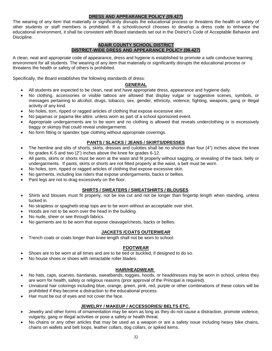# **DRESS AND APPEARANCE POLICY (09.427)**

The wearing of any item that materially or significantly disrupts the educational process or threatens the health or safety of other students or staff members is prohibited. If a school/council chooses to develop a dress code to enhance the educational environment, it shall be consistent with Board standards set out in the District's Code of Acceptable Behavior and Discipline.

#### **ADAIR COUNTY SCHOOL DISTRICT DISTRICT-WIDE DRESS AND APPEARANCE POLICY (09.427)**

A clean, neat and appropriate code of appearance, dress and hygiene is established to promote a safe conducive learning environment for all students. The wearing of any item that materially or significantly disrupts the educational process or threatens the health or safety of others is prohibited.

Specifically, the Board establishes the following standards of dress:

# **GENERAL**

- All students are expected to be clean, neat and have appropriate dress, appearance and hygiene daily.
- No clothing, accessories or visible tattoos are allowed that display vulgar or suggestive scenes, symbols, or messages pertaining to alcohol, drugs, tobacco, sex, gender, ethnicity, violence, fighting, weapons, gang or illegal activity of any kind.
- No holes, torn, ripped or ragged articles of clothing that expose excessive skin.
- No pajamas or pajama like attire, unless worn as part of a school sponsored event.
- Appropriate undergarments are to be worn and no clothing is allowed that reveals underclothing or is excessively baggy or skimpy that could reveal undergarments.
- No form fitting or spandex type clothing without appropriate coverings.

# **PANTS / SLACKS / JEANS / SKIRTS/DRESSES**

- The hemline and slits of shorts, skirts, dresses and culottes shall be no shorter than four (4") inches above the knee for grades K-5 and two (2") inches above the knee for grades 6-12.
- All pants, skirts or shorts must be worn at the waist and fit properly without sagging, or revealing of the back, belly or undergarments. If pants, skirts or shorts are not fitted properly at the waist, a belt must be worn.
- No holes, torn, ripped or ragged articles of clothing that expose excessive skin.
- No garments, including low riders that expose undergarments, backs or bellies.
- Pant legs are not to drag excessively on the floor.

# **SHIRTS / SWEATERS / SWEATSHIRTS / BLOUSES**

- Shirts and blouses must fit properly, not be low cut and not be longer than fingertip length when standing, unless tucked in.
- No strapless or spaghetti-strap tops are to be worn without an acceptable over shirt.
- Hoods are not to be worn over the head in the building.
- No nude, sheer or see through fabrics.
- No garments are to be worn that expose cleavage/chests, backs or bellies.

# **JACKETS /COATS OUTERWEAR**

Trench coats or coats longer than knee length shall not be worn to school.

# **FOOTWEAR**

- Shoes are to be worn at all times and are to be tied or buckled, if designed to do so.
- No house shoes or shoes with retractable roller blades.

# **HAIR/HEADWEAR**

- No hats, caps, scarves, bandanas, sweatbands, toggies, hoods, or headdresses may be worn in school, unless they are worn for health, safety or religious reasons (prior approval of the Principal is required).
- Unnatural hair colorings including blue, orange, green, pink, red, purple or other combinations of these colors will be prohibited if they become a distraction to the educational process.
- Hair must be out of eyes and not cover the face.

# **JEWELRY / MAKEUP / ACCESSORIES/ BELTS ETC.**

- Jewelry and other forms of ornamentation may be worn as long as they do not cause a distraction, promote violence, vulgarity, gang or illegal activities or pose a safety or health threat.
- No chains or any other articles that may be used as a weapon or are a safety issue including heavy bike chains, chains on wallets and belt loops, leather collars, dog collars, or spiked items.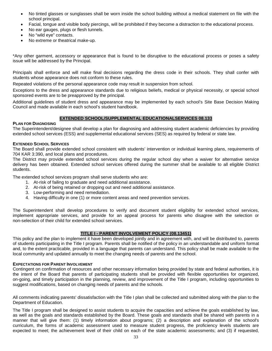- No tinted glasses or sunglasses shall be worn inside the school building without a medical statement on file with the school principal.
- Facial, tongue and visible body piercings, will be prohibited if they become a distraction to the educational process.
- No ear gauges, plugs or flesh tunnels.
- No "wild eve" contacts.
- No extreme or theatrical make-up.

\*Any other garment, accessory or appearance that is found to be disruptive to the educational process or poses a safety issue will be addressed by the Principal.

Principals shall enforce and will make final decisions regarding the dress code in their schools. They shall confer with students whose appearance does not conform to these rules.

Repeated violations of the personal appearance code may result in suspension from school.

Exceptions to the dress and appearance standards due to religious beliefs, medical or physical necessity, or special school sponsored events are to be preapproved by the principal.

Additional guidelines of student dress and appearance may be implemented by each school's Site Base Decision Making Council and made available in each school's student handbook.

#### **EXTENDED SCHOOL/SUPPLEMENTAL EDUCATIONALSERVICES 08.133**

#### **PLAN FOR DIAGNOSING**

The Superintendent/designee shall develop a plan for diagnosing and addressing student academic deficiencies by providing extended school services (ESS) and supplemental educational services (SES) as required by federal or state law.

#### **EXTENDED SCHOOL SERVICES**

The Board shall provide extended school consistent with students' intervention or individual learning plans, requirements of 704 KAR 3:390, and local plans and procedures.

The District may provide extended school services during the regular school day when a waiver for alternative service delivery has been obtained. Extended school services offered during the summer shall be available to all eligible District students.

The extended school services program shall serve students who are:

- 1. At-risk of failing to graduate and need additional assistance.
- 2. At-risk of being retained or dropping out and need additional assistance.
- 3. Low-performing and need remediation.
- 4. Having difficulty in one (1) or more content areas and need prevention services.

The Superintendent shall develop procedures to verify and document student eligibility for extended school services, implement appropriate services, and provide for an appeal process for parents who disagree with the selection or non-selection of their child for extended school services.

#### **TITLE I - PARENT INVOLVEMENT POLICY (08.13451)**

This policy and the plan to implement it have been developed jointly and in agreement with, and will be distributed to, parents of students participating in the Title I program. Parents shall be notified of the policy in an understandable and uniform format and, to the extent practicable, provided in a language that parents can understand. This policy shall be made available to the local community and updated annually to meet the changing needs of parents and the school.

#### **EXPECTATIONS FOR PARENT INVOLVEMENT**

Contingent on confirmation of resources and other necessary information being provided by state and federal authorities, it is the intent of the Board that parents of participating students shall be provided with flexible opportunities for organized, on-going, and timely participation in the planning, review, and improvement of the Title I program, including opportunities to suggest modifications, based on changing needs of parents and the schools.

All comments indicating parents' dissatisfaction with the Title I plan shall be collected and submitted along with the plan to the Department of Education.

The Title I program shall be designed to assist students to acquire the capacities and achieve the goals established by law, as well as the goals and standards established by the Board. These goals and standards shall be shared with parents in a manner that will give them: (1) timely information about programs; (2) a description and explanation of the school's curriculum, the forms of academic assessment used to measure student progress, the proficiency levels students are expected to meet; the achievement level of their child on each of the state academic assessments; and (3) if requested,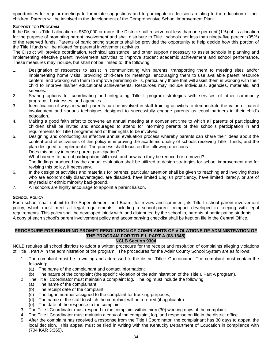opportunities for regular meetings to formulate suggestions and to participate in decisions relating to the education of their children. Parents will be involved in the development of the Comprehensive School Improvement Plan.

# **SUPPORT FOR PROGRAM**

If the District's Title I allocation is \$500,000 or more, the District shall reserve not less than one per cent (1%) of its allocation for the purpose of promoting parent involvement and shall distribute to Title I schools not less than ninety-five percent (95%) of the reserved funds. Parents of participating students shall be provided the opportunity to help decide how this portion of the Title I funds will be allotted for parental involvement activities.

The District will provide coordination, technical assistance, and other support necessary to assist schools in planning and implementing effective parent involvement activities to improve student academic achievement and school performance. These measures may include, but shall not be limited to, the following:

- 1. Designation of resources to assist in communicating with parents, transporting them to meeting sites and/or implementing home visits, providing child-care for meetings, encouraging them to use available parent resource centers, and working with them to improve parenting skills, particularly those that will assist them in working with their child to improve his/her educational achievements. Resources may include individuals, agencies, materials, and services.
- 2. Sharing options for coordinating and integrating Title I program strategies with services of other community programs, businesses, and agencies.
- 3. Identification of ways in which parents can be involved in staff training activities to demonstrate the value of parent involvement and various techniques designed to successfully engage parents as equal partners in their child's education.
- 4. Making a good faith effort to convene an annual meeting at a convenient time to which all parents of participating children shall be invited and encouraged to attend for informing parents of their school's participation in and requirements for Title I programs and of their rights to be involved.
- 5. Designing and conducting an effective annual evaluation process whereby parents can share their ideas about the content and effectiveness of this policy in improving the academic quality of schools receiving Title I funds, and the plan designed to implement it. The process shall focus on the following questions:

Does this policy increase parent participation?

What barriers to parent participation still exist, and how can they be reduced or removed?

The findings produced by the annual evaluation shall be utilized to design strategies for school improvement and for revising this policy, if necessary.

- 6. In the design of activities and materials for parents, particular attention shall be given to reaching and involving those who are economically disadvantaged, are disabled, have limited English proficiency, have limited literacy, or are of any racial or ethnic minority background.
- 7. All schools are highly encourage to appoint a parent liaison.

# **SCHOOL POLICY**

Each school shall submit to the Superintendent and Board, for review and comment, its Title I school parent involvement policy, which must meet all legal requirements, including a school-parent compact developed in keeping with legal requirements. This policy shall be developed jointly with, and distributed by the school to, parents of participating students. A copy of each school's parent involvement policy and accompanying checklist shall be kept on file in the Central Office.

# **PROCEDURE FOR ENSURING PROMPT RESOLUTION OF COMPLAINTS OF VIOLATIONS OF ADMINISTRATION OF THE PROGRAM FOR TITLE I, PART A (08.1345)**

# **NCLB Section 9304**

NCLB requires all school districts to adopt a written procedure for the receipt and resolution of complaints alleging violations of Title I, Part A in the administration of the program. The procedures for the Adair County School System are as follows:

- 1. The complaint must be in writing and addressed to the district Title I Coordinator. The complaint must contain the following:
	- (a) The name of the complainant and contact information;
	- (b) The nature of the complaint (the specific violation of the administration of the Title I, Part A program).
- 2 The Title I Coordinator must maintain a complaint log. The log must include the following:
	- (a) The name of the complainant;
	- (b) The receipt date of the complaint;
	- (c) The log-in number assigned to the complaint for tracking purposes;
	- (d) The name of the staff to which the complaint will be referred (if applicable).
	- (e) The date of the response to the complaint.
- 3. The Title I Coordinator must respond to the complaint within thirty (30) working days of the complaint.
- 4. The Title I Coordinator must maintain a copy of the complaint, log, and response on file in the district office.
- 5 After the complaint has received a response from the Title I Coordinator, the complainant has 30 days to appeal the local decision. This appeal must be filed in writing with the Kentucky Department of Education in compliance with (704 KAR 3:365).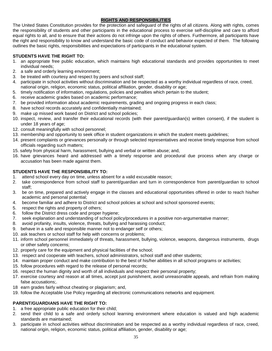# **RIGHTS AND RESPONSIBILITIES**

The United States Constitution provides for the protection and safeguard of the rights of all citizens. Along with rights, comes the responsibility of students and other participants in the educational process to exercise self-discipline and care to afford equal rights to all, and to ensure that their actions do not infringe upon the rights of others. Furthermore, all participants have the right and responsibility to know and understand the basic code of conduct and behavior expected of them. The following outlines the basic rights, responsibilities and expectations of participants in the educational system.

# **STUDENTS HAVE THE RIGHT TO:**

- 1. an appropriate free public education, which maintains high educational standards and provides opportunities to meet individual needs;
- 2. a safe and orderly learning environment;
- 3. be treated with courtesy and respect by peers and school staff;
- 4. participate in school activities without discrimination and be respected as a worthy individual regardless of race, creed, national origin, religion, economic status, political affiliation, gender, disability or age;
- 5. timely notification of information, regulations, policies and penalties which pertain to the student;
- 6. receive academic grades based on academic performance;
- 7. be provided information about academic requirements, grading and ongoing progress in each class;
- 8. have school records accurately and confidentially maintained;
- 9. make up missed work based on District and school policies;
- 10. inspect, review, and transfer their educational records (with their parent/guardian(s) written consent), if the student is under 18 years of age;
- 12. consult meaningfully with school personnel;
- 13. membership and opportunity to seek office in student organizations in which the student meets guidelines;
- 14. present complaints or grievances personally or through selected representatives and receive timely response from school officials regarding such matters;
- 15. safety from physical harm, harassment, bullying and verbal or written abuse; and,
- 16. have grievances heard and addressed with a timely response and procedural due process when any charge or accusation has been made against them.

# **STUDENTS HAVE THE RESPONSIBILITY TO:**

- 1. attend school every day on time, unless absent for a valid excusable reason;
- 2. take correspondence from school staff to parent/guardian and turn in correspondence from parent/guardian to school staff;
- 3. be on time, prepared and actively engage in the classes and educational opportunities offered in order to reach his/her academic and personal potential;
- 4. become familiar and adhere to District and school policies at school and school sponsored events;
- 5. respect the rights and property of others;
- 6. follow the District dress code and proper hygiene;
- 7. seek explanation and understanding of school policy/procedures in a positive non-argumentative manner;
- 8. avoid profanity, insults, violence, threats, bullying and harassing conduct;
- 9. behave in a safe and responsible manner not to endanger self or others;
- 10. ask teachers or school staff for help with concerns or problems;
- 11. inform school personnel immediately of threats, harassment, bullying, violence, weapons, dangerous instruments, drugs or other safety concerns;
- 12. properly care for the equipment and physical facilities of the school;
- 13. respect and cooperate with teachers, school administrators, school staff and other students;
- 14. maintain proper conduct and make contribution to the best of his/her abilities in all school programs or activities;
- 15. follow procedures with regard to the release of personal records;
- 16. respect the human dignity and worth of all individuals and respect their personal property;
- 17. exercise courtesy and reason at all times, accept just punishment, avoid unreasonable appeals, and refrain from making false accusations;.
- 18 earn grades fairly without cheating or plagiarism; and,
- 19. follow the Acceptable Use Policy regarding all electronic communications networks and equipment.

# **PARENT/GUARDIANS HAVE THE RIGHT TO:**

- 1. a free appropriate public education for their child;
- 2. send their child to a safe and orderly school learning environment where education is valued and high academic standards are maintained;
- 3. participate in school activities without discrimination and be respected as a worthy individual regardless of race, creed, national origin, religion, economic status, political affiliation, gender, disability or age;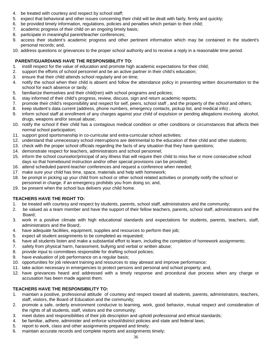- 4. be treated with courtesy and respect by school staff;
- 5. expect that behavioral and other issues concerning their child will be dealt with fairly, firmly and quickly;
- 6. be provided timely information, regulations, policies and penalties which pertain to their child;
- 7. academic progress of their child on an ongoing timely basis;
- 8. participate in meaningful parent/teacher conferences;
- 9. access their student's academic progress and other pertinent information which may be contained in the student's personal records; and,
- 10. address questions or grievances to the proper school authority and to receive a reply in a reasonable time period.

# **PARENT/GUARDIANS HAVE THE RESPONSIBILITY TO:**

- 1. instill respect for the value of education and promote high academic expectations for their child;
- 2. support the efforts of school personnel and be an active partner in their child's education;
- 3. ensure that their child attends school regularly and on time;
- 4. notify the school when their child is absent and follow the attendance policy in presenting written documentation to the school for each absence or tardy;
- 5. familiarize themselves and their child(ren) with school programs and policies;
- 6. stay informed of their child's progress, review, discuss, sign and return academic reports;
- 7. promote their child's responsibility and respect for self, peers, school staff , and the property of the school and others;
- 8. keep student's data current (address, phone numbers, emergency contacts, pickup list, and medical info) ;
- 9. inform school staff at enrollment of any charges against your child of expulsion or pending allegations involving alcohol, drugs, weapons and/or sexual abuse;
- 10. notify the school if their child has a contagious medical condition or other conditions or circumstances that affects their normal school participation;
- 11. support good sportsmanship in co-curricular and extra-curricular school activities;
- 12. understand that unnecessary school interruptions are detrimental to the education of their child and other students;
- 13. check with the proper school officials regarding the facts of any situation that they have questions;
- 14. demonstrate respect for teachers, administrators and school personnel;
- 15. inform the school counselor/principal of any illness that will require their child to miss five or more consecutive school days so that homebound instruction and/or other special provisions can be provided;
- 16. attend scheduled parent-teacher conferences and request a conference when needed;
- 17. make sure your child has time, space, materials and help with homework;
- 18. be prompt in picking up your child from school or other school related activities or promptly notify the school or personnel in charge, if an emergency prohibits you from doing so; and,
- 19. be present when the school bus delivers your child home.

# **TEACHERS HAVE THE RIGHT TO:**

- 1. be treated with courtesy and respect by students, parents, school staff, administrators and the community;
- 2. be valued as a team member and have the support of their fellow teachers, parents, school staff, administrators and the Board;
- 3. work in a positive climate with high educational standards and expectations for students, parents, teachers, staff, administrators and the Board;.
- 4. have adequate facilities, equipment, supplies and resources to perform their job;
- 5. expect all student assignments to be completed as requested;
- 6. have all students listen and make a substantial effort to learn, including the completion of homework assignments;
- 7. safety from physical harm, harassment, bullying and verbal or written abuse;
- 8. provide input to committees responsible for drafting school policies;
- 9. have evaluation of job performance on a regular basis;
- 10. opportunities for job relevant training and resources to stay abreast and improve performance;
- 11. take action necessary in emergencies to protect persons and personal and school property; and,
- 12. have grievances heard and addressed with a timely response and procedural due process when any charge or accusation has been made against them.

# **TEACHERS HAVE THE RESPONSIBILITY TO:**

- 1. maintain a positive, professional attitude of courtesy and respect toward all students, parents, administrators, teachers, staff, visitors, the Board of Education and the community;
- 2. promote a safe, orderly environment conducive to learning, work, good behavior, mutual respect and consideration of the rights of all students, staff, visitors and the community;
- 3. meet duties and responsibilities of their job description and uphold professional and ethical standards;
- 4. be familiar, adhere, administer and enforce school/district policies and state and federal laws;
- 5. report to work, class and other assignments prepared and timely;
- 6. maintain accurate records and complete reports and assignments timely;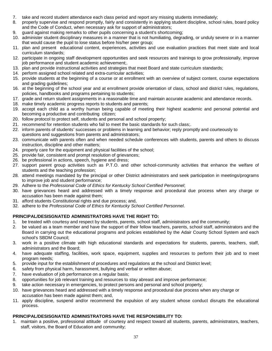- 7. take and record student attendance each class period and report any missing students immediately;
- 8. properly supervise and respond promptly, fairly and consistently in applying student discipline, school rules, board policy and the Code of Conduct, when necessary ask for support of administrators;
- 9. guard against making remarks to other pupils concerning a student's shortcoming;
- 10. administer student disciplinary measures in a manner that is not humiliating, degrading, or unduly severe or in a manner that would cause the pupil to lose status before his/her peer group;
- 11. plan and present educational content, experiences, activities and use evaluation practices that meet state and local curriculum standards;
- 12. participate in ongoing staff development opportunities and seek resources and trainings to grow professionally, improve job performance and student academic achievement;.
- 13. plan and provide instructional activities and strategies that meet Board and state curriculum standards;
- 14. perform assigned school related and extra-curricular activities;
- 15. provide students at the beginning of a course or at enrollment with an overview of subject content, course expectations and grading guidelines;
- 16. at the beginning of the school year and at enrollment provide orientation of class, school and district rules, regulations, policies, handbooks and programs pertaining to students;
- 17. grade and return student assignments in a reasonable time and maintain accurate academic and attendance records.
- 18. make timely academic progress reports to students and parents;
- 19. accept each child as a worthy human being capable of meeting their highest academic and personal potential and becoming a productive and contributing citizen;
- 20. follow protocol to protect self, students and personal and school property;
- 21. recommend for retention students who fail to meet the basic standards for such class;.
- 22. inform parents of students' successes or problems in learning and behavior; reply promptly and courteously to questions and suggestions from parents and administrators;
- 23. communicate with parents often and when needed schedule conferences with students, parents and others to discuss instruction, discipline and other matters;
- 24. properly care for the equipment and physical facilities of the school;
- 25. provide fair, consistent and prompt resolution of grievances;
- 26. be professional in actions, speech, hygiene and dress;
- 27. support parent group activities such as P.T.O. and other school-community activities that enhance the welfare of students and the teaching profession;
- 28. attend meetings mandated by the principal or other District administrators and seek participation in meetings/programs to improve job and student performance;
- 29. Adhere to the *Professional Code of Ethics for Kentucky School Certified Personnel*;
- 30. have grievances heard and addressed with a timely response and procedural due process when any charge or accusation has been made against them;
- 31. afford students Constitutional rights and due process; and,
- 32. adhere to the *Professional Code of Ethics for Kentucky School Certified Personnel*.

# **PRINCIPAL/DESISGNATED ADMINISTRATORS HAVE THE RIGHT TO:**

- 1. be treated with courtesy and respect by students, parents, school staff, administrators and the community;
- 2. be valued as a team member and have the support of their fellow teachers, parents, school staff, administrators and the Board in carrying out the educational programs and policies established by the Adair County School System and each school's SBDM Council;
- 3. work in a positive climate with high educational standards and expectations for students, parents, teachers, staff, administrators and the Board;
- 4. have adequate staffing, facilities, work space, equipment, supplies and resources to perform their job and to meet program needs;
- 5. provide input for the establishment of procedures and regulations at the school and District level;
- 6. safety from physical harm, harassment, bullying and verbal or written abuse;
- 7. have evaluation of job performance on a regular basis;
- 8. opportunities for job relevant training and resources to stay abreast and improve performance;
- 9. take action necessary in emergencies, to protect persons and personal and school property;
- 10. have grievances heard and addressed with a timely response and procedural due process when any charge or accusation has been made against them; and,
- 11. apply discipline, suspend and/or recommend the expulsion of any student whose conduct disrupts the educational process.

# **PRINCIPAL/DESISGNATED ADMINISTRATORS HAVE THE RESPONSIBILITY TO:**

1. maintain a positive, professional attitude of courtesy and respect toward all students, parents, administrators, teachers, staff, visitors, the Board of Education and community;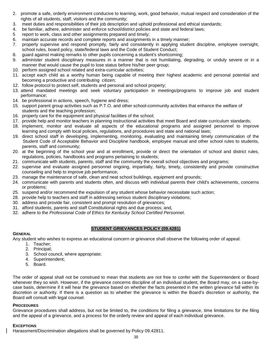- 2. promote a safe, orderly environment conducive to learning, work, good behavior, mutual respect and consideration of the rights of all students, staff, visitors and the community;
- 3. meet duties and responsibilities of their job description and uphold professional and ethical standards;
- 4. be familiar, adhere, administer and enforce school/district policies and state and federal laws;
- 5 report to work, class and other assignments prepared and timely;
- 6. maintain accurate records and complete reports and assignments in a timely manner;
- 7. properly supervise and respond promptly, fairly and consistently in applying student discipline, employee oversight, school rules, board policy, state/federal laws and the Code of Student Conduct;
- 8. guard against making remarks to other pupils concerning a student's shortcoming;
- 9. administer student disciplinary measures in a manner that is not humiliating, degrading, or unduly severe or in a manner that would cause the pupil to lose status before his/her peer group;
- 10. perform assigned school related and extra-curricular activities;
- 11. accept each child as a worthy human being capable of meeting their highest academic and personal potential and becoming a productive and contributing citizen;
- 12. follow protocol to protect self, students and personal and school property;
- 13. attend mandated meetings and seek voluntary participation in meetings/programs to improve job and student performance;
- 14. be professional in actions, speech, hygiene and dress;
- 15. support parent group activities such as P.T.O. and other school-community activities that enhance the welfare of students and the teaching profession;
- 16. properly care for the equipment and physical facilities of the school;
- 17. provide help and monitor teachers in planning instructional activities that meet Board and state curriculum standards;
- 18. implement, monitor and evaluate all aspects of the educational programs and assigned personnel to improve learning and comply with local policies, regulations, and procedures and state and national laws;
- 19. direct school staff in developing, implementing, monitoring, evaluating and maintaining timely communication of the Student Code of Acceptable Behavior and Discipline handbook, employee manual and other school rules to students, parents, staff and community;
- 20. at the beginning of the school year and at enrollment, provide or direct the orientation of school and district rules, regulations, policies, handbooks and programs pertaining to students;
- 21. communicate with students, parents, staff and the community the overall school objectives and programs;
- 22. supervise and evaluate assigned personnel ongoing, impartially, fairly, timely, consistently and provide constructive counseling and help to improve job performance;
- 23. manage the maintenance of safe, clean and neat school buildings, equipment and grounds;
- 24. communicate with parents and students often, and discuss with individual parents their child's achievements, concerns or problems;
- 25. suspend and/or recommend the expulsion of any student whose behavior necessitate such action;
- 28. provide help to teachers and staff in addressing serious student disciplinary violations;
- 30. address and provide fair, consistent and prompt resolution of grievances;
- 31. afford students, parents and staff Constitutional rights and due process; and,
- 32. adhere to the *Professional Code of Ethics for Kentucky School Certified Personnel*.

# **STUDENT GRIEVANCES POLICY (09.4281)**

#### **GENERAL**

Any student who wishes to express an educational concern or grievance shall observe the following order of appeal:

- 1. Teacher;
	- 2. Principal;
	- 3. School council, where appropriate;
	- 4. Superintendent;
	- 5. Board.

The order of appeal shall not be construed to mean that students are not free to confer with the Superintendent or Board whenever they so wish. However, if the grievance concerns discipline of an individual student, the Board may, on a case-bycase basis, determine if it will hear the grievance based on whether the facts presented in the written grievance fall within its discretion or authority. If there is a question as to whether the grievance is within the Board's discretion or authority, the Board will consult with legal counsel.

#### **PROCEDURES**

Grievance procedures shall address, but not be limited to, the conditions for filing a grievance, time limitations for the filing and the appeal of a grievance, and a process for the orderly review and appeal of each individual grievance.

# **EXCEPTIONS**

Harassment/Discrimination allegations shall be governed by Policy 09.42811.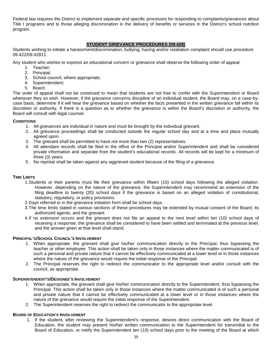Federal law requires the District to implement separate and specific processes for responding to complaints/grievances about Title I programs and to those alleging discrimination in the delivery of benefits or services in the District's school nutrition program.

# **STUDENT GRIEVANCE PROCEDURES (09.428)**

Students wishing to initiate a harassment/discrimination, bullying, hazing and/or retaliation complaint should use procedure 09.422/09.42811.

Any student who wishes to express an educational concern or grievance shall observe the following order of appeal:

- 1. Teacher;
- 2. Principal;
- 3. School council, where appropriate;
- 4. Superintendent;
- 5. Board.

The order of appeal shall not be construed to mean that students are not free to confer with the Superintendent or Board whenever they so wish. However, if the grievance concerns discipline of an individual student, the Board may, on a case-bycase basis, determine if it will hear the grievance based on whether the facts presented in the written grievance fall within its discretion or authority. If there is a question as to whether the grievance is within the Board's discretion or authority, the Board will consult with legal counsel.

#### **CONDITIONS**

- 1. All grievances are individual in nature and must be brought by the individual grievant.
- 2. All grievance proceedings shall be conducted outside the regular school day and at a time and place mutually agreed upon.
- 3. The grievant shall be permitted to have not more than two (2) representatives.
- 4. All attendant records shall be filed in the office of the Principal and/or Superintendent and shall be considered private information and separate from the student's educational records. All records will be kept for a minimum of three (3) years.
- 5. No reprisal shall be taken against any aggrieved student because of the filing of a grievance.

#### **TIME LIMITS**

- 1.Students or their parents must file their grievance within fifteen (15) school days following the alleged violation. However, depending on the nature of the grievance, the Superintendent may recommend an extension of the filing deadline to twenty (20) school days if the grievance is based on an alleged violation of constitutional, statutory, regulatory, or policy provisions.
- 2.Days referred to in the grievance initiation form shall be school days.
- 3.The time limits stated in various sections of these procedures may be extended by mutual consent of the Board, its authorized agents, and the grievant.
- 4.If no extension occurs and the grievant does not file an appeal to the next level within ten (10) school days of receiving a response, the grievance shall be considered to have been settled and terminated at the previous level, and the answer given at that level shall stand.

#### **PRINCIPAL'S/SCHOOL COUNCIL'S INVOLVEMENT**

- 1. When appropriate, the grievant shall give his/her communication directly to the Principal, thus bypassing the teacher or other employee. This action shall be taken only in those instances where the matter communicated is of such a personal and private nature that it cannot be effectively communicated at a lower level or in those instances where the nature of the grievance would require the initial response of the Principal.
- 2. The Principal reserves the right to redirect the communicator to the appropriate level and/or consult with the council, as appropriate.

#### **SUPERINTENDENT'S/DESIGNEE'S INVOLVEMENT**

- 1. When appropriate, the grievant shall give his/her communication directly to the Superintendent, thus bypassing the Principal. This action shall be taken only in those instances where the matter communicated is of such a personal and private nature that it cannot be effectively communicated at a lower level or in those instances where the nature of the grievance would require the initial response of the Superintendent.
- 2. The Superintendent reserves the right to redirect the communicator to the appropriate level.

#### **BOARD OF EDUCATION'S INVOLVEMENT**

1. If the student, after reviewing the Superintendent's response, desires direct communication with the Board of Education, the student may present his/her written communication to the Superintendent for transmittal to the Board of Education, or notify the Superintendent ten (10) school days prior to the meeting of the Board at which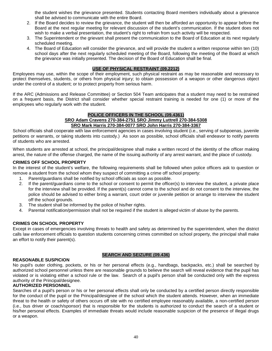the student wishes the grievance presented. Students contacting Board members individually about a grievance shall be advised to communicate with the entire Board.

- 2. If the Board decides to review the grievance, the student will then be afforded an opportunity to appear before the Board at the next regular meeting for relevant discussion of the student's communication. If the student does not wish to make a verbal presentation, the student's right to refrain from such activity will be respected.
- 3. The Superintendent or the grievant shall present the communication to the Board of Education at its next regularly scheduled meeting.
- 4. The Board of Education will consider the grievance, and will provide the student a written response within ten (10) school days after the next regularly scheduled meeting of the Board, following the meeting of the Board at which the grievance was initially presented. The decision of the Board of Education shall be final.

# **USE OF PHYSICAL RESTRAINT (09.2212)**

Employees may use, within the scope of their employment, such physical restraint as may be reasonable and necessary to protect themselves, students, or others from physical injury; to obtain possession of a weapon or other dangerous object under the control of a student; or to protect property from serious harm.

If the ARC (Admissions and Release Committee) or Section 504 Team anticipates that a student may need to be restrained on a frequent basis, the District shall consider whether special restraint training is needed for one (1) or more of the employees who regularly work with the student.

#### **POLICE OFFICERS IN THE SCHOOL (09.4361) SRO Adam Cravens 270-384-2751 SRO Jimmy Luttrell 270-384-5308 SRO Mark Harris 270-384-0077 SRO John Harris 270-384-3367**

School officials shall cooperate with law enforcement agencies in cases involving student (i.e., serving of subpoenas, juvenile petitions or warrants, or taking students into custody.) As soon as possible, school officials shall endeavor to notify parents of students who are arrested.

When students are arrested at school, the principal/designee shall make a written record of the identity of the officer making arrest, the nature of the offense charged, the name of the issuing authority of any arrest warrant, and the place of custody.

#### **CRIMES OFF SCHOOL PROPERTY**

In the interest of the student's welfare, the following requirements shall be followed when police officers ask to question or remove a student from the school whom they suspect of committing a crime off school property:

- 1. Parent/guardians shall be notified by school officials as soon as possible.
- 2. If the parent/guardians come to the school or consent to permit the officer(s) to interview the student, a private place for the interview shall be provided. If the parent(s) cannot come to the school and do not consent to the interview, the police should be advised to either bring a warrant, court order or juvenile petition or arrange to interview the student off the school grounds.
- 3. The student shall be informed by the police of his/her rights.
- 4. Parental notification/permission shall not be required if the student is alleged victim of abuse by the parents.

# **CRIMES ON SCHOOL PROPERTY**

Except in cases of emergencies involving threats to health and safety as determined by the superintendent, when the district calls law enforcement officials to question students concerning crimes committed on school property, the principal shall make an effort to notify their parent(s).

# **SEARCH AND SEIZURE (09.436)**

No pupil's outer clothing, pockets, or his or her personal effects (e.g., handbags, backpacks, etc.) shall be searched by authorized school personnel unless there are reasonable grounds to believe the search will reveal evidence that the pupil has violated or is violating either a school rule or the law. Search of a pupil's person shall be conducted only with the express authority of the Principal/designee.

#### **AUTHORIZED PERSONNEL**

**REASONABLE SUSPICION**

Searches of a pupil's person or his or her personal effects shall only be conducted by a certified person directly responsible for the conduct of the pupil or the Principal/designee of the school which the student attends. However, when an immediate threat to the health or safety of others occurs off site with no certified employee reasonably available, a non-certified person (i.e., bus driver or coach/sponsor) that is responsible for the students is authorized to conduct the search of a student or his/her personal effects. Examples of immediate threats would include reasonable suspicion of the presence of illegal drugs or a weapon.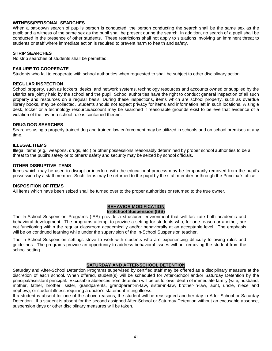# **WITNESS/PERSONAL SEARCHES**

When a pat-down search of pupil's person is conducted, the person conducting the search shall be the same sex as the pupil; and a witness of the same sex as the pupil shall be present during the search. In addition, no search of a pupil shall be conducted in the presence of other students. These restrictions shall not apply to situations involving an imminent threat to students or staff where immediate action is required to prevent harm to health and safety.

#### **STRIP SEARCHES**

No strip searches of students shall be permitted.

# **FAILURE TO COOPERATE**

Students who fail to cooperate with school authorities when requested to shall be subject to other disciplinary action.

#### **REGULAR INSPECTION**

School property, such as lockers, desks, and network systems, technology resources and accounts owned or supplied by the District are jointly held by the school and the pupil. School authorities have the right to conduct general inspection of all such property and resources on a regular basis. During these inspections, items which are school property, such as overdue library books, may be collected. Students should not expect privacy for items and information left in such locations. A single desk, locker or a technology resource/account may be searched if reasonable grounds exist to believe that evidence of a violation of the law or a school rule is contained therein.

#### **DRUG DOG SEARCHES**

Searches using a properly trained dog and trained law enforcement may be utilized in schools and on school premises at any time.

#### **ILLEGAL ITEMS**

Illegal items (e.g., weapons, drugs, etc.) or other possessions reasonably determined by proper school authorities to be a threat to the pupil's safety or to others' safety and security may be seized by school officials.

#### **OTHER DISRUPTIVE ITEMS**

Items which may be used to disrupt or interfere with the educational process may be temporarily removed from the pupil's possession by a staff member. Such items may be returned to the pupil by the staff member or through the Principal's office.

#### **DISPOSITION OF ITEMS**

All items which have been seized shall be turned over to the proper authorities or returned to the true owner.

#### **BEHAVIOR MODIFICATION In-School Suspension (ISS)**

The In-School Suspension Programs (ISS) provide a structured environment that will facilitate both academic and behavioral development. The programs attempt to provide a setting for students who, for one reason or another, are not functioning within the regular classroom academically and/or behaviorally at an acceptable level. The emphasis will be on continued learning while under the supervision of the In-School Suspension teacher.

The In-School Suspension settings strive to work with students who are experiencing difficulty following rules and guidelines. The programs provide an opportunity to address behavioral issues without removing the student from the school setting.

#### **SATURDAY AND AFTER-SCHOOL DETENTION**

Saturday and After-School Detention Programs supervised by certified staff may be offered as a disciplinary measure at the discretion of each school. When offered, student(s) will be scheduled for After-School and/or Saturday Detention by the principal/assistant principal. Excusable absences from detention will be as follows: death of immediate family (wife, husband, mother, father, brother, sister, grandparents, grandparent-in-law, sister-in-law, brother-in-law, aunt, uncle, niece and nephew), or student illness requiring a doctor's statement listing illness.

If a student is absent for one of the above reasons, the student will be reassigned another day in After-School or Saturday Detention. If a student is absent for the second assigned After-School or Saturday Detention without an excusable absence, suspension days or other disciplinary measures will be taken.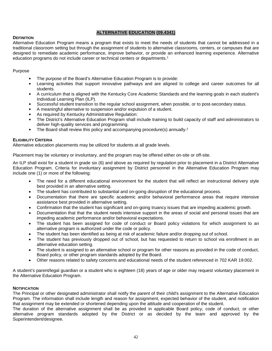# **ALTERNATIVE EDUCATION (09.4341)**

#### **DEFINITION**

Alternative Education Program means a program that exists to meet the needs of students that cannot be addressed in a traditional classroom setting but through the assignment of students to alternative classrooms, centers, or campuses that are designed to remediate academic performance, improve behavior, or provide an enhanced learning experience. Alternative education programs do not include career or technical centers or departments.<sup>1</sup>

#### Purpose

- The purpose of the Board's Alternative Education Program is to provide:
- Learning activities that support innovative pathways and are aligned to college and career outcomes for all students.
- A curriculum that is aligned with the Kentucky Core Academic Standards and the learning goals in each student's Individual Learning Plan (ILP).
- Successful student transition to the regular school assignment, when possible, or to post-secondary status.
- A meaningful alternative to suspension and/or expulsion of a student.
- As required by Kentucky Administrative Regulation:
- The District's Alternative Education Program shall include training to build capacity of staff and administrators to deliver high-quality services and programming.
- The Board shall review this policy and accompanying procedure(s) annually.<sup>2</sup>

#### **ELIGIBILITY CRITERIA**

Alternative education placements may be utilized for students at all grade levels.

Placement may be voluntary or involuntary, and the program may be offered either on-site or off-site.

An ILP shall exist for a student in grade six (6) and above as required by regulation prior to placement in a District Alternative Education Program. Criteria for involuntary assignment by District personnel in the Alternative Education Program may include one (1) or more of the following:

- The need for a different educational environment for the student that will reflect an instructional delivery style best provided in an alternative setting.
- The student has contributed to substantial and on-going disruption of the educational process.
- Documentation that there are specific academic and/or behavioral performance areas that require intensive assistance best provided in alternative setting.
- Confirmation that the student has significant and on-going truancy issues that are impeding academic growth.
- Documentation that that the student needs intensive support in the areas of social and personal issues that are impeding academic performance and/or behavioral expectations.
- The student has been assigned for code of conduct or Board policy violations for which assignment to an alternative program is authorized under the code or policy.
- The student has been identified as being at risk of academic failure and/or dropping out of school.
- The student has previously dropped out of school, but has requested to return to school via enrollment in an alternative education setting.
- The student is assigned to an alternative school or program for other reasons as provided in the code of conduct, Board policy, or other program standards adopted by the Board.
- Other reasons related to safety concerns and educational needs of the student referenced in 702 KAR 19:002.

A student's parent/legal guardian or a student who is eighteen (18) years of age or older may request voluntary placement in the Alternative Education Program.

#### **NOTIFICATION**

The Principal or other designated administrator shall notify the parent of their child's assignment to the Alternative Education Program. The information shall include length and reason for assignment, expected behavior of the student, and notification that assignment may be extended or shortened depending upon the attitude and cooperation of the student.

The duration of the alternative assignment shall be as provided in applicable Board policy, code of conduct, or other alternative program standards adopted by the District or as decided by the team and approved by the Superintendent/designee.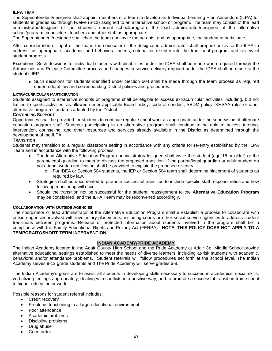## **ILPA TEAM**

The Superintendent/designee shall appoint members of a team to develop an Individual Learning Plan Addendum (ILPA) for students in grades six through twelve (6-12) assigned to an alternative school or program. The team may consist of the lead administrator/designee of the student's current school/program, the lead administrator/designee of the alternative school/program, counselors, teachers and other staff as appropriate.

The Superintendent/designee shall chair the team and invite the parents, and as appropriate, the student to participate.

After consideration of input of the team, the counselor or the designated administrator shall prepare or revise the ILPA to address, as appropriate, academic and behavioral needs, criteria for re-entry into the traditional program and review of student progress.

Exceptions: Such decisions for individual students with disabilities under the IDEA shall be made when required through the Admissions and Release Committee process and changes in service delivery required under the IDEA shall be made to the student's IEP.

 Such decisions for students identified under Section 504 shall be made through the team process as required under federal law and corresponding District policies and procedures.

#### **EXTRACURRICULAR PARTICIPATION**

Students assigned to alternative schools or programs shall be eligible to access extracurricular activities including, but not limited to sports activities, as allowed under applicable Board policy, code of conduct, SBDM policy, KHSAA rules or other alternative program standards adopted by the District.

#### **CONTINUING SUPPORT**

Opportunities shall be provided for students to continue regular school work as appropriate under the supervision of alternate education program staff. Students participating in an alternative program shall continue to be able to access tutoring, intervention, counseling, and other resources and services already available in the District as determined through the development of the ILPA.

#### **TRANSITION**

Students may transition to a regular classroom setting in accordance with any criteria for re-entry established by the ILPA Team and in accordance with the following process:

- The lead Alternative Education Program administrator/designee shall invite the student (age 18 or older) or the parent/legal guardian to meet to discuss the proposed transition. If the parent/legal guardian or adult student do not attend, written notification shall be provided to explain the proposed re-entry.
	- o For IDEA or Section 504 students, the IEP or Section 504 team shall determine placement of students as required by law.
- Strategies shall be documented to promote successful transition to include specific staff responsibilities and how follow-up monitoring will occur.
- Should the transition not be successful for the student, reassignment to the **Alternative Education Program** may be considered, and the ILPA Team may be reconvened accordingly.

#### **COLLABORATION WITH OUTSIDE AGENCIES**

The coordinator or lead administrator of the Alternative Education Program shall a establish a process to collaborate with outside agencies involved with involuntary placements, including courts or other social service agencies to address student transitions between programs. Release of protected information about students involved in the program shall be in compliance with the Family Educational Rights and Privacy Act (FERPA). **NOTE: THIS POLICY DOES NOT APPLY TO A TEMPORARY/SHORT-TERM INTERVENTION.**

#### **INDIAN ACADEMY/PRIDE ACADEMY**

The Indian Academy located in the Adair County High School and the Pride Academy at Adair Co. Middle School provide alternative educational settings established to meet the needs of diverse learners, including at-risk students with academic, behavioral and/or attendance problems. Student referrals will follow procedures set forth at the school level. The Indian Academy serves 9-12 grade students and The Pride Academy will serve grades 6-8.

The Indian Academy's goals are to assist all students in developing skills necessary to succeed in academics, social skills, verbalizing feelings appropriately, dealing with conflicts in a positive way, and to promote a successful transition from school to higher education or work.

Possible reasons for student referral includes:

- Credit recovery
- Problems functioning in a large educational environment
- Poor attendance
- Academic problems
- Discipline problems
- Drug abuse
- Court order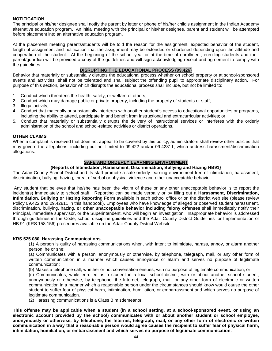# **NOTIFICATION**

The principal or his/her designee shall notify the parent by letter or phone of his/her child's assignment in the Indian Academy alternative education program. An initial meeting with the principal or his/her designee, parent and student will be attempted before placement into an alternative education program.

At the placement meeting parents/students will be told the reason for the assignment, expected behavior of the student, length of assignment and notification that the assignment may be extended or shortened depending upon the attitude and cooperation of the student. At the beginning of the school year or at the time of enrollment, enrolling students and their parent/guardian will be provided a copy of the guidelines and will sign acknowledging receipt and agreement to comply with the guidelines.

#### **DISRUPTING THE EDUCATIONAL PROCESS (09.426)**

Behavior that materially or substantially disrupts the educational process whether on school property or at school-sponsored events and activities, shall not be tolerated and shall subject the offending pupil to appropriate disciplinary action. For purpose of this section, behavior which disrupts the educational process shall include, but not be limited to:

- 1. Conduct which threatens the health, safety, or welfare of others;
- 2. Conduct which may damage public or private property, including the property of students or staff;
- 3. Illegal activity;
- 4. Conduct that materially or substantially interferes with another student's access to educational opportunities or programs, including the ability to attend, participate in and benefit from instructional and extracurricular activities; or
- 5. Conduct that materially or substantially disrupts the delivery of instructional services or interferes with the orderly administration of the school and school-related activities or district operations.

#### **OTHER CLAIMS**

When a complaint is received that does not appear to be covered by this policy, administrators shall review other policies that may govern the allegations, including but not limited to 09.422 and/or 09.42811, which address harassment/discrimination allegations.

# **SAFE AND ORDERLY LEARNING ENVIRONMENT**

#### **(Reports of Intimidation, Harassment, Discrimination, Bullying and Hazing HB91}**

The Adair County School District and its staff promote a safe orderly learning environment free of intimidation, harassment, discrimination, bullying, hazing, threat of verbal or physical violence and other unacceptable behavior.

Any student that believes that he/she has been the victim of these or any other unacceptable behavior is to report the incident(s) immediately to school staff. Reporting can be made verbally or by filling out a **Harassment, Discrimination, Intimidation, Bullying or Hazing Reporting Form** available in each school office or on the district web site (please review Policy 09.422 and 09.42811 in this handbook). Employees who have knowledge of alleged or observed student harassment, discrimination, bullying, hazing, **or other unacceptable behavior including felony offenses** shall immediately notify their Principal, immediate supervisor, or the Superintendent, who will begin an investigation. Inappropriate behavior is addressed through guidelines in the Code, school discipline guidelines and the Adair County District Guidelines for Implementation of HB 91 (KRS 158.156) procedures available on the Adair County District Website.

#### **KRS 525.080 Harassing Communications.**

(1) A person is guilty of harassing communications when, with intent to intimidate, harass, annoy, or alarm another person, he or she:

(a) Communicates with a person, anonymously or otherwise, by telephone, telegraph, mail, or any other form of written communication in a manner which causes annoyance or alarm and serves no purpose of legitimate communication;

(b) Makes a telephone call, whether or not conversation ensues, with no purpose of legitimate communication; or

(c) Communicates, while enrolled as a student in a local school district, with or about another school student, anonymously or otherwise, by telephone, the Internet, telegraph, mail, or any other form of electronic or written communication in a manner which a reasonable person under the circumstances should know would cause the other student to suffer fear of physical harm, intimidation, humiliation, or embarrassment and which serves no purpose of legitimate communication.

(2) Harassing communications is a Class B misdemeanor.

**This offense may be applicable when a student (in a school setting, at a school-sponsored event, or using an electronic account provided by the school) communicates with or about another student or school employee, anonymously or otherwise, by telephone, the Internet, telegraph, mail, or any other form of electronic or written communication in a way that a reasonable person would agree causes the recipient to suffer fear of physical harm, intimidation, humiliation, or embarrassment and which serves no purpose of legitimate communication.**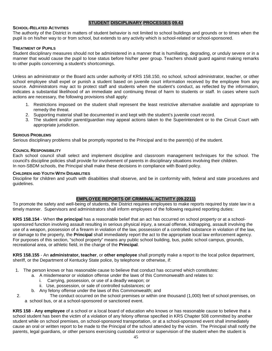# **STUDENT DISCIPLINARY PROCESSES 09.43**

#### **SCHOOL-RELATED ACTIVITIES**

The authority of the District in matters of student behavior is not limited to school buildings and grounds or to times when the pupil is on his/her way to or from school, but extends to any activity which is school-related or school-sponsored.

#### **TREATMENT OF PUPILS**

Student disciplinary measures should not be administered in a manner that is humiliating, degrading, or unduly severe or in a manner that would cause the pupil to lose status before his/her peer group. Teachers should guard against making remarks to other pupils concerning a student's shortcomings.

Unless an administrator or the Board acts under authority of KRS 158.150, no school, school administrator, teacher, or other school employee shall expel or punish a student based on juvenile court information received by the employee from any source. Administrators may act to protect staff and students when the student's conduct, as reflected by the information, indicates a substantial likelihood of an immediate and continuing threat of harm to students or staff. In cases where such actions are necessary, the following provisions shall apply:

- 1. Restrictions imposed on the student shall represent the least restrictive alternative available and appropriate to remedy the threat.
- 2. Supporting material shall be documented in and kept with the student's juvenile court record.
- 3. The student and/or parent/guardian may appeal actions taken to the Superintendent or to the Circuit Court with appropriate jurisdiction.

#### **SERIOUS PROBLEMS**

Serious disciplinary problems shall be promptly reported to the Principal and to the parent(s) of the student.

#### **COUNCIL RESPONSIBILITY**

Each school council shall select and implement discipline and classroom management techniques for the school. The council's discipline policies shall provide for involvement of parents in disciplinary situations involving their children. In non-SBDM schools, the Principal shall make these decisions in compliance with Board policy.

#### **CHILDREN AND YOUTH WITH DISABILITIES**

Discipline for children and youth with disabilities shall observe, and be in conformity with, federal and state procedures and guidelines.

# **EMPLOYEE REPORTS OF CRIMINAL ACTIVITY (09.2211)**

To promote the safety and well-being of students, the District requires employees to make reports required by state law in a timely manner. Supervisors and administrators shall inform employees of the following required reporting duties:

**KRS 158.154** - When **the principal** has a reasonable belief that an act has occurred on school property or at a schoolsponsored function involving assault resulting in serious physical injury, a sexual offense, kidnapping, assault involving the use of a weapon, possession of a firearm in violation of the law, possession of a controlled substance in violation of the law, or damage to the property, the **Principal** shall immediately report the act to the appropriate local law enforcement agency. For purposes of this section, "school property" means any public school building, bus, public school campus, grounds, recreational area, or athletic field, in the charge of the **Principal**.

**KRS 158.155** - An **administrator, teacher**, or **other employee** shall promptly make a report to the local police department, sheriff, or the Department of Kentucky State police, by telephone or otherwise, if:

- 1. The person knows or has reasonable cause to believe that conduct has occurred which constitutes:
	- a. A misdemeanor or violation offense under the laws of this Commonwealth and relates to:
		- i. Carrying, possession, or use of a deadly weapon; or
		- ii. Use, possession, or sale of controlled substances; or
		- b. Any felony offense under the laws of this Commonwealth; and
- 2. The conduct occurred on the school premises or within one thousand (1,000) feet of school premises, on a school bus, or at a school-sponsored or sanctioned event.

**KRS 158** - **Any employee** of a school or a local board of education who knows or has reasonable cause to believe that a school student has been the victim of a violation of any felony offense specified in KRS Chapter 508 committed by another student while on school premises, on school-sponsored transportation, or at a school-sponsored event shall immediately cause an oral or written report to be made to the Principal of the school attended by the victim. The Principal shall notify the parents, legal guardians, or other persons exercising custodial control or supervision of the student when the student is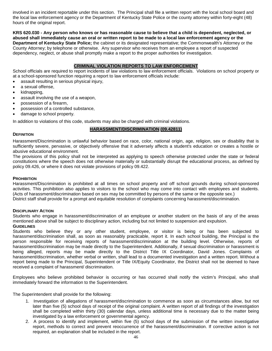involved in an incident reportable under this section. The Principal shall file a written report with the local school board and the local law enforcement agency or the Department of Kentucky State Police or the county attorney within forty-eight (48) hours of the original report.

**KRS 620.030 - Any person who knows or has reasonable cause to believe that a child is dependent, neglected, or abused shall immediately cause an oral or written report to be made to a local law enforcement agency or the Department of Kentucky State Police;** the cabinet or its designated representative; the Commonwealth's Attorney or the County Attorney; by telephone or otherwise. Any supervisor who receives from an employee a report of suspected dependency, neglect, or abuse shall promptly make a report to the proper authorities for investigation.

# **CRIMINAL VIOLATION REPORTS TO LAW ENFORCEMENT**

School officials are required to report incidents of law violations to law enforcement officials. Violations on school property or at a school-sponsored function requiring a report to law enforcement officials include:

- assault resulting in serious physical injury.
- a sexual offense,
- kidnapping,
- assault involving the use of a weapon,
- possession of a firearm,
- possession of a controlled substance,
- damage to school property.

In addition to violations of this code, students may also be charged with criminal violations.

# **HARASSMENT/DISCRIMINATION (09.42811)**

#### **DEFINITION**

Harassment/Discrimination is unlawful behavior based on race, color, national origin, age, religion, sex or disability that is sufficiently severe, pervasive, or objectively offensive that it adversely affects a student's education or creates a hostile or abusive educational environment.

The provisions of this policy shall not be interpreted as applying to speech otherwise protected under the state or federal constitutions where the speech does not otherwise materially or substantially disrupt the educational process, as defined by policy 09.426, or where it does not violate provisions of policy 09.422.

#### **PROHIBITION**

Harassment/Discrimination is prohibited at all times on school property and off school grounds during school-sponsored activities. This prohibition also applies to visitors to the school who may come into contact with employees and students. (Acts of harassment/discrimination based on sex may be committed by persons of the same or the opposite sex.) District staff shall provide for a prompt and equitable resolution of complaints concerning harassment/discrimination.

#### **DISCIPLINARY ACTION**

Students who engage in harassment/discrimination of an employee or another student on the basis of any of the areas mentioned above shall be subject to disciplinary action, including but not limited to suspension and expulsion. **GUIDELINES**

Students who believe they or any other student, employee, or visitor is being or has been subjected to harassment/discrimination shall, as soon as reasonably practicable, report it. In each school building, the Principal is the person responsible for receiving reports of harassment/discrimination at the building level. Otherwise, reports of harassment/discrimination may be made directly to the Superintendent. Additionally, if sexual discrimination or harassment is being alleged, reports may be made directly to the District Title IX Coordinator, David Jones. Complaints of harassment/discrimination, whether verbal or written, shall lead to a documented investigation and a written report. Without a report being made to the Principal, Superintendent or Title IX/Equity Coordinator, the District shall not be deemed to have received a complaint of harassment/ discrimination.

Employees who believe prohibited behavior is occurring or has occurred shall notify the victim's Principal, who shall immediately forward the information to the Superintendent.

The Superintendent shall provide for the following:

- 1. Investigation of allegations of harassment/discrimination to commence as soon as circumstances allow, but not later than five (5) school days of receipt of the original complaint. A written report of all findings of the investigation shall be completed within thirty (30) calendar days, unless additional time is necessary due to the matter being investigated by a law enforcement or governmental agency.
- 2. A process to identify and implement, within five (5) school days of the submission of the written investigative report, methods to correct and prevent reoccurrence of the harassment/discrimination. If corrective action is not required, an explanation shall be included in the report.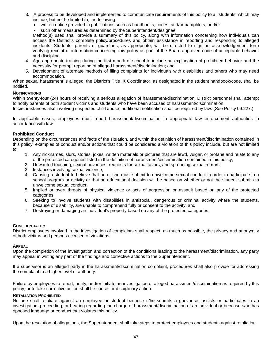- 3. A process to be developed and implemented to communicate requirements of this policy to all students, which may include, but not be limited to, the following:
	- written notice provided in publications such as handbooks, codes, and/or pamphlets; and/or
	- such other measures as determined by the Superintendent/designee.

Method(s) used shall provide a summary of this policy, along with information concerning how individuals can access the District's complete policy/procedures and obtain assistance in reporting and responding to alleged incidents. Students, parents or guardians, as appropriate, will be directed to sign an acknowledgement form verifying receipt of information concerning this policy as part of the Board-approved code of acceptable behavior and discipline.

- 4. Age-appropriate training during the first month of school to include an explanation of prohibited behavior and the necessity for prompt reporting of alleged harassment/discrimination; and
- 5. Development of alternate methods of filing complaints for individuals with disabilities and others who may need accommodation.

When sexual harassment is alleged, the District's Title IX Coordinator, as designated in the student handbook/code, shall be notified.

#### **NOTIFICATIONS**

Within twenty-four (24) hours of receiving a serious allegation of harassment/discrimination, District personnel shall attempt to notify parents of both student victims and students who have been accused of harassment/discrimination.

In circumstances also involving suspected child abuse, additional notification shall be required by law. (See Policy 09.227.)

In applicable cases, employees must report harassment/discrimination to appropriate law enforcement authorities in accordance with law.

#### **Prohibited Conduct**

Depending on the circumstances and facts of the situation, and within the definition of harassment/discrimination contained in this policy, examples of conduct and/or actions that could be considered a violation of this policy include, but are not limited to:

- 1. Any nicknames, slurs, stories, jokes, written materials or pictures that are lewd, vulgar, or profane and relate to any of the protected categories listed in the definition of harassment/discrimination contained in this policy;
- 2. Unwanted touching, sexual advances, requests for sexual favors, and spreading sexual rumors;
- 3. Instances involving sexual violence;
- 4. Causing a student to believe that he or she must submit to unwelcome sexual conduct in order to participate in a school program or activity or that an educational decision will be based on whether or not the student submits to unwelcome sexual conduct;
- 5. Implied or overt threats of physical violence or acts of aggression or assault based on any of the protected categories;
- 6. Seeking to involve students with disabilities in antisocial, dangerous or criminal activity where the students, because of disability, are unable to comprehend fully or consent to the activity; and
- 7. Destroying or damaging an individual's property based on any of the protected categories.

#### **CONFIDENTIALITY**

District employees involved in the investigation of complaints shall respect, as much as possible, the privacy and anonymity of both victims and persons accused of violations.

#### **APPEAL**

Upon the completion of the investigation and correction of the conditions leading to the harassment/discrimination, any party may appeal in writing any part of the findings and corrective actions to the Superintendent.

If a supervisor is an alleged party in the harassment/discrimination complaint, procedures shall also provide for addressing the complaint to a higher level of authority.

Failure by employees to report, notify, and/or initiate an investigation of alleged harassment/discrimination as required by this policy, or to take corrective action shall be cause for disciplinary action.

#### **RETALIATION PROHIBITED**

No one shall retaliate against an employee or student because s/he submits a grievance, assists or participates in an investigation, proceeding, or hearing regarding the charge of harassment/discrimination of an individual or because s/he has opposed language or conduct that violates this policy.

Upon the resolution of allegations, the Superintendent shall take steps to protect employees and students against retaliation.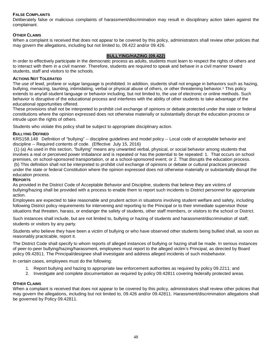# **FALSE COMPLAINTS**

Deliberately false or malicious complaints of harassment/discrimination may result in disciplinary action taken against the complainant.

# **OTHER CLAIMS**

When a complaint is received that does not appear to be covered by this policy, administrators shall review other policies that may govern the allegations, including but not limited to, 09.422 and/or 09.426.

# **BULLYING/HAZING (09.422)**

In order to effectively participate in the democratic process as adults, students must learn to respect the rights of others and to interact with them in a civil manner. Therefore, students are required to speak and behave in a civil manner toward students, staff and visitors to the schools.

#### **ACTIONS NOT TOLERATED**

The use of lewd, profane or vulgar language is prohibited. In addition, students shall not engage in behaviors such as hazing, bullying, menacing, taunting, intimidating, verbal or physical abuse of others, or other threatening behavior.1 This policy extends to any/all student language or behavior including, but not limited to, the use of electronic or online methods. Such behavior is disruptive of the educational process and interferes with the ability of other students to take advantage of the educational opportunities offered.

These provisions shall not be interpreted to prohibit civil exchange of opinions or debate protected under the state or federal constitutions where the opinion expressed does not otherwise materially or substantially disrupt the education process or intrude upon the rights of others.

Students who violate this policy shall be subject to appropriate disciplinary action.

#### **BULLYING DEFINED**

KRS158.148 Definition of "bullying" -- discipline guidelines and model policy -- Local code of acceptable behavior and discipline -- Required contents of code. (Effective July 15, 2016)

(1) (a) As used in this section, "bullying" means any unwanted verbal, physical, or social behavior among students that involves a real or perceived power imbalance and is repeated or has the potential to be repeated: 1. That occurs on school premises, on school-sponsored transportation, or at a school-sponsored event; or 2. That disrupts the education process. (b) This definition shall not be interpreted to prohibit civil exchange of opinions or debate or cultural practices protected under the state or federal Constitution where the opinion expressed does not otherwise materially or substantially disrupt the education process.

#### **REPORTS**

As provided in the District Code of Acceptable Behavior and Discipline, students that believe they are victims of bullying/hazing shall be provided with a process to enable them to report such incidents to District personnel for appropriate action.

Employees are expected to take reasonable and prudent action in situations involving student welfare and safety, including following District policy requirements for intervening and reporting to the Principal or to their immediate supervisor those situations that threaten, harass, or endanger the safety of students, other staff members, or visitors to the school or District.

Such instances shall include, but are not limited to, bullying or hazing of students and harassment/discrimination of staff, students or visitors by any party.

Students who believe they have been a victim of bullying or who have observed other students being bullied shall, as soon as reasonably practicable, report it.

The District Code shall specify to whom reports of alleged instances of bullying or hazing shall be made. In serious instances of peer-to-peer bullying/hazing/harassment, employees must report to the alleged victim's Principal, as directed by Board policy 09.42811. The Principal/designee shall investigate and address alleged incidents of such misbehavior.

In certain cases, employees must do the following:

- 1. Report bullying and hazing to appropriate law enforcement authorities as required by policy 09.2211; and
- 2. Investigate and complete documentation as required by policy 09.42811 covering federally protected areas.

#### **OTHER CLAIMS**

When a complaint is received that does not appear to be covered by this policy, administrators shall review other policies that may govern the allegations, including but not limited to, 09.426 and/or 09.42811. Harassment/discrimination allegations shall be governed by Policy 09.42811.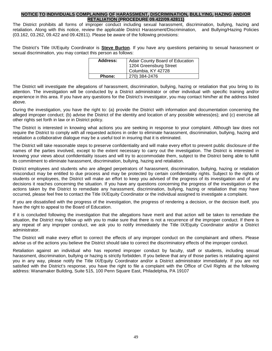## **NOTICE TO INDIVIDUALS COMPLAINING OF HARASSMENT, DISCRIMINATION, BULLYING, HAZING AND/OR RETALIATION (PROCEDURE 09.422/09.42811)**

The District prohibits all forms of improper conduct including sexual harassment, discrimination, bullying, hazing and retaliation. Along with this notice, review the applicable District Harassment/Discrimination, and Bullying/Hazing Policies (03.162, 03.262, 09.422 and 09.42811). Please be aware of the following provisions:

The District's Title IX/Equity Coordinator is **Steve Burton**. If you have any questions pertaining to sexual harassment or sexual discrimination, you may contact this person as follows:

| Address:      | <b>Adair County Board of Education</b><br>1204 Greensburg Street |
|---------------|------------------------------------------------------------------|
|               | Columbia, KY 42728                                               |
| <b>Phone:</b> | 270) 384-2476                                                    |

The District will investigate the allegations of harassment, discrimination, bullying, hazing or retaliation that you bring to its attention. The investigation will be conducted by a District administrator or other individual with specific training and/or experience in this area. If you have any questions for the District's investigator, you may contact him/her at the address listed above.

During the investigation, you have the right to: (a) provide the District with information and documentation concerning the alleged improper conduct; (b) advise the District of the identity and location of any possible witness(es); and (c) exercise all other rights set forth in law or in District policy.

The District is interested in knowing what actions you are seeking in response to your complaint. Although law does not require the District to comply with all requested actions in order to eliminate harassment, discrimination, bullying, hazing and retaliation a collaborative dialogue may be a useful tool in insuring that it is eliminated.

The District will take reasonable steps to preserve confidentiality and will make every effort to prevent public disclosure of the names of the parties involved, except to the extent necessary to carry out the investigation. The District is interested in knowing your views about confidentiality issues and will try to accommodate them, subject to the District being able to fulfill its commitment to eliminate harassment, discrimination, bullying, hazing and retaliation.

District employees and students who are alleged perpetrators of harassment, discrimination, bullying, hazing or retaliation misconduct may be entitled to due process and may be protected by certain confidentiality rights. Subject to the rights of students or employees, the District will make an effort to keep you advised of the progress of its investigation and of any decisions it reaches concerning the situation. If you have any questions concerning the progress of the investigation or the actions taken by the District to remediate any harassment, discrimination, bullying, hazing or retaliation that may have occurred, please feel free to contact the Title IX/Equity Coordinator or the individual assigned to investigate a complaint.

If you are dissatisfied with the progress of the investigation, the progress of rendering a decision, or the decision itself, you have the right to appeal to the Board of Education.

If it is concluded following the investigation that the allegations have merit and that action will be taken to remediate the situation, the District may follow up with you to make sure that there is not a recurrence of the improper conduct. If there is any repeat of any improper conduct, we ask you to notify immediately the Title IX/Equity Coordinator and/or a District administrator.

The District will make every effort to correct the effects of any improper conduct on the complainant and others. Please advise us of the actions you believe the District should take to correct the discriminatory effects of the improper conduct.

Retaliation against an individual who has reported improper conduct by faculty, staff or students, including sexual harassment, discrimination, bullying or hazing is strictly forbidden. If you believe that any of those parties is retaliating against you in any way, please notify the Title IX/Equity Coordinator and/or a District administrator immediately. If you are not satisfied with the District's response, you have the right to file a complaint with the Office of Civil Rights at the following address: Wanamaker Building, Suite 515, 100 Penn Square East, Philadelphia, PA 19107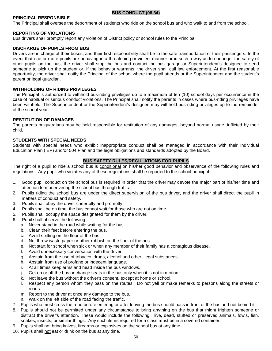#### **BUS CONDUCT (06.34)**

# **PRINCIPAL RESPONSIBLE**

The Principal shall oversee the deportment of students who ride on the school bus and who walk to and from the school.

#### **REPORTING OF VIOLATIONS**

Bus drivers shall promptly report any violation of District policy or school rules to the Principal.

#### **DISCHARGE OF PUPILS FROM BUS**

Drivers are in charge of their buses, and their first responsibility shall be to the safe transportation of their passengers. In the event that one or more pupils are behaving in a threatening or violent manner or in such a way as to endanger the safety of other pupils on the bus, the driver shall stop the bus and contact the bus garage or Superintendent's designee to send someone to pick up the student or, if the behavior warrants, the driver shall call law enforcement. At the first reasonable opportunity, the driver shall notify the Principal of the school where the pupil attends or the Superintendent and the student's parent or legal guardian.

#### **WITHHOLDING OF RIDING PRIVILEGES**

The Principal is authorized to withhold bus-riding privileges up to a maximum of ten (10) school days per occurrence in the case of habitual or serious conduct violations. The Principal shall notify the parents in cases where bus-riding privileges have been withheld. The Superintendent or the Superintendent's designee may withhold bus-riding privileges up to the remainder of the school year.

#### **RESTITUTION OF DAMAGES**

The parents or guardians may be held responsible for restitution of any damages, beyond normal usage, inflicted by their child.

#### **STUDENTS WITH SPECIAL NEEDS**

Students with special needs who exhibit inappropriate conduct shall be managed in accordance with their Individual Education Plan (IEP) and/or 504 Plan and the legal obligations and standards adopted by the Board.

#### **BUS SAFETY RULES/REGULATIONS FOR PUPILS**

The right of a pupil to ride a school bus is conditional on his/her good behavior and observance of the following rules and regulations. Any pupil who violates any of these regulations shall be reported to the school principal.

- 1. Good pupil conduct on the school bus is required in order that the driver may devote the major part of his/her time and attention to maneuvering the school bus through traffic.
- 2. Pupils riding the school bus are under the direct supervision of the bus driver, and the driver shall direct the pupil in matters of conduct and safety.
- 3. Pupils shall obey the driver cheerfully and promptly.
- 4. Pupils shall be on time; the bus cannot wait for those who are not on time.
- 5. Pupils shall occupy the space designated for them by the driver.
- 6. Pupil shall observe the following:
	- a. Never stand in the road while waiting for the bus.
	- b. Clean their feet before entering the bus.
	- c. Avoid spitting on the floor of the bus.
	- d. Not throw waste paper or other rubbish on the floor of the bus
	- e. Not start for school when sick or when any member of their family has a contagious disease.
	- f. Avoid unnecessary conversation with the driver.
	- g. Abstain from the use of tobacco, drugs, alcohol and other illegal substances.
	- h. Abstain from use of profane or indecent language.
	- i. At all times keep arms and head inside the bus windows.
	- j. Get on or off the bus or change seats in the bus only when it is not in motion.
	- k. Not leave the bus without the driver's consent, except at home or school.
	- l. Respect any person whom they pass on the routes. Do not yell or make remarks to persons along the streets or roads.
	- m. Report to the driver at once any damage to the bus.
	- n. Walk on the left side of the road facing the traffic.
- 7. Pupils who must cross the road before entering or after leaving the bus should pass in front of the bus and not behind it.
- 8. Pupils should not be permitted under any circumstance to bring anything on the bus that might frighten someone or distract the driver's attention. These would include the following: live, dead, stuffed or preserved animals, fowls, fish, snakes, insects, or similar things. Any such items required for a class must be in a covered container.
- 9. Pupils shall not bring knives, firearms or explosives on the school bus at any time.
- 10. Pupils shall not eat or drink on the bus at any time.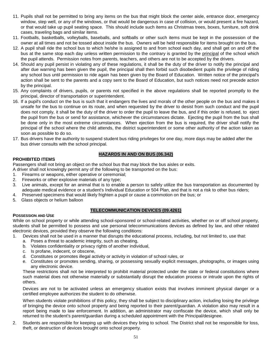- 11. Pupils shall not be permitted to bring any items on the bus that might block the center aisle, entrance door, emergency window, step well, or any of the windows, or that would be dangerous in case of collision, or would present a fire hazard, or that would take up pupil seating space. This should include such items as Christmas trees, boxes, furniture, soft drink cases, traveling bags and similar items.
- 11. Footballs, basketballs, volleyballs, baseballs, and softballs or other such items must be kept in the possession of the owner at all times and not be tossed about inside the bus. Owners will be held responsible for items brought on the bus.
- 12. A pupil shall ride the school bus to which he/she is assigned to and from school each day, and shall get on and off the bus at the same stop each day unless written permission to the contrary is granted by the principal of the school which the pupil attends. Permission notes from parents, teachers, and others are not to be accepted by the drivers.
- 14. Should any pupil persist in violating any of these regulations, it shall be the duty of the driver to notify the principal and after due warning has been given the pupil, the principal shall then forbid such disobedient pupils the privilege of riding any school bus until permission to ride again has been given by the Board of Education. Written notice of the principal's action shall be sent to the parents and a copy sent to the Board of Education, but such notices need not precede action by the principal.
- 15. Any complaints of drivers, pupils, or parents not specified in the above regulations shall be reported promptly to the principal, director of transportation or superintendent.
- 16. If a pupil's conduct on the bus is such that it endangers the lives and morals of the other people on the bus and makes it unsafe for the bus to continue on its route, and when requested by the driver to desist from such conduct and the pupil does not comply, it shall be the duty of the driver to order the pupil to leave the bus, and if this order is refused, to eject the pupil from the bus or send for assistance, whichever the circumstances dictate. Ejecting the pupil from the bus shall be done only in the most extreme circumstances. When ejection from the bus is required, the driver shall notify the principal of the school where the child attends, the district superintendent or some other authority of the action taken as soon as possible to do so.
- 17. Bus drivers have the authority to suspend student bus riding privileges for one day, more days may be added after the bus driver consults with the school principal.

# **HAZARDS IN AND ON BUS (06.342)**

# **PROHIBITED ITEMS**

**POSSESSION AND USE**

Passengers shall not bring an object on the school bus that may block the bus aisles or exits.

- A driver shall not knowingly permit any of the following to be transported on the bus:
- 1. Firearms or weapons, either operative or ceremonial;
- 2. Fireworks or other explosive materials of any type;
- 3. Live animals, except for an animal that is to enable a person to safely utilize the bus transportation as documented by adequate medical evidence or a student's Individual Education or 504 Plan, and that is not a risk to other bus riders;
- 4. Preserved specimens that would likely frighten a pupil or cause a commotion on the bus; or
- 5. Glass objects or helium balloon

# **TELECOMMUNICATION DEVICES (09.4261)**

While on school property or while attending school-sponsored or school-related activities, whether on or off school property, students shall be permitted to possess and use personal telecommunications devices as defined by law, and other related electronic devices, provided they observe the following conditions:

- 1. Devices shall not be used in a manner that disrupts the educational process, including, but not limited to, use that:
	- a. Poses a threat to academic integrity, such as cheating,
	- b. Violates confidentiality or privacy rights of another individual,
	- c. Is profane, indecent, or obscene,
	- d. Constitutes or promotes illegal activity or activity in violation of school rules, or
	- e. Constitutes or promotes sending, sharing, or possessing sexually explicit messages, photographs, or images using any electronic device.

These restrictions shall not be interpreted to prohibit material protected under the state or federal constitutions where such material does not otherwise materially or substantially disrupt the education process or intrude upon the rights of others.

Devices are not to be activated unless an emergency situation exists that involves imminent physical danger or a certified employee authorizes the student to do otherwise.

When students violate prohibitions of this policy, they shall be subject to disciplinary action, including losing the privilege of bringing the device onto school property and being reported to their parent/guardian. A violation also may result in a report being made to law enforcement. In addition, an administrator may confiscate the device, which shall only be returned to the student's parent/guardian during a scheduled appointment with the Principal/designee.

2. Students are responsible for keeping up with devices they bring to school. The District shall not be responsible for loss, theft, or destruction of devices brought onto school property.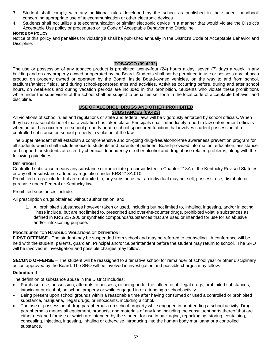- 3. Student shall comply with any additional rules developed by the school as published in the student handbook concerning appropriate use of telecommunication or other electronic devices.
- 4. Students shall not utilize a telecommunication or similar electronic device in a manner that would violate the District's Acceptable Use policy or procedures or its Code of Acceptable Behavior and Discipline.

# **NOTICE OF POLICY**

Notice of this policy and penalties for violating it shall be published annually in the District's Code of Acceptable Behavior and Discipline.

# **TOBACCO (09.4232)**

The use or possession of any tobacco product is prohibited twenty-four (24) hours a day, seven (7) days a week in any building and on any property owned or operated by the Board. Students shall not be permitted to use or possess any tobacco product on property owned or operated by the Board, inside Board-owned vehicles, on the way to and from school, stadiums/athletic fields, and during school-sponsored trips and activities. Activities occurring before, during and after school hours, on weekends and during vacation periods are included in this prohibition. Students who violate these prohibitions while under the supervision of the school shall be subject to penalties set forth in the local code of acceptable behavior and discipline.

# **USE OF ALCOHOL, DRUGS AND OTHER PROHIBITED SUBSTANCES (09.423)**

All violations of school rules and regulations or state and federal laws will be vigorously enforced by school officials. When they have reasonable belief that a violation has taken place, Principals shall immediately report to law enforcement officials when an act has occurred on school property or at a school-sponsored function that involves student possession of a controlled substance on school property in violation of the law.

The Superintendent shall establish a comprehensive and on-going drug-free/alcohol-free awareness prevention program for all students which shall include notice to students and parents of pertinent Board-provided information, education, assistance, and support for students affected by chemical dependency or other alcohol and drug abuse related problems, along with the following guidelines:

#### **DEFINITION I**

Controlled substance means any substance or immediate precursor listed in Chapter 218A of the Kentucky Revised Statutes or any other substance added by regulation under KRS 218A.010.

Prohibited drugs include, but are not limited to, any substance that an individual may not sell, possess, use, distribute or purchase under Federal or Kentucky law.

Prohibited substances include:

All prescription drugs obtained without authorization, and

1. All prohibited substances however taken or used, including but not limited to, inhaling, ingesting, and/or injecting. These include, but are not limited to, prescribed and over-the-counter drugs, prohibited volatile substances as defined in KRS 217.900 or synthetic compounds/substances that are used or intended for use for an abusive and/or intoxicating purpose.

# **PROCEDURES FOR HANDLING VIOLATIONS OF DEFINITION I**

**FIRST OFFENSE** - The student may be suspended from school and may be referred to counseling. A conference will be held with the student, parents, guardian, Principal and/or Superintendent before the student may return to school. The SRO will be involved in investigation and possible charges may follow.

**SECOND OFFENSE** – The student will be reassigned to alternative school for remainder of school year or other disciplinary action approved by the Board. The SRO will be involved in investigation and possible charges may follow.

# **Definition II**

The definition of substance abuse in the District includes:

- Purchase, use, possession, attempts to possess, or being under the influence of illegal drugs, prohibited substances, intoxicant or alcohol, on school property or while engaged in or attending a school activity.
- Being present upon school grounds within a reasonable time after having consumed or used a controlled or prohibited substance, marijuana, illegal drugs, or intoxicants, including alcohol.
- The use or possession of drug paraphernalia on school property while engaged in or attending a school activity. Drug paraphernalia means all equipment, products, and materials of any kind including the constituent parts thereof that are either designed for use or which are intended by the student for use in packaging, repackaging, storing, containing, concealing, injecting, ingesting, inhaling or otherwise introducing into the human body marijuana or a controlled substance.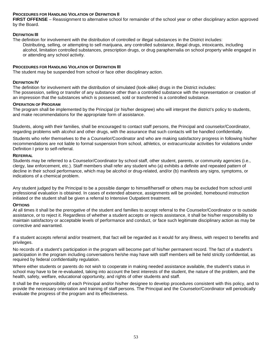# **PROCEDURES FOR HANDLING VIOLATION OF DEFINITION II**

**FIRST OFFENSE** – Reassignment to alternative school for remainder of the school year or other disciplinary action approved by the Board.

#### **DEFINITION III**

The definition for involvement with the distribution of controlled or illegal substances in the District includes: Distributing, selling, or attempting to sell marijuana, any controlled substance, illegal drugs, intoxicants, including alcohol, limitation controlled substances, prescription drugs, or drug paraphernalia on school property while engaged in or attending any school activity.

#### **PROCEDURES FOR HANDLING VIOLATION OF DEFINITION III**

The student may be suspended from school or face other disciplinary action.

#### **DEFINITION IV**

The definition for involvement with the distribution of simulated (look-alike) drugs in the District includes: The possession, selling or transfer of any substance other than a controlled substance with the representation or creation of an impression that the substances which is possessed, sold or transferred is a controlled substance.

#### **OPERATION OF PROGRAM**

The program shall be implemented by the Principal (or his/her designee) who will interpret the district's policy to students, and make recommendations for the appropriate form of assistance.

Students, along with their families, shall be encouraged to contact staff persons, the Principal and counselor/Coordinator, regarding problems with alcohol and other drugs, with the assurance that such contacts will be handled confidentially.

Students who refer themselves to the a Counselor/Coordinator and who are making satisfactory progress in following his/her recommendations are not liable to formal suspension from school, athletics, or extracurricular activities for violations under Definition I prior to self-referral.

#### **REFERRAL**

Students may be referred to a Counselor/Coordinator by school staff, other student, parents, or community agencies (i.e., clergy, law enforcement, etc.). Staff members shall refer any student who (a) exhibits a definite and repeated pattern of decline in their school performance, which may be alcohol or drug-related, and/or (b) manifests any signs, symptoms, or indications of a chemical problem.

Any student judged by the Principal to be a possible danger to himself/herself or others may be excluded from school until professional evaluation is obtained. In cases of extended absence, assignments will be provided, homebound instruction initiated or the student shall be given a referral to Intensive Outpatient treatment.

#### **OPTIONS**

At all times it shall be the prerogative of the student and families to accept referral to the Counselor/Coordinator or to outside assistance, or to reject it. Regardless of whether a student accepts or rejects assistance, it shall be his/her responsibility to maintain satisfactory or acceptable levels of performance and conduct, or face such legitimate disciplinary action as may be corrective and warranted.

If a student accepts referral and/or treatment, that fact will be regarded as it would for any illness, with respect to benefits and privileges.

No records of a student's participation in the program will become part of his/her permanent record. The fact of a student's participation in the program including conversations he/she may have with staff members will be held strictly confidential, as required by federal confidentiality regulation.

Where either students or parents do not wish to cooperate in making needed assistance available, the student's status in school may have to be re-evaluated, taking into account the best interests of the student, the nature of the problem, and the health, safety, welfare, educational opportunity, and rights of other students and staff.

It shall be the responsibility of each Principal and/or his/her designee to develop procedures consistent with this policy, and to provide the necessary orientation and training of staff persons. The Principal and the Counselor/Coordinator will periodically evaluate the progress of the program and its effectiveness.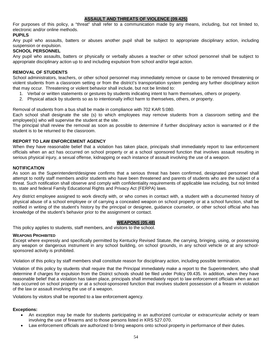# **ASSAULT AND THREATS OF VIOLENCE (09.425)**

For purposes of this policy, a "threat" shall refer to a communication made by any means, including, but not limited to, electronic and/or online methods.

# **PUPILS**

Any pupil who assaults, batters or abuses another pupil shall be subject to appropriate disciplinary action, including suspension or expulsion.

# **SCHOOL PERSONNEL**

Any pupil who assaults, batters or physically or verbally abuses a teacher or other school personnel shall be subject to appropriate disciplinary action up to and including expulsion from school and/or legal action.

#### **REMOVAL OF STUDENTS**

School administrators, teachers, or other school personnel may immediately remove or cause to be removed threatening or violent students from a classroom setting or from the district's transportation system pending any further disciplinary action that may occur. Threatening or violent behavior shall include, but not be limited to:

- 1. Verbal or written statements or gestures by students indicating intent to harm themselves, others or property.
- 2. Physical attack by students so as to intentionally inflict harm to themselves, others, or property.

Removal of students from a bus shall be made in compliance with 702 KAR 5:080.

Each school shall designate the site (s) to which employees may remove students from a classroom setting and the employee(s) who will supervise the student at the site.

The principal shall review the removal as soon as possible to determine if further disciplinary action is warranted or if the student is to be returned to the classroom.

# **REPORT TO LAW ENFORCEMENT AGENCY**

When they have reasonable belief that a violation has taken place, principals shall immediately report to law enforcement officials when an act has occurred on school property or at a school sponsored function that involves assault resulting in serious physical injury, a sexual offense, kidnapping or each instance of assault involving the use of a weapon.

#### **NOTIFICATION**

As soon as the Superintendent/designee confirms that a serious threat has been confirmed, designated personnel shall attempt to notify staff members and/or students who have been threatened and parents of students who are the subject of a threat. Such notification shall observe and comply with confidentiality requirements of applicable law including, but not limited to, state and federal Family Educational Rights and Privacy Act (FERPA) laws.

Any district employee assigned to work directly with, or who comes in contact with, a student with a documented history of physical abuse of a school employee or of carrying a concealed weapon on school property or at a school function, shall be notified in writing of the student's history by the principal or designee, guidance counselor, or other school official who has knowledge of the student's behavior prior to the assignment or contact.

#### **WEAPONS (05.48)**

This policy applies to students, staff members, and visitors to the school.

#### **WEAPONS PROHIBITED**

Except where expressly and specifically permitted by Kentucky Revised Statute, the carrying, bringing, using, or possessing any weapon or dangerous instrument in any school building, on school grounds, in any school vehicle or at any schoolsponsored activity is prohibited.

Violation of this policy by staff members shall constitute reason for disciplinary action, including possible termination.

Violation of this policy by students shall require that the Principal immediately make a report to the Superintendent, who shall determine if charges for expulsion from the District schools should be filed under Policy 09.435. In addition, when they have reasonable belief that a violation has taken place, principals shall immediately report to law enforcement officials when an act has occurred on school property or at a school-sponsored function that involves student possession of a firearm in violation of the law or assault involving the use of a weapon.

Violations by visitors shall be reported to a law enforcement agency.

#### **Exceptions:**

- An exception may be made for students participating in an authorized curricular or extracurricular activity or team involving the use of firearms and to those persons listed in KRS 527.070.
- Law enforcement officials are authorized to bring weapons onto school property in performance of their duties.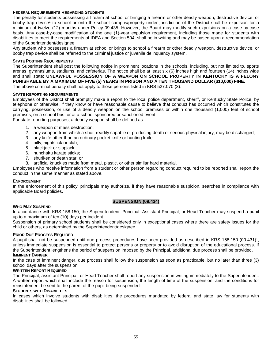# **FEDERAL REQUIREMENTS REGARDING STUDENTS**

The penalty for students possessing a firearm at school or bringing a firearm or other deadly weapon, destructive device, or booby trap device<sup>1</sup> to school or onto the school campus/property under jurisdiction of the District shall be expulsion for a minimum of twelve (12) months under Policy 09.435. However, the Board may modify such expulsions on a case-by-case basis. Any case-by-case modification of the one (1)-year expulsion requirement, including those made for students with disabilities to meet the requirements of IDEA and Section 504, shall be in writing and may be based upon a recommendation of the Superintendent/designee.

Any student who possesses a firearm at school or brings to school a firearm or other deadly weapon, destructive device, or booby trap device shall be referred to the criminal justice or juvenile delinquency system.

#### **STATE POSTING REQUIREMENTS**

The Superintendent shall post the following notice in prominent locations in the schools, including, but not limited to, sports arenas, gymnasiums, stadiums, and cafeterias. The notice shall be at least six (6) inches high and fourteen (14) inches wide and shall state: **UNLAWFUL POSSESSION OF A WEAPON ON SCHOOL PROPERTY IN KENTUCKY IS A FELONY PUNISHABLE BY A MAXIMUM OF FIVE (5) YEARS IN PRISON AND A TEN THOUSAND DOLLAR (\$10,000) FINE.** The above criminal penalty shall not apply to those persons listed in KRS 527.070 (3).

#### **STATE REPORTING REQUIREMENTS**

Employees of the District shall promptly make a report to the local police department, sheriff, or Kentucky State Police, by telephone or otherwise, if they know or have reasonable cause to believe that conduct has occurred which constitutes the carrying, possession, or use of a deadly weapon on the school premises or within one thousand (1,000) feet of school premises, on a school bus, or at a school sponsored or sanctioned event.

For state reporting purposes, a deadly weapon shall be defined as:

- 1. a weapon of mass destruction;
- 2. any weapon from which a shot, readily capable of producing death or serious physical injury, may be discharged;
- 3. any knife other than an ordinary pocket knife or hunting knife;
- 4. billy, nightstick or club;
- 5. blackjack or slapjack;
- 6. nunchaku karate sticks;
- 7. shuriken or death star; or
- 8. artificial knuckles made from metal, plastic, or other similar hard material.

Employees who receive information from a student or other person regarding conduct required to be reported shall report the conduct in the same manner as stated above.

#### **ENFORCEMENT**

In the enforcement of this policy, principals may authorize, if they have reasonable suspicion, searches in compliance with applicable Board policies.

#### **SUSPENSION (09.434)**

#### **WHO MAY SUSPEND**

In accordance with KRS 158.150, the Superintendent, Principal, Assistant Principal, or Head Teacher may suspend a pupil up to a maximum of ten (10) days per incident.

Suspension of primary school students shall be considered only in exceptional cases where there are safety issues for the child or others, as determined by the Superintendent/designee.

#### **PRIOR DUE PROCESS REQUIRED**

A pupil shall not be suspended until due process procedures have been provided as described in KRS 158.150 (09.431)1, unless immediate suspension is essential to protect persons or property or to avoid disruption of the educational process. If the Superintendent lengthens the period of suspension imposed by the Principal, additional due process shall be provided. **IMMINENT DANGER**

In the case of imminent danger, due process shall follow the suspension as soon as practicable, but no later than three (3) school days after the suspension.

# **WRITTEN REPORT REQUIRED**

The Principal, assistant Principal, or Head Teacher shall report any suspension in writing immediately to the Superintendent. A written report which shall include the reason for suspension, the length of time of the suspension, and the conditions for reinstatement be sent to the parent of the pupil being suspended.

#### **STUDENTS WITH DISABILITIES**

In cases which involve students with disabilities, the procedures mandated by federal and state law for students with disabilities shall be followed.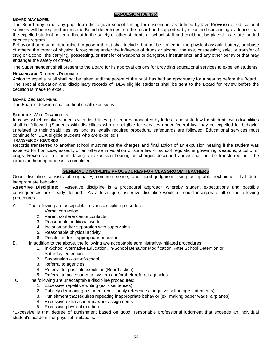#### **BOARD MAY EXPEL**

#### **EXPULSION (09.435)**

The Board may expel any pupil from the regular school setting for misconduct as defined by law. Provision of educational services will be required unless the Board determines, on the record and supported by clear and convincing evidence, that the expelled student posed a threat to the safety of other students or school staff and could not be placed in a state-funded agency program.

Behavior that may be determined to pose a threat shall include, but not be limited to, the physical assault, battery, or abuse of others; the threat of physical force; being under the influence of drugs or alcohol; the use, possession, sale, or transfer of drug or alcohol; the carrying, possessing, or transfer of weapons or dangerous instruments; and any other behavior that may endanger the safety of others.

The Superintendent shall present to the Board for its approval options for providing educational services to expelled students.

#### **HEARING AND RECORDS REQUIRED**

Action to expel a pupil shall not be taken until the parent of the pupil has had an opportunity for a hearing before the Board.<sup>1</sup> The special education and disciplinary records of IDEA eligible students shall be sent to the Board for review before the decision is made to expel.

#### **BOARD DECISION FINAL**

The Board's decision shall be final on all expulsions.

#### **STUDENTS WITH DISABILITIES**

In cases which involve students with disabilities, procedures mandated by federal and state law for students with disabilities shall be followed. (Students with disabilities who are eligible for services under federal law may be expelled for behavior unrelated to their disabilities, as long as legally required procedural safeguards are followed. Educational services must continue for IDEA eligible students who are expelled.)

#### **TRANSFER OF RECORDS**

Records transferred to another school must reflect the charges and final action of an expulsion hearing if the student was expelled for homicide, assault, or an offense in violation of state law or school regulations governing weapons, alcohol or drugs. Records of a student facing an expulsion hearing on charges described above shall not be transferred until the expulsion hearing process is completed.

# **GENERAL DISCIPLINE PROCEDURES FOR CLASSROOM TEACHERS**

Good discipline consists of originality, common sense, and good judgment using acceptable techniques that deter inappropriate behavior.

**Assertive Discipline:** Assertive discipline is a procedural approach whereby student expectations and possible consequences are clearly defined. As a technique, assertive discipline would or could incorporate all of the following procedures.

- A. The following are acceptable in-class discipline procedures:
	- 1. Verbal correction
	- 2. Parent conferences or contacts
	- 3. Reasonable additional work
	- 4 Isolation and/or separation with supervision
	- 5. Reasonable physical activity
	- 6. Restitution for inappropriate behavior
- B. In addition to the above, the following are acceptable administrative-initiated procedures:
	- 1. In-School Alternative Education, In-School Behavior Modification, After School Detention or Saturday Detention
	- 2. Suspension -- out-of-school
	- 3. Referral to agencies
	- 4. Referral for possible expulsion (Board action)
	- 5. Referral to police or court system and/or their referral agencies
- C. The following are unacceptable discipline procedures:
	- 1. Excessive repetitive writing (ex. sentences)
	- 2. Publicly demeaning a student (ex. family references, negative self-image statements)
	- 3. Punishment that requires repeating inappropriate behavior (ex. making paper wads, airplanes)
	- 4. Excessive extra academic work assignments
	- 5. Excessive physical exertion

\*Excessive is that degree of punishment based on good, reasonable professional judgment that exceeds an individual student's academic or physical limitations.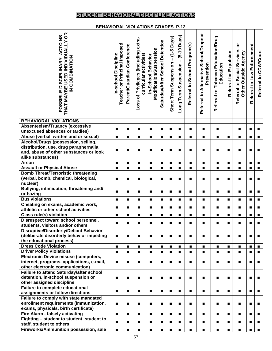# **STUDENT BEHAVIORAL/DISCIPLINE ACTIONS**

| <b>BEHAVIORAL VIOLATIONS GRADES P-12</b>                                                   |                                                      |                            |                                                                   |                                                      |                                 |                                    |                                    |                               |                                                      |                                                 |                                  |                                                          |                             |                       |
|--------------------------------------------------------------------------------------------|------------------------------------------------------|----------------------------|-------------------------------------------------------------------|------------------------------------------------------|---------------------------------|------------------------------------|------------------------------------|-------------------------------|------------------------------------------------------|-------------------------------------------------|----------------------------------|----------------------------------------------------------|-----------------------------|-----------------------|
| <b>POSSIBLE DISCIPLINARY ACTOINS<br/>THAT MAYBE USED INDIVIDUALLY OR</b><br>IN COMBINATION | Teacher or Principal Imposed<br>In-school Discipline | Parent/Guardian Conference | extra-<br>Loss of Privileges (including<br>curricular activities) | <b>Modification/Suspension</b><br>In-School Behavior | Saturday/After School Detention | Short Term Suspension - (1-5 Days) | Long Term Suspension - (5-10 Days) | Referral to School Program(s) | Referral to Alternative School/Dropout<br>Prevention | Referral to Tobacco Education/Drug<br>Education | Referral for Expulsion           | ŏ<br>Referral to Social Services<br>Other Outside Agency | Referral to Law Enforcement | Referral to CDW/Court |
| <b>BEHAVIORAL VIOLATIONS</b>                                                               |                                                      |                            |                                                                   |                                                      |                                 |                                    |                                    |                               |                                                      |                                                 |                                  |                                                          |                             |                       |
| <b>Absenteeism/Truancy (excessive</b>                                                      | $\blacksquare$                                       | $\blacksquare$             | $\blacksquare$                                                    | $\blacksquare$                                       | п                               | $\blacksquare$                     | $\blacksquare$                     | $\blacksquare$                | $\blacksquare$                                       | $\blacksquare$                                  |                                  | $\blacksquare$                                           | $\blacksquare$              | $\blacksquare$        |
| unexcused absences or tardies)                                                             |                                                      |                            |                                                                   |                                                      |                                 |                                    |                                    |                               |                                                      |                                                 |                                  |                                                          |                             |                       |
| Abuse (verbal, written and or sexual)                                                      | $\blacksquare$                                       |                            | $\blacksquare$                                                    | $\blacksquare$                                       | $\blacksquare$                  | $\blacksquare$                     | $\blacksquare$                     | п                             | п                                                    | $\blacksquare$                                  | $\blacksquare$                   | ■                                                        | $\blacksquare$              | $\blacksquare$        |
| Alcohol/Drugs (possession, selling,                                                        |                                                      |                            |                                                                   |                                                      |                                 |                                    |                                    |                               |                                                      |                                                 |                                  |                                                          |                             |                       |
| distribution, use, drug paraphernalia                                                      | ■                                                    | ■                          | ■                                                                 | $\blacksquare$                                       | ■                               | $\blacksquare$                     | п                                  | ■                             | п                                                    | п                                               | ■                                | п                                                        | п                           | $\blacksquare$        |
| and, abuse of other substances or look                                                     |                                                      |                            |                                                                   |                                                      |                                 |                                    |                                    |                               |                                                      |                                                 |                                  |                                                          |                             |                       |
| alike substances)                                                                          |                                                      |                            |                                                                   |                                                      |                                 |                                    |                                    |                               |                                                      |                                                 |                                  |                                                          |                             |                       |
| <b>Arson</b>                                                                               | $\blacksquare$                                       |                            | $\blacksquare$                                                    | $\blacksquare$                                       | $\blacksquare$                  | $\blacksquare$                     | $\blacksquare$                     | п                             | п                                                    | п                                               | $\blacksquare$                   | ■                                                        | п                           | $\blacksquare$        |
| <b>Assault or Physical Abuse</b>                                                           | $\blacksquare$                                       |                            | $\blacksquare$                                                    | $\blacksquare$                                       | $\blacksquare$                  | $\blacksquare$                     | $\blacksquare$                     | ■                             | п                                                    |                                                 | $\blacksquare$                   | $\blacksquare$                                           | $\blacksquare$              | $\blacksquare$        |
| <b>Bomb Threat/Terroristic threatening</b>                                                 |                                                      |                            |                                                                   |                                                      |                                 |                                    |                                    |                               |                                                      |                                                 |                                  |                                                          |                             |                       |
| (verbal, bomb, chemical, biological,                                                       | $\blacksquare$                                       | ■                          | п                                                                 | $\blacksquare$                                       | п                               | $\blacksquare$                     | ■                                  | п                             | п                                                    |                                                 | п                                | п                                                        | п                           | п                     |
| nuclear)                                                                                   |                                                      |                            |                                                                   |                                                      |                                 |                                    |                                    |                               |                                                      |                                                 |                                  |                                                          |                             |                       |
| Bullying, intimidation, threatening and/                                                   | $\blacksquare$                                       | ■                          | $\blacksquare$                                                    | $\blacksquare$                                       | ■                               | $\blacksquare$                     | $\blacksquare$                     |                               | п                                                    | $\blacksquare$                                  | п                                | $\blacksquare$                                           | п                           | п                     |
| or hazing<br><b>Bus violations</b>                                                         |                                                      |                            |                                                                   |                                                      |                                 |                                    |                                    |                               |                                                      |                                                 |                                  |                                                          |                             |                       |
|                                                                                            | $\blacksquare$                                       |                            | $\blacksquare$                                                    | $\blacksquare$                                       | $\blacksquare$                  | $\blacksquare$                     | $\blacksquare$                     |                               | $\blacksquare$                                       |                                                 | $\blacksquare$                   | $\blacksquare$                                           | ■                           | $\blacksquare$        |
| Cheating on exams, academic work,                                                          | $\blacksquare$                                       | ■                          | $\blacksquare$                                                    | $\blacksquare$                                       | $\blacksquare$                  | $\blacksquare$                     | $\blacksquare$                     |                               | $\blacksquare$                                       | $\blacksquare$                                  | п                                |                                                          | $\blacksquare$              | п                     |
| athletic or other school activities                                                        |                                                      |                            |                                                                   |                                                      |                                 |                                    |                                    |                               |                                                      |                                                 |                                  |                                                          |                             |                       |
| <b>Class rule(s) violation</b>                                                             | $\blacksquare$                                       |                            | $\blacksquare$                                                    | $\blacksquare$                                       | $\blacksquare$                  | $\blacksquare$                     | $\blacksquare$                     | п                             | $\blacksquare$                                       | $\blacksquare$                                  | $\blacksquare$                   | $\blacksquare$                                           | $\blacksquare$              | $\blacksquare$        |
| Disrespect toward school personnel,<br>students, visitors and/or others                    |                                                      |                            |                                                                   |                                                      |                                 |                                    |                                    |                               |                                                      |                                                 |                                  |                                                          |                             |                       |
| <b>Disruptive/Disorderly/Defiant Behavior</b>                                              |                                                      |                            |                                                                   |                                                      |                                 |                                    |                                    |                               |                                                      |                                                 |                                  |                                                          |                             |                       |
| (deliberate disorderly behavior impeding                                                   |                                                      |                            |                                                                   |                                                      |                                 |                                    |                                    |                               |                                                      |                                                 |                                  |                                                          |                             |                       |
| the educational process)                                                                   | $\blacksquare$                                       | $\blacksquare$             |                                                                   | $\blacksquare$                                       |                                 | $\blacksquare$                     | $\blacksquare$                     | ■                             | п                                                    | ■                                               | ■                                | п                                                        | П                           | $\blacksquare$        |
| <b>Dress Code Violation</b>                                                                |                                                      |                            |                                                                   |                                                      | $\blacksquare$                  | $\blacksquare$                     | $\blacksquare$                     |                               | $\blacksquare$                                       |                                                 |                                  | $\blacksquare$                                           | $\blacksquare$              |                       |
| <b>Driver Policy Violations</b>                                                            | $\blacksquare$<br>$\blacksquare$                     | $\blacksquare$             | $\blacksquare$<br>$\blacksquare$                                  | $\blacksquare$<br>$\blacksquare$                     | $\blacksquare$                  | $\blacksquare$                     | $\blacksquare$                     | п<br>$\blacksquare$           | $\blacksquare$                                       | $\blacksquare$<br>$\blacksquare$                | $\blacksquare$<br>$\blacksquare$ | $\blacksquare$                                           | $\blacksquare$              | п<br>$\blacksquare$   |
| <b>Electronic Device misuse (computers,</b>                                                |                                                      |                            |                                                                   |                                                      |                                 |                                    |                                    |                               |                                                      |                                                 |                                  |                                                          |                             |                       |
| internet, programs, applications, e-mail,                                                  | $\blacksquare$                                       | ■                          | п                                                                 | $\blacksquare$                                       | п                               | $\blacksquare$                     | $\blacksquare$                     | ■                             | п                                                    | $\blacksquare$                                  | $\blacksquare$                   | $\blacksquare$                                           | п                           | $\blacksquare$        |
| other electronic communication)                                                            |                                                      |                            |                                                                   |                                                      |                                 |                                    |                                    |                               |                                                      |                                                 |                                  |                                                          |                             |                       |
| Failure to attend Saturday/after school                                                    |                                                      |                            |                                                                   |                                                      |                                 |                                    |                                    |                               |                                                      |                                                 |                                  |                                                          |                             |                       |
| detention, in-school suspension or                                                         | $\blacksquare$                                       | п                          |                                                                   | $\blacksquare$                                       | ■                               | $\blacksquare$                     | ■                                  | ■                             | п                                                    | п                                               | $\blacksquare$                   | п                                                        | п                           | $\blacksquare$        |
| other assigned discipline                                                                  |                                                      |                            |                                                                   |                                                      |                                 |                                    |                                    |                               |                                                      |                                                 |                                  |                                                          |                             |                       |
| <b>Failure to complete educational</b>                                                     |                                                      |                            |                                                                   |                                                      |                                 |                                    |                                    |                               |                                                      |                                                 |                                  |                                                          |                             |                       |
| assignments or follow directions                                                           | $\blacksquare$                                       | $\blacksquare$             | ■                                                                 | $\blacksquare$                                       |                                 | $\blacksquare$                     | $\blacksquare$                     | ■                             | п                                                    | $\blacksquare$                                  | $\blacksquare$                   | п                                                        | ■                           | $\blacksquare$        |
| Failure to comply with state mandated                                                      |                                                      |                            |                                                                   |                                                      |                                 |                                    |                                    |                               |                                                      |                                                 |                                  |                                                          |                             |                       |
| enrollment requirements (immunization,                                                     | $\blacksquare$                                       | ■                          |                                                                   | $\blacksquare$                                       |                                 | $\blacksquare$                     | ■                                  | ■                             | п                                                    |                                                 | п                                | п                                                        | п                           | $\blacksquare$        |
| exams, physicals, birth certificate)                                                       |                                                      |                            |                                                                   |                                                      |                                 |                                    |                                    |                               |                                                      |                                                 |                                  |                                                          |                             |                       |
| Fire Alarm - falsely activating                                                            | $\blacksquare$                                       |                            | $\blacksquare$                                                    | $\blacksquare$                                       | $\blacksquare$                  | $\blacksquare$                     | $\blacksquare$                     | п                             | $\blacksquare$                                       | $\blacksquare$                                  | $\blacksquare$                   | $\blacksquare$                                           | $\blacksquare$              | $\blacksquare$        |
| Fighting - student to student, student to                                                  |                                                      |                            |                                                                   |                                                      |                                 |                                    |                                    |                               |                                                      |                                                 |                                  |                                                          |                             |                       |
| staff, student to others                                                                   | $\blacksquare$                                       | ■                          | п                                                                 | $\blacksquare$                                       | ■                               | $\blacksquare$                     | ■                                  |                               | $\blacksquare$                                       | $\blacksquare$                                  | $\blacksquare$                   |                                                          | п                           | п                     |
| Fireworks/Ammunition possession, sale                                                      | $\blacksquare$                                       | п                          | $\blacksquare$                                                    | $\blacksquare$                                       | ■                               | $\blacksquare$                     | $\blacksquare$                     |                               | $\blacksquare$                                       |                                                 | $\blacksquare$                   | $\blacksquare$                                           | $\blacksquare$              | $\blacksquare$        |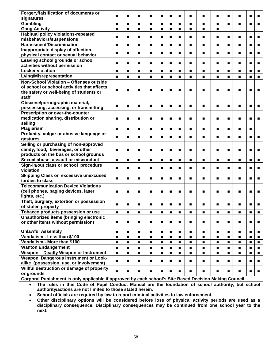| Forgery/falsification of documents or        |                | п              | $\blacksquare$ | $\blacksquare$ | $\blacksquare$ | $\blacksquare$ | $\blacksquare$ | $\blacksquare$ | $\blacksquare$ | п              |                | $\blacksquare$ | $\blacksquare$ | п              |
|----------------------------------------------|----------------|----------------|----------------|----------------|----------------|----------------|----------------|----------------|----------------|----------------|----------------|----------------|----------------|----------------|
| signatures                                   |                |                |                |                |                |                |                |                |                |                |                |                |                |                |
| Gambling                                     | $\blacksquare$ | $\blacksquare$ | $\blacksquare$ | $\blacksquare$ | $\blacksquare$ | $\blacksquare$ | $\blacksquare$ | $\blacksquare$ | $\blacksquare$ | $\blacksquare$ | $\blacksquare$ | $\blacksquare$ | $\blacksquare$ | $\blacksquare$ |
| <b>Gang Activity</b>                         | $\blacksquare$ | $\blacksquare$ | $\blacksquare$ | $\blacksquare$ | $\blacksquare$ | $\blacksquare$ | $\blacksquare$ | $\blacksquare$ | $\blacksquare$ | $\blacksquare$ |                |                |                |                |
| Habitual policy violations-repeated          |                | ■              | $\blacksquare$ | $\blacksquare$ | $\blacksquare$ | $\blacksquare$ | $\blacksquare$ | $\blacksquare$ | $\blacksquare$ | п              | $\blacksquare$ | $\blacksquare$ | п              | п              |
| misbehaviors/suspensions                     |                |                |                |                |                |                |                |                |                |                |                |                |                |                |
| <b>Harassment/Discrimination</b>             | ■              | п              | $\blacksquare$ | $\blacksquare$ | $\blacksquare$ | $\blacksquare$ | $\blacksquare$ | ■              | $\blacksquare$ | $\blacksquare$ | $\blacksquare$ | $\blacksquare$ | $\blacksquare$ | п              |
| Inappropriate display of affection,          |                |                |                |                | $\blacksquare$ |                |                |                |                | п              |                |                | $\blacksquare$ |                |
| physical contact or sexual behavior          | ■              | ■              | $\blacksquare$ | $\blacksquare$ |                | $\blacksquare$ | $\blacksquare$ | ■              | ■              |                | п              | ■              |                | п              |
| Leaving school grounds or school             |                |                |                |                |                |                |                |                |                |                |                |                |                |                |
| activities without permission                |                | ■              | $\blacksquare$ | $\blacksquare$ | $\blacksquare$ | $\blacksquare$ | $\blacksquare$ | ■              | ■              | п              |                | п              | ■              | п              |
| <b>Locker violation</b>                      | ■              | ■              | $\blacksquare$ | $\blacksquare$ | $\blacksquare$ | $\blacksquare$ | $\blacksquare$ | ■              | ■              | п              | $\blacksquare$ | ■              | п              | п              |
| <b>Lying/Misrepresentation</b>               | $\blacksquare$ | $\blacksquare$ | $\blacksquare$ | $\blacksquare$ | $\blacksquare$ | $\blacksquare$ | $\blacksquare$ | ■              | ■              | п              | $\blacksquare$ | $\blacksquare$ | $\blacksquare$ | $\blacksquare$ |
| Non-School Violation - Offenses outside      |                |                |                |                |                |                |                |                |                |                |                |                |                |                |
| of school or school activities that affects  |                |                |                |                |                |                |                |                |                |                |                |                |                |                |
| the safety or well-being of students or      |                |                | п              | п              | п              | ■              | ▬              | ■              |                |                | ■              |                |                | г              |
| staff                                        |                |                |                |                |                |                |                |                |                |                |                |                |                |                |
| Obscene/pornographic material,               |                |                |                |                |                |                |                |                |                |                |                |                |                |                |
| possessing, accessing, or transmitting       |                |                | ■              | ■              | ■              | $\blacksquare$ | $\blacksquare$ | ■              | ■              |                | ■              | ■              |                |                |
| Prescription or over-the-counter             |                |                |                |                |                |                |                |                |                |                |                |                |                |                |
| medication sharing, distribution or          |                |                |                |                | п              |                |                |                | ■              |                | п              | ■              |                |                |
| selling                                      | ■              |                | г              | ■              |                | $\blacksquare$ |                | п              |                |                |                |                | г              | г              |
| Plagiarism                                   |                |                |                |                |                |                |                |                |                |                |                |                |                |                |
|                                              | $\blacksquare$ | $\blacksquare$ | $\blacksquare$ | $\blacksquare$ | $\blacksquare$ | $\blacksquare$ | $\blacksquare$ | $\blacksquare$ | $\blacksquare$ | $\blacksquare$ | $\blacksquare$ | $\blacksquare$ | $\blacksquare$ |                |
| Profanity, vulgar or abusive language or     | $\blacksquare$ | ■              | $\blacksquare$ | $\blacksquare$ | ■              | $\blacksquare$ | $\blacksquare$ | ■              | ■              | п              | $\blacksquare$ | ■              | п              | п              |
| gestures                                     |                |                |                |                |                |                |                |                |                |                |                |                |                |                |
| Selling or purchasing of non-approved        |                |                |                |                |                |                |                |                |                |                |                |                |                |                |
| candy, food, beverages, or other             | ■              |                | $\blacksquare$ | $\blacksquare$ | ■              | $\blacksquare$ |                | $\blacksquare$ | ■              | ■              | ■              | $\blacksquare$ |                | г              |
| products on the bus or school grounds        |                |                |                |                |                |                |                |                |                |                |                |                |                |                |
| Sexual abuse, assault or misconduct          | $\blacksquare$ | $\blacksquare$ | $\blacksquare$ | $\blacksquare$ | $\blacksquare$ | $\blacksquare$ | $\blacksquare$ | $\blacksquare$ | $\blacksquare$ | $\blacksquare$ | $\blacksquare$ | $\blacksquare$ | $\blacksquare$ | $\blacksquare$ |
| Sign-in/out class or school procedure        | $\blacksquare$ | $\blacksquare$ | $\blacksquare$ | $\blacksquare$ | $\blacksquare$ | $\blacksquare$ | $\blacksquare$ | $\blacksquare$ | $\blacksquare$ | $\blacksquare$ | $\blacksquare$ | $\blacksquare$ | $\blacksquare$ | п              |
| violation                                    |                |                |                |                |                |                |                |                |                |                |                |                |                |                |
| <b>Skipping Class or excessive unexcused</b> | $\blacksquare$ | ■              | $\blacksquare$ | $\blacksquare$ | $\blacksquare$ | $\blacksquare$ | $\blacksquare$ | $\blacksquare$ | $\blacksquare$ | п              | $\blacksquare$ | $\blacksquare$ | $\blacksquare$ | п              |
| tardies to class                             |                |                |                |                |                |                |                |                |                |                |                |                |                |                |
| <b>Telecommunication Device Violations</b>   |                |                |                |                |                |                |                |                |                |                |                |                |                |                |
| (cell phones, paging devices, laser          | $\blacksquare$ | ▅              | ■              | $\blacksquare$ | ■              | $\blacksquare$ | ■              | ■              | ■              |                | ■              | $\blacksquare$ | ■              | п              |
| lights, etc.)                                |                |                |                |                |                |                |                |                |                |                |                |                |                |                |
| Theft, burglary, extortion or possession     |                |                |                |                |                |                |                |                |                |                |                |                |                |                |
| of stolen property                           |                |                | ■              | ■              | ■              | ■              | ■              | ■              |                |                |                |                | п              | п              |
| Tobacco products possession or use           | $\blacksquare$ | $\blacksquare$ | $\blacksquare$ | $\blacksquare$ | $\blacksquare$ | $\blacksquare$ | $\blacksquare$ | $\blacksquare$ | $\blacksquare$ | $\blacksquare$ | $\blacksquare$ | $\blacksquare$ |                | $\blacksquare$ |
| Unauthorized items (bringing electronic      |                |                |                |                |                |                |                |                |                |                |                |                |                |                |
| or other items without permission)           | ■              | ■              | $\blacksquare$ | ■              | ■              | $\blacksquare$ | ■              | ■              | ■              |                |                |                | п              | П              |
|                                              |                |                |                |                |                |                |                |                |                |                |                |                |                |                |
| <b>Unlawful Assembly</b>                     | $\blacksquare$ | $\blacksquare$ | $\blacksquare$ | $\blacksquare$ | $\blacksquare$ | $\blacksquare$ | $\blacksquare$ | ■              | $\blacksquare$ | $\blacksquare$ | $\blacksquare$ | $\blacksquare$ | $\blacksquare$ | $\blacksquare$ |
| Vandalism - Less than \$100                  | $\blacksquare$ | $\blacksquare$ | $\blacksquare$ | $\blacksquare$ | $\blacksquare$ | $\blacksquare$ | $\blacksquare$ | $\blacksquare$ | $\blacksquare$ | $\blacksquare$ | $\blacksquare$ | $\blacksquare$ | $\blacksquare$ | $\blacksquare$ |
| Vandalism - More than \$100                  | $\blacksquare$ | $\blacksquare$ | $\blacksquare$ | $\blacksquare$ | $\blacksquare$ | $\blacksquare$ | $\blacksquare$ | $\blacksquare$ | $\blacksquare$ | $\blacksquare$ | $\blacksquare$ | $\blacksquare$ | $\blacksquare$ | $\blacksquare$ |
| <b>Wanton Endangerment</b>                   | $\blacksquare$ | $\blacksquare$ | $\blacksquare$ | $\blacksquare$ | $\blacksquare$ | $\blacksquare$ | $\blacksquare$ | $\blacksquare$ | $\blacksquare$ | $\blacksquare$ | $\blacksquare$ | $\blacksquare$ | $\blacksquare$ | $\blacksquare$ |
| Weapon - Deadly Weapon or Instrument         | $\blacksquare$ | $\blacksquare$ | $\blacksquare$ | $\blacksquare$ | $\blacksquare$ | $\blacksquare$ | $\blacksquare$ | $\blacksquare$ | $\blacksquare$ | $\blacksquare$ | $\blacksquare$ | $\blacksquare$ | $\blacksquare$ | $\blacksquare$ |
| Weapon, Dangerous Instrument or Look-        |                |                |                |                |                |                |                |                |                |                |                |                |                |                |
| alike (possession, use, or involvement)      | $\blacksquare$ |                | $\blacksquare$ | $\blacksquare$ | $\blacksquare$ | $\blacksquare$ | $\blacksquare$ | $\blacksquare$ | п              | $\blacksquare$ | $\blacksquare$ | $\blacksquare$ | $\blacksquare$ | $\blacksquare$ |
| Willful destruction or damage of property    |                |                |                |                |                |                |                |                |                |                |                |                |                |                |
| or grounds                                   | $\blacksquare$ | ■              | $\blacksquare$ | $\blacksquare$ | ■              | $\blacksquare$ | $\blacksquare$ | ■              | п              |                |                | п              | п              |                |
|                                              |                |                |                |                |                |                |                |                |                |                |                |                |                |                |

**Corporal Punishment is only applicable if approved by each school's Site Based Decision Making Council**

• **The rules in this Code of Pupil Conduct Manual are the foundation of school authority, but school authority/actions are not limited to those stated herein.** 

• **School officials are required by law to report criminal activities to law enforcement.**

• **Other disciplinary options will be considered before loss of physical activity periods are used as a disciplinary consequence. Disciplinary consequences may be continued from one school year to the next.**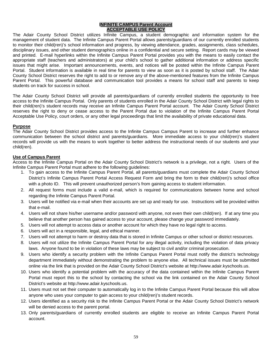#### **INFINITE CAMPUS Parent Account ACCEPTABLE USE POLICY**

The Adair County School District utilizes Infinite Campus, a student demographic and information system for the management of student data. The Infinite Campus Parent Portal allows parents/guardians of our currently enrolled students to monitor their child(ren)'s school information and progress, by viewing attendance, grades, assignments, class schedules, disciplinary issues, and other student demographics online in a confidential and secure setting. Report cards may be viewed and printed. E-mail hyperlinks within the Infinite Campus Parent Portal provides you with the means to easily contact the appropriate staff (teachers and administrators) at your child's school to gather additional information or address specific issues that might arise. Important announcements, events, and notices will be posted within the Infinite Campus Parent Portal. Student information is available in real time for parents to view as soon as it is posted by school staff. The Adair County School District reserves the right to add to or remove any of the above-mentioned features from the Infinite Campus Parent Portal. This powerful database and communication tool provides a means for school staff and parents to keep students on track for success in school.

The Adair County School District will provide all parents/guardians of currently enrolled students the opportunity to free access to the Infinite Campus Portal. Only parents of students enrolled in the Adair County School District with legal rights to their child(ren)'s student records may receive an Infinite Campus Parent Portal account. The Adair County School District reserves the right to deny or cease access to the Parent Portal due to violation of the Infinite Campus Parent Portal Acceptable Use Policy, court orders, or any other legal proceedings that limit the availability of private educational data.

#### **Purpose**

The Adair County School District provides access to the Infinite Campus Campus Parent to increase and further enhance communication between the school district and parents/guardians. More immediate access to your child(ren)'s student records will provide us with the means to work together to better address the instructional needs of our students and your child(ren).

# **Use of Campus Parent**

Access to the Infinite Campus Portal on the Adair County School District's network is a privilege, not a right. Users of the Infinite Campus Parent Portal must adhere to the following guidelines:

- 1. To gain access to the Infinite Campus Parent Portal, all parents/guardians must complete the Adair County School District's Infinite Campus Parent Portal Access Request Form and bring the form to their child(ren)'s school office with a photo ID. This will prevent unauthorized person's from gaining access to student information.
- 2. All request forms must include a valid e-mail, which is required for communications between home and school regarding the Infinite Campus Parent Portal.
- 3. Users will be notified via e-mail when their accounts are set up and ready for use. Instructions will be provided within that e-mail.
- 4. Users will not share his/her username and/or password with anyone, not even their own child(ren). If at any time you believe that another person has gained access to your account, please change your password immediately.
- 5. Users will not attempt to access data or another account for which they have no legal right to access.
- 6. Users will act in a responsible, legal, and ethical manner.
- 7. Users will not attempt to harm or destroy data that is stored in Infinite Campus or other school or district resources.
- 8. Users will not utilize the Infinite Campus Parent Portal for any illegal activity, including the violation of data privacy laws. Anyone found to be in violation of these laws may be subject to civil and/or criminal prosecution.
- 9. Users who identify a security problem with the Infinite Campus Parent Portal must notify the district's technology department immediately without demonstrating the problem to anyone else. All technical issues must be submitted online via the link that is provided on the Adair County School District's website at http://www.adair.kyschools.us.
- 10. Users who identify a potential problem with the accuracy of the data contained within the Infinite Campus Parent Portal must report this to the school by contacting the school via the link contained on the Adair County School District's website at http://www.adair.kyschools.us.
- 11. Users must not set their computer to automatically log in to the Infinite Campus Parent Portal because this will allow anyone who uses your computer to gain access to your child(ren)'s student records.
- 12. Users identified as a security risk to the Infinite Campus Parent Portal or the Adair County School District's network will be denied access to the parent portal.
- 13. Only parents/guardians of currently enrolled students are eligible to receive an Infinite Campus Parent Portal account.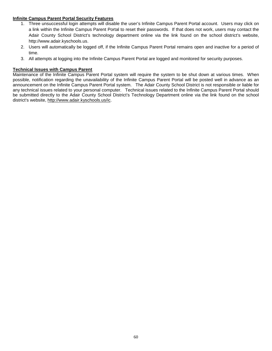# **Infinite Campus Parent Portal Security Features**

- 1. Three unsuccessful login attempts will disable the user's Infinite Campus Parent Portal account. Users may click on a link within the Infinite Campus Parent Portal to reset their passwords. If that does not work, users may contact the Adair County School District's technology department online via the link found on the school district's website, http://www.adair.kyschools.us.
- 2. Users will automatically be logged off, if the Infinite Campus Parent Portal remains open and inactive for a period of time.
- 3. All attempts at logging into the Infinite Campus Parent Portal are logged and monitored for security purposes.

# **Technical Issues with Campus Parent**

Maintenance of the Infinite Campus Parent Portal system will require the system to be shut down at various times. When possible, notification regarding the unavailability of the Infinite Campus Parent Portal will be posted well in advance as an announcement on the Infinite Campus Parent Portal system. The Adair County School District is not responsible or liable for any technical issues related to your personal computer. Technical issues related to the Infinite Campus Parent Portal should be submitted directly to the Adair County School District's Technology Department online via the link found on the school district's website, [http://www.adair.kyschools.us/ic.](http://www.adair.kyschools.us/ic)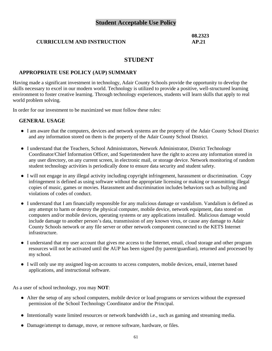# **Student Acceptable Use Policy**

# **CURRICULUM AND INSTRUCTION**

**08.2323 AP.21**

# **STUDENT**

# **APPROPRIATE USE POLICY (AUP) SUMMARY**

Having made a significant investment in technology, Adair County Schools provide the opportunity to develop the skills necessary to excel in our modern world. Technology is utilized to provide a positive, well-structured learning environment to foster creative learning. Through technology experiences, students will learn skills that apply to real world problem solving.

In order for our investment to be maximized we must follow these rules:

# **GENERAL USAGE**

- I am aware that the computers, devices and network systems are the property of the Adair County School District and any information stored on them is the property of the Adair County School District.
- I understand that the Teachers, School Administrators, Network Administrator, District Technology Coordinator/Chief Information Officer, and Superintendent have the right to access any information stored in any user directory, on any current screen, in electronic mail, or storage device. Network monitoring of random student technology activities is periodically done to ensure data security and student safety.
- I will not engage in any illegal activity including copyright infringement, harassment or discrimination. Copy infringement is defined as using software without the appropriate licensing or making or transmitting illegal copies of music, games or movies. Harassment and discrimination includes behaviors such as bullying and violations of codes of conduct.
- I understand that I am financially responsible for any malicious damage or vandalism. Vandalism is defined as any attempt to harm or destroy the physical computer, mobile device, network equipment, data stored on computers and/or mobile devices, operating systems or any applications installed. Malicious damage would include damage to another person's data, transmission of any known virus, or cause any damage to Adair County Schools network or any file server or other network component connected to the KETS Internet infrastructure.
- I understand that my user account that gives me access to the Internet, email, cloud storage and other program resources will not be activated until the AUP has been signed (by parent/guardian), returned and processed by my school.
- I will only use my assigned log-on accounts to access computers, mobile devices, email, internet based applications, and instructional software.

As a user of school technology, you may **NOT**:

- Alter the setup of any school computers, mobile device or load programs or services without the expressed permission of the School Technology Coordinator and/or the Principal.
- Intentionally waste limited resources or network bandwidth i.e., such as gaming and streaming media.
- Damage/attempt to damage, move, or remove software, hardware, or files.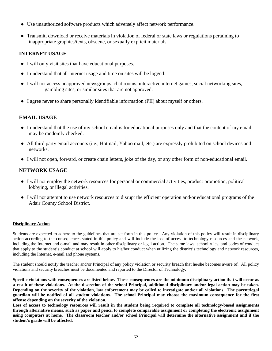- Use unauthorized software products which adversely affect network performance.
- Transmit, download or receive materials in violation of federal or state laws or regulations pertaining to inappropriate graphics/texts, obscene, or sexually explicit materials.

# **INTERNET USAGE**

- I will only visit sites that have educational purposes.
- I understand that all Internet usage and time on sites will be logged.
- I will not access unapproved newsgroups, chat rooms, interactive internet games, social networking sites, gambling sites, or similar sites that are not approved.
- I agree never to share personally identifiable information (PII) about myself or others.

# **EMAIL USAGE**

- I understand that the use of my school email is for educational purposes only and that the content of my email may be randomly checked.
- All third party email accounts (i.e., Hotmail, Yahoo mail, etc.) are expressly prohibited on school devices and networks.
- I will not open, forward, or create chain letters, joke of the day, or any other form of non-educational email.

# **NETWORK USAGE**

- I will not employ the network resources for personal or commercial activities, product promotion, political lobbying, or illegal activities.
- I will not attempt to use network resources to disrupt the efficient operation and/or educational programs of the Adair County School District.

# **Disciplinary Action**

Students are expected to adhere to the guidelines that are set forth in this policy. Any violation of this policy will result in disciplinary action according to the consequences stated in this policy and will include the loss of access to technology resources and the network, including the Internet and e-mail and may result in other disciplinary or legal action. The same laws, school rules, and codes of conduct that apply to the student's conduct at school will apply to his/her conduct when utilizing the district's technology and network resources, including the Internet, e-mail and phone systems.

The student should notify the teacher and/or Principal of any policy violation or security breach that he/she becomes aware of. All policy violations and security breaches must be documented and reported to the Director of Technology.

**Specific violations with consequences are listed below. These consequences are the minimum disciplinary action that will occur as a result of these violations. At the discretion of the school Principal, additional disciplinary and/or legal action may be taken. Depending on the severity of the violation, law enforcement may be called to investigate and/or all violations. The parent/legal guardian will be notified of all student violations. The school Principal may choose the maximum consequence for the first offense depending on the severity of the violation.**

**Loss of access to technology resources will result in the student being required to complete all technology-based assignments through alternative means, such as paper and pencil to complete comparable assignment or completing the electronic assignment using computers at home. The classroom teacher and/or school Principal will determine the alternative assignment and if the student's grade will be affected.**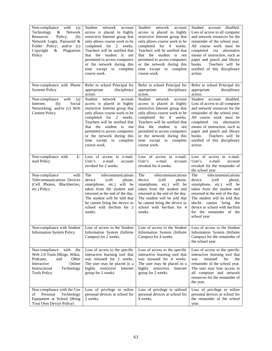| Non-compliance<br>with<br>(a)<br>Technology<br>Network<br>&<br>Policy;<br>Resources<br>(b)<br>Network Login, Password &<br>Folder Policy; and/or (c)<br>Copyright<br>Plagiarism<br>&<br>Policy | Student<br>network<br>account<br>access is placed in highly<br>restrictive Internet group that<br>only allows course work to be<br>completed for 2 weeks.<br>Teachers will be notified that<br>that the student is<br>not<br>permitted to access computers<br>or the network during this<br>time except to complete<br>course work. | Student network<br>account<br>access is placed in highly<br>restrictive Internet group that<br>only allows course work to be<br>completed for 4 weeks.<br>Teachers will be notified that<br>that the student is not<br>permitted to access computers<br>or the network during this<br>time except to complete<br>course work. | Student account disabled.<br>Loss of access to all computer<br>and network resources for the<br>remainder of the school year.<br>All course work must be<br>completed via<br>alternative<br>means of instruction, such as<br>paper and pencil and library<br>books.<br>Teachers will be<br>notified of this disciplinary<br>action. |
|------------------------------------------------------------------------------------------------------------------------------------------------------------------------------------------------|-------------------------------------------------------------------------------------------------------------------------------------------------------------------------------------------------------------------------------------------------------------------------------------------------------------------------------------|-------------------------------------------------------------------------------------------------------------------------------------------------------------------------------------------------------------------------------------------------------------------------------------------------------------------------------|-------------------------------------------------------------------------------------------------------------------------------------------------------------------------------------------------------------------------------------------------------------------------------------------------------------------------------------|
| Non-compliance with Phone<br><b>Systems Policy</b><br>with                                                                                                                                     | Refer to school Principal for<br>disciplinary<br>appropriate<br>action.<br>Student<br>network<br>account                                                                                                                                                                                                                            | Refer to school Principal for<br>disciplinary<br>appropriate<br>action.<br>Student<br>network<br>account                                                                                                                                                                                                                      | Refer to school Principal for<br>disciplinary<br>appropriate<br>action.<br>Student account disabled.                                                                                                                                                                                                                                |
| Non-compliance<br>(a)<br>Social<br>Internet:<br>(b)<br>Networking; and/or (c) Web<br><b>Content Policy</b>                                                                                     | access is placed in highly<br>restrictive Internet group that<br>only allows course work to be<br>completed for 2 weeks.<br>Teachers will be notified that<br>that the student is<br>not<br>permitted to access computers<br>or the network during this<br>time except to complete<br>course work.                                  | access is placed in highly<br>restrictive Internet group that<br>only allows course work to be<br>completed for 4 weeks.<br>Teachers will be notified that<br>that the student is not<br>permitted to access computers<br>or the network during this<br>time except to complete<br>course work.                               | Loss of access to all computer<br>and network resources for the<br>remainder of the school year.<br>All course work must be<br>completed<br>via<br>alternative<br>means of instruction, such as<br>paper and pencil and library<br>books.<br>Teachers will be<br>notified of this disciplinary<br>action.                           |
| Non-compliance with<br>E-<br>mail Policy                                                                                                                                                       | Loss of access to e-mail.<br>User's<br>e-mail<br>account<br>revoked for 2 weeks.                                                                                                                                                                                                                                                    | Loss of access to e-mail.<br>User's<br>e-mail<br>account<br>revoked for 4 weeks.                                                                                                                                                                                                                                              | Loss of access to e-mail.<br>User's<br>e-mail<br>account<br>revoked for the remainder of<br>the school year.                                                                                                                                                                                                                        |
| Non-compliance<br>with<br>Telecommunications Devices<br>(Cell Phones, Blackberries,<br>etc.) Policy                                                                                            | The<br>telecommunications<br>device<br>(cell<br>phone,<br>smartphone, etc.) will be<br>taken from the student and<br>returned at the end of the day.<br>The student will be told that<br>he cannot bring the device to<br>school with her/him for 2<br>weeks.                                                                       | The<br>telecommunications<br>device<br>(cell<br>phone,<br>smartphone, etc.) will be<br>taken from the student and<br>returned at the end of the day.<br>The student will be told that<br>he cannot bring the device to<br>school with her/him for 4<br>weeks.                                                                 | The<br>telecommunications<br>device<br>(cell<br>phone,<br>smartphone, etc.) will be<br>taken from the student and<br>returned at the end of the day.<br>The student will be told that<br>she/he cannot bring<br>the<br>device to school with her/him<br>for the remainder of the<br>school year.                                    |
| Non-compliance with Student<br><b>Information System Policy</b>                                                                                                                                | Loss of access to the Student<br>Information System (Infinite<br>Campus) for 2 weeks.                                                                                                                                                                                                                                               | Loss of access to the Student<br>Information System (Infinite<br>Campus) for 4 weeks.                                                                                                                                                                                                                                         | Loss of access to the Student<br>Information System (Infinite<br>Campus) for the remainder of<br>the school year.                                                                                                                                                                                                                   |
| Non-compliance<br>with<br>the<br>Web 2.0 Tools (Blogs, Wikis,<br>Other<br>Podcasts,<br>and<br>Interactive<br>Online<br>Instructional<br>Technology<br><b>Tools Policy</b>                      | Loss of access to the specific<br>interactive learning tool that<br>was misused for 2 weeks.<br>The user may be placed in a<br>highly restrictive<br>Internet<br>group for 2 weeks.                                                                                                                                                 | Loss of access to the specific<br>interactive learning tool that<br>was misused for 4 weeks.<br>The user may be placed in a<br>highly restrictive Internet<br>group for 2 weeks.                                                                                                                                              | Loss of access to the specific<br>interactive learning tool that<br>misused<br>for<br>was<br>the<br>remainder of the school year.<br>The user may lose access to<br>all computer and network<br>resources for the remainder of<br>the year.                                                                                         |
| Non-compliance with the Use<br>Personal<br>Technology<br>of<br>Equipment at School (Bring<br>Your Own Device Policy)                                                                           | Loss of privilege to utilize<br>personal devices at school for<br>2 weeks.                                                                                                                                                                                                                                                          | Loss of privilege to utilized<br>personal devices at school for<br>4 weeks.                                                                                                                                                                                                                                                   | Loss of privilege to utilize<br>personal devices at school for<br>the remainder of the school<br>year.                                                                                                                                                                                                                              |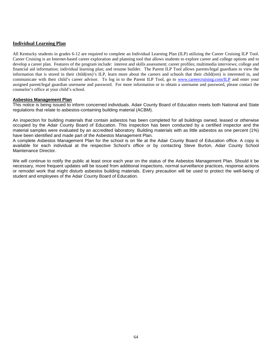# **Individual Learning Plan**

All Kentucky students in grades 6-12 are required to complete an Individual Learning Plan (ILP) utilizing the Career Cruising ILP Tool. Career Cruising is an Internet-based career exploration and planning tool that allows students to explore career and college options and to develop a career plan. Features of the program include: interest and skills assessment; career profiles; multimedia interviews; college and financial aid information; individual learning plan; and resume builder. The Parent ILP Tool allows parents/legal guardians to view the information that is stored in their child(ren)'s ILP, learn more about the careers and schools that their child(ren) is interested in, and communicate with their child's career advisor. To log in to the Parent ILP Tool, go to [www.careercruising.com/ILP](http://www.careercruising.com/ILP) and enter your assigned parent/legal guardian username and password. For more information or to obtain a username and password, please contact the counselor's office at your child's school.

#### **Asbestos Management Plan**

This notice is being issued to inform concerned individuals. Adair County Board of Education meets both National and State regulations that relate to asbestos-containing building material (ACBM).

An inspection for building materials that contain asbestos has been completed for all buildings owned, leased or otherwise occupied by the Adair County Board of Education. This inspection has been conducted by a certified inspector and the material samples were evaluated by an accredited laboratory. Building materials with as little asbestos as one percent (1%) have been identified and made part of the Asbestos Management Plan.

A complete Asbestos Management Plan for the school is on file at the Adair County Board of Education office. A copy is available for each individual at the respective School's office or by contacting Steve Burton, Adair County School Maintenance Director.

We will continue to notify the public at least once each year on the status of the Asbestos Management Plan. Should it be necessary, more frequent updates will be issued from additional inspections, normal surveillance practices, response actions or remodel work that might disturb asbestos building materials. Every precaution will be used to protect the well-being of student and employees of the Adair County Board of Education.